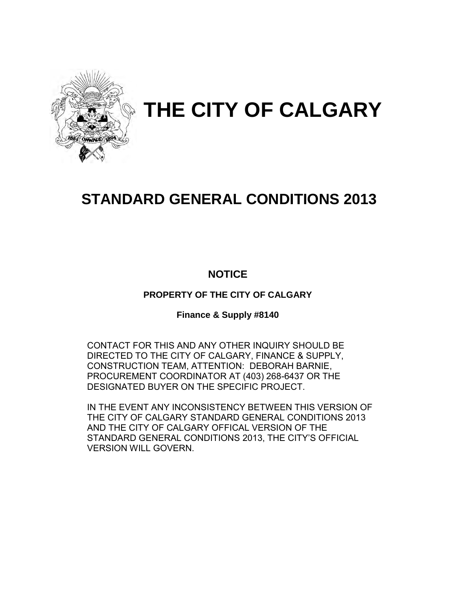

# **THE CITY OF CALGARY**

# **STANDARD GENERAL CONDITIONS 2013**

## **NOTICE**

**PROPERTY OF THE CITY OF CALGARY** 

**Finance & Supply #8140** 

CONTACT FOR THIS AND ANY OTHER INQUIRY SHOULD BE DIRECTED TO THE CITY OF CALGARY, FINANCE & SUPPLY, CONSTRUCTION TEAM, ATTENTION: DEBORAH BARNIE, PROCUREMENT COORDINATOR AT (403) 268-6437 OR THE DESIGNATED BUYER ON THE SPECIFIC PROJECT.

IN THE EVENT ANY INCONSISTENCY BETWEEN THIS VERSION OF THE CITY OF CALGARY STANDARD GENERAL CONDITIONS 2013 AND THE CITY OF CALGARY OFFICAL VERSION OF THE STANDARD GENERAL CONDITIONS 2013, THE CITY'S OFFICIAL VERSION WILL GOVERN.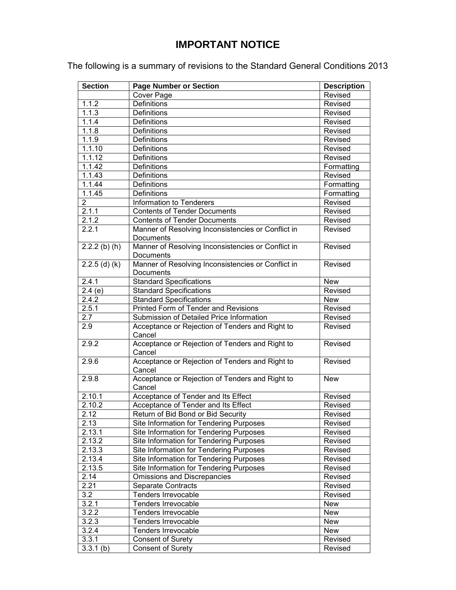## **IMPORTANT NOTICE**

The following is a summary of revisions to the Standard General Conditions 2013

| <b>Section</b>  | <b>Page Number or Section</b>                             | <b>Description</b> |
|-----------------|-----------------------------------------------------------|--------------------|
|                 | Cover Page                                                | Revised            |
| 1.1.2           | <b>Definitions</b>                                        | Revised            |
| 1.1.3           | <b>Definitions</b>                                        | Revised            |
| 1.1.4           | <b>Definitions</b>                                        | Revised            |
| 1.1.8           | <b>Definitions</b>                                        | Revised            |
| 1.1.9           | <b>Definitions</b>                                        | Revised            |
| 1.1.10          | <b>Definitions</b>                                        | Revised            |
| 1.1.12          | <b>Definitions</b>                                        | Revised            |
| 1.1.42          | <b>Definitions</b>                                        | Formatting         |
| 1.1.43          | <b>Definitions</b>                                        | Revised            |
| 1.1.44          | <b>Definitions</b>                                        | Formatting         |
| 1.1.45          | <b>Definitions</b>                                        | Formatting         |
| $\overline{2}$  | Information to Tenderers                                  | Revised            |
| 2.1.1           | <b>Contents of Tender Documents</b>                       | Revised            |
| 2.1.2           | <b>Contents of Tender Documents</b>                       | Revised            |
| 2.2.1           | Manner of Resolving Inconsistencies or Conflict in        | Revised            |
|                 | Documents                                                 |                    |
| $2.2.2$ (b) (h) | Manner of Resolving Inconsistencies or Conflict in        | Revised            |
|                 | Documents                                                 |                    |
| $2.2.5$ (d) (k) | Manner of Resolving Inconsistencies or Conflict in        | Revised            |
|                 | Documents                                                 |                    |
| 2.4.1           | <b>Standard Specifications</b>                            | <b>New</b>         |
| 2.4(e)          | <b>Standard Specifications</b>                            | Revised            |
| 2.4.2           | <b>Standard Specifications</b>                            | <b>New</b>         |
| 2.5.1           | Printed Form of Tender and Revisions                      | Revised            |
| 2.7             | Submission of Detailed Price Information                  | Revised            |
| 2.9             | Acceptance or Rejection of Tenders and Right to<br>Cancel | Revised            |
| 2.9.2           | Acceptance or Rejection of Tenders and Right to<br>Cancel | Revised            |
| 2.9.6           | Acceptance or Rejection of Tenders and Right to<br>Cancel | Revised            |
| 2.9.8           | Acceptance or Rejection of Tenders and Right to<br>Cancel | <b>New</b>         |
| 2.10.1          | Acceptance of Tender and Its Effect                       | Revised            |
| 2.10.2          | Acceptance of Tender and Its Effect                       | Revised            |
| 2.12            | Return of Bid Bond or Bid Security                        | Revised            |
| 2.13            | Site Information for Tendering Purposes                   | Revised            |
| 2.13.1          | Site Information for Tendering Purposes                   | Revised            |
| 2.13.2          | Site Information for Tendering Purposes                   | Revised            |
| 2.13.3          | Site Information for Tendering Purposes                   | Revised            |
| 2.13.4          | Site Information for Tendering Purposes                   | Revised            |
| 2.13.5          | Site Information for Tendering Purposes                   | Revised            |
| 2.14            | Omissions and Discrepancies                               | Revised            |
| 2.21            | <b>Separate Contracts</b>                                 | Revised            |
| 3.2             | Tenders Irrevocable                                       | Revised            |
| 3.2.1           | Tenders Irrevocable                                       | <b>New</b>         |
| 3.2.2           | Tenders Irrevocable                                       | <b>New</b>         |
| 3.2.3           | Tenders Irrevocable                                       | <b>New</b>         |
| 3.2.4           | Tenders Irrevocable                                       | <b>New</b>         |
| 3.3.1           | <b>Consent of Surety</b>                                  | Revised            |
| $3.3.1$ (b)     | <b>Consent of Surety</b>                                  | Revised            |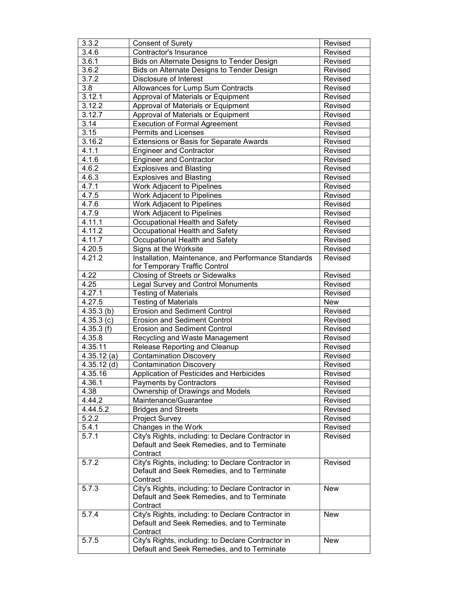| 3.3.2         | <b>Consent of Surety</b>                             | Revised    |
|---------------|------------------------------------------------------|------------|
| 3.4.6         | Contractor's Insurance                               | Revised    |
| 3.6.1         | Bids on Alternate Designs to Tender Design           | Revised    |
| 3.6.2         | Bids on Alternate Designs to Tender Design           | Revised    |
| 3.7.2         | Disclosure of Interest                               | Revised    |
| 3.8           | Allowances for Lump Sum Contracts                    | Revised    |
| 3.12.1        | Approval of Materials or Equipment                   | Revised    |
| 3.12.2        | Approval of Materials or Equipment                   | Revised    |
| 3.12.7        | Approval of Materials or Equipment                   | Revised    |
| 3.14          | <b>Execution of Formal Agreement</b>                 | Revised    |
| 3.15          | Permits and Licenses                                 | Revised    |
| 3.16.2        | Extensions or Basis for Separate Awards              | Revised    |
| 4.1.1         | <b>Engineer and Contractor</b>                       | Revised    |
| 4.1.6         | <b>Engineer and Contractor</b>                       | Revised    |
| 4.6.2         |                                                      |            |
|               | <b>Explosives and Blasting</b>                       | Revised    |
| 4.6.3         | <b>Explosives and Blasting</b>                       | Revised    |
| 4.7.1         | Work Adjacent to Pipelines                           | Revised    |
| 4.7.5         | Work Adjacent to Pipelines                           | Revised    |
| 4.7.6         | Work Adjacent to Pipelines                           | Revised    |
| 4.7.9         | Work Adjacent to Pipelines                           | Revised    |
| 4.11.1        | Occupational Health and Safety                       | Revised    |
| 4.11.2        | Occupational Health and Safety                       | Revised    |
| 4.11.7        | Occupational Health and Safety                       | Revised    |
| 4.20.5        | Signs at the Worksite                                | Revised    |
| 4.21.2        | Installation, Maintenance, and Performance Standards | Revised    |
|               | for Temporary Traffic Control                        |            |
| 4.22          | Closing of Streets or Sidewalks                      | Revised    |
| 4.25          | <b>Legal Survey and Control Monuments</b>            | Revised    |
| 4.27.1        | <b>Testing of Materials</b>                          | Revised    |
| 4.27.5        | <b>Testing of Materials</b>                          | <b>New</b> |
| 4.35.3(b)     | <b>Erosion and Sediment Control</b>                  | Revised    |
| 4.35.3(c)     | <b>Erosion and Sediment Control</b>                  | Revised    |
| 4.35.3(f)     | <b>Erosion and Sediment Control</b>                  | Revised    |
| 4.35.8        | Recycling and Waste Management                       | Revised    |
| 4.35.11       | Release Reporting and Cleanup                        | Revised    |
| 4.35.12(a)    | <b>Contamination Discovery</b>                       | Revised    |
| $4.35.12$ (d) | <b>Contamination Discovery</b>                       | Revised    |
| 4.35.16       | Application of Pesticides and Herbicides             | Revised    |
| 4.36.1        |                                                      | Revised    |
|               | Payments by Contractors                              |            |
| 4.38          | Ownership of Drawings and Models                     | Revised    |
| 4.44.2        | Maintenance/Guarantee                                | Revised    |
| 4.44.5.2      | <b>Bridges and Streets</b>                           | Revised    |
| 5.2.2         | <b>Project Survey</b>                                | Revised    |
| 5.4.1         | Changes in the Work                                  | Revised    |
| 5.7.1         | City's Rights, including: to Declare Contractor in   | Revised    |
|               | Default and Seek Remedies, and to Terminate          |            |
|               | Contract                                             |            |
| 5.7.2         | City's Rights, including: to Declare Contractor in   | Revised    |
|               | Default and Seek Remedies, and to Terminate          |            |
|               | Contract                                             |            |
| 5.7.3         | City's Rights, including: to Declare Contractor in   | New        |
|               | Default and Seek Remedies, and to Terminate          |            |
|               | Contract                                             |            |
| 5.7.4         | City's Rights, including: to Declare Contractor in   | <b>New</b> |
|               | Default and Seek Remedies, and to Terminate          |            |
|               | Contract                                             |            |
| 5.7.5         | City's Rights, including: to Declare Contractor in   | <b>New</b> |
|               | Default and Seek Remedies, and to Terminate          |            |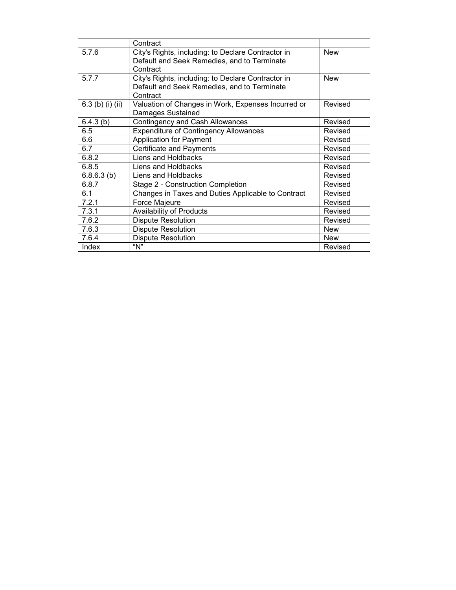|                  | Contract                                           |            |
|------------------|----------------------------------------------------|------------|
| 5.7.6            | City's Rights, including: to Declare Contractor in | <b>New</b> |
|                  | Default and Seek Remedies, and to Terminate        |            |
|                  | Contract                                           |            |
| 5.7.7            | City's Rights, including: to Declare Contractor in | <b>New</b> |
|                  | Default and Seek Remedies, and to Terminate        |            |
|                  | Contract                                           |            |
| 6.3 (b) (i) (ii) | Valuation of Changes in Work, Expenses Incurred or | Revised    |
|                  | Damages Sustained                                  |            |
| 6.4.3(b)         | Contingency and Cash Allowances                    | Revised    |
| 6.5              | <b>Expenditure of Contingency Allowances</b>       | Revised    |
| 6.6              | <b>Application for Payment</b>                     | Revised    |
| 6.7              | <b>Certificate and Payments</b>                    | Revised    |
| 6.8.2            | Liens and Holdbacks                                | Revised    |
| 6.8.5            | Liens and Holdbacks                                | Revised    |
| 6.8.6.3(b)       | Liens and Holdbacks                                | Revised    |
| 6.8.7            | Stage 2 - Construction Completion                  | Revised    |
| 6.1              | Changes in Taxes and Duties Applicable to Contract | Revised    |
| 7.2.1            | Force Majeure                                      | Revised    |
| 7.3.1            | <b>Availability of Products</b>                    | Revised    |
| 7.6.2            | <b>Dispute Resolution</b>                          | Revised    |
| 7.6.3            | <b>Dispute Resolution</b>                          | <b>New</b> |
| 7.6.4            | <b>Dispute Resolution</b>                          | <b>New</b> |
| Index            | " $N$ "                                            | Revised    |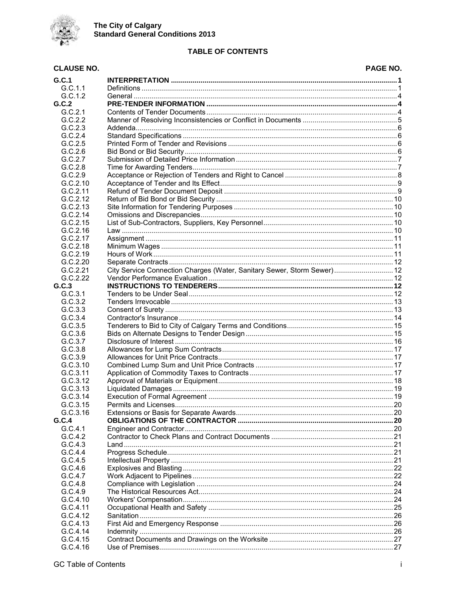

### **TABLE OF CONTENTS**

#### **CLAUSE NO. PAGE NO.**  $G.C.1$  $G.C.1.1$  $G.C.1.2$  $G.C.2$  $G.C.2.1$  $G.C.2.2$  $G.C.2.3$  $G.C.2.4$  $G.C.2.5$  $G.C.2.6$  $G.C.2.7$  $G.C.2.8$  $G.C.2.9$  $G.C.2.10$  $G.C.2.11$  $G.C.2.12$  $G.C.2.13$  $G.C.2.14$  $G.C.2.15$  $G.C.2.16$  $G.C.2.17$  $G.C.2.18$  $G.C.2.19$  $G.C.2.20$ City Service Connection Charges (Water, Sanitary Sewer, Storm Sewer).............................. 12  $G.C.2.21$  $G.C.2.22$  $G.C.3$  $G.C.3.1$  $G.C.3.2$  $G.C.3.3$  $G.C.3.4$  $G C 35$  $G.C.3.6$  $G.C.3.7$  $G.C.3.8$  $G.C.3.9$ G.C.3.10 G.C.3.11  $G.C.3.12$  $G.C.3.13$  $G.C.3.14$ G.C.3.15  $G.C.3.16$  $G.C.4$  $G.C.4.1$  $G.C.4.2$  $G.C.4.3$  $G.C.4.4$  $G.C.4.5$  $G.C.4.6$  $G.C.4.7$ G.C.4.8  $G.C.4.9$  $G.C.4.10$ G.C.4.11 G.C.4.12  $G.C.4.13$  $G.C.4.14$

 $G.C.4.15$  $G.C.4.16$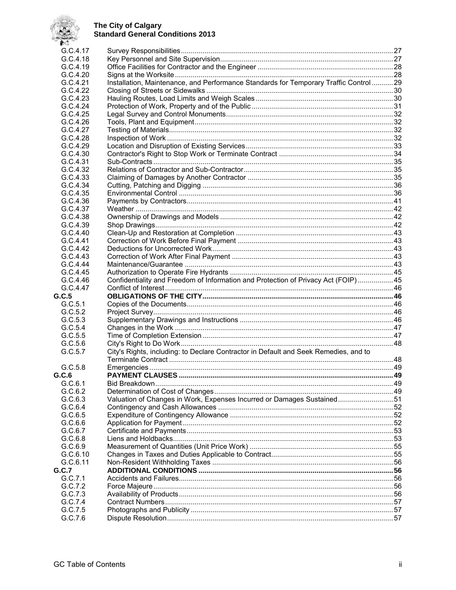

| <b>ALC:</b> |                                                                                      |  |
|-------------|--------------------------------------------------------------------------------------|--|
| G.C.4.17    |                                                                                      |  |
| G.C.4.18    |                                                                                      |  |
| G.C.4.19    |                                                                                      |  |
| G.C.4.20    |                                                                                      |  |
| G.C.4.21    | Installation, Maintenance, and Performance Standards for Temporary Traffic Control29 |  |
| G.C.4.22    |                                                                                      |  |
| G.C.4.23    |                                                                                      |  |
| G.C.4.24    |                                                                                      |  |
| G.C.4.25    |                                                                                      |  |
| G.C.4.26    |                                                                                      |  |
| G.C.4.27    |                                                                                      |  |
| G.C.4.28    |                                                                                      |  |
| G.C.4.29    |                                                                                      |  |
| G.C.4.30    |                                                                                      |  |
| G.C.4.31    |                                                                                      |  |
| G.C.4.32    |                                                                                      |  |
| G.C.4.33    |                                                                                      |  |
| G.C.4.34    |                                                                                      |  |
| G.C.4.35    |                                                                                      |  |
| G.C.4.36    |                                                                                      |  |
| G.C.4.37    |                                                                                      |  |
| G.C.4.38    |                                                                                      |  |
| G.C.4.39    |                                                                                      |  |
| G.C.4.40    |                                                                                      |  |
| G.C.4.41    |                                                                                      |  |
| G.C.4.42    |                                                                                      |  |
| G.C.4.43    |                                                                                      |  |
| G.C.4.44    |                                                                                      |  |
| G.C.4.45    |                                                                                      |  |
| G.C.4.46    | Confidentiality and Freedom of Information and Protection of Privacy Act (FOIP) 45   |  |
| G.C.4.47    |                                                                                      |  |
| G.C.5       |                                                                                      |  |
| G.C.5.1     |                                                                                      |  |
| G.C.5.2     |                                                                                      |  |
| G.C.5.3     |                                                                                      |  |
| G.C.5.4     |                                                                                      |  |
| G.C.5.5     |                                                                                      |  |
| G.C.5.6     |                                                                                      |  |
| G.C.5.7     | City's Rights, including: to Declare Contractor in Default and Seek Remedies, and to |  |
|             |                                                                                      |  |
| G.C.5.8     |                                                                                      |  |
| G.C.6       | <b>PAYMENT CLAUSES</b>                                                               |  |
| G.C.6.1     |                                                                                      |  |
| G.C.6.2     |                                                                                      |  |
| G.C.6.3     | Valuation of Changes in Work, Expenses Incurred or Damages Sustained51               |  |
| G.C.6.4     |                                                                                      |  |
| G.C.6.5     |                                                                                      |  |
| G.C.6.6     |                                                                                      |  |
| G.C.6.7     |                                                                                      |  |
| G.C.6.8     |                                                                                      |  |
| G.C.6.9     |                                                                                      |  |
| G.C.6.10    |                                                                                      |  |
| G.C.6.11    |                                                                                      |  |
| G.C.7       |                                                                                      |  |
| G.C.7.1     |                                                                                      |  |
| G.C.7.2     |                                                                                      |  |
| G.C.7.3     |                                                                                      |  |
| G.C.7.4     |                                                                                      |  |
| G.C.7.5     |                                                                                      |  |
| G.C.7.6     |                                                                                      |  |
|             |                                                                                      |  |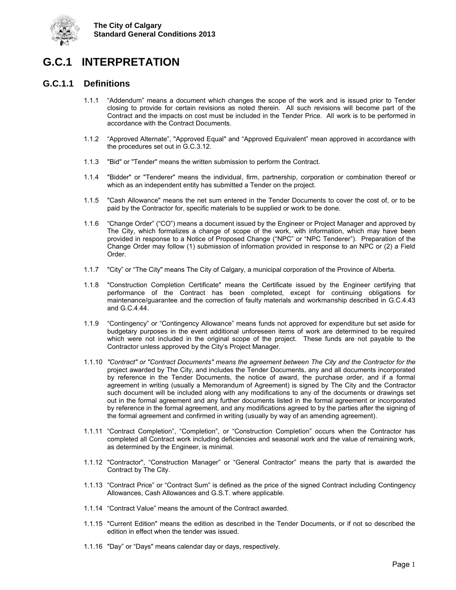

## <span id="page-6-0"></span>**G.C.1 INTERPRETATION**

## <span id="page-6-1"></span>**G.C.1.1 Definitions**

- 1.1.1 "Addendum" means a document which changes the scope of the work and is issued prior to Tender closing to provide for certain revisions as noted therein. All such revisions will become part of the Contract and the impacts on cost must be included in the Tender Price. All work is to be performed in accordance with the Contract Documents.
- 1.1.2 "Approved Alternate", "Approved Equal" and "Approved Equivalent" mean approved in accordance with the procedures set out in G.C.3.12.
- 1.1.3 "Bid" or "Tender" means the written submission to perform the Contract.
- 1.1.4 "Bidder" or "Tenderer" means the individual, firm, partnership, corporation or combination thereof or which as an independent entity has submitted a Tender on the project.
- 1.1.5 "Cash Allowance" means the net sum entered in the Tender Documents to cover the cost of, or to be paid by the Contractor for, specific materials to be supplied or work to be done.
- 1.1.6 "Change Order" ("CO") means a document issued by the Engineer or Project Manager and approved by The City, which formalizes a change of scope of the work, with information, which may have been provided in response to a Notice of Proposed Change ("NPC" or "NPC Tenderer"). Preparation of the Change Order may follow (1) submission of information provided in response to an NPC or (2) a Field Order.
- 1.1.7 "City" or "The City" means The City of Calgary, a municipal corporation of the Province of Alberta.
- 1.1.8 "Construction Completion Certificate" means the Certificate issued by the Engineer certifying that performance of the Contract has been completed, except for continuing obligations for maintenance/guarantee and the correction of faulty materials and workmanship described in G.C.4.43 and G.C.4.44.
- 1.1.9 "Contingency" or "Contingency Allowance" means funds not approved for expenditure but set aside for budgetary purposes in the event additional unforeseen items of work are determined to be required which were not included in the original scope of the project. These funds are not payable to the Contractor unless approved by the City's Project Manager.
- 1.1.10 *"Contract" or "Contract Documents" means the agreement between The City and the Contractor for the* project awarded by The City, and includes the Tender Documents, any and all documents incorporated by reference in the Tender Documents, the notice of award, the purchase order, and if a formal agreement in writing (usually a Memorandum of Agreement) is signed by The City and the Contractor such document will be included along with any modifications to any of the documents or drawings set out in the formal agreement and any further documents listed in the formal agreement or incorporated by reference in the formal agreement, and any modifications agreed to by the parties after the signing of the formal agreement and confirmed in writing (usually by way of an amending agreement).
- 1.1.11 "Contract Completion", "Completion", or "Construction Completion" occurs when the Contractor has completed all Contract work including deficiencies and seasonal work and the value of remaining work, as determined by the Engineer, is minimal.
- 1.1.12 "Contractor", "Construction Manager" or "General Contractor" means the party that is awarded the Contract by The City.
- 1.1.13 "Contract Price" or "Contract Sum" is defined as the price of the signed Contract including Contingency Allowances, Cash Allowances and G.S.T. where applicable.
- 1.1.14 "Contract Value" means the amount of the Contract awarded.
- 1.1.15 "Current Edition" means the edition as described in the Tender Documents, or if not so described the edition in effect when the tender was issued.
- 1.1.16 "Day" or "Days" means calendar day or days, respectively.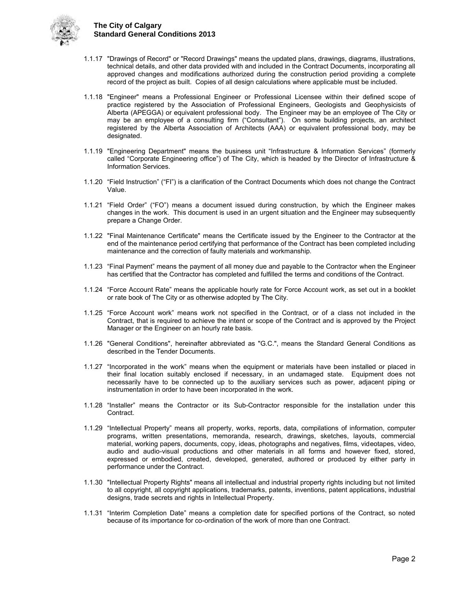

- 1.1.17 "Drawings of Record" or "Record Drawings" means the updated plans, drawings, diagrams, illustrations, technical details, and other data provided with and included in the Contract Documents, incorporating all approved changes and modifications authorized during the construction period providing a complete record of the project as built. Copies of all design calculations where applicable must be included.
- 1.1.18 "Engineer" means a Professional Engineer or Professional Licensee within their defined scope of practice registered by the Association of Professional Engineers, Geologists and Geophysicists of Alberta (APEGGA) or equivalent professional body. The Engineer may be an employee of The City or may be an employee of a consulting firm ("Consultant"). On some building projects, an architect registered by the Alberta Association of Architects (AAA) or equivalent professional body, may be designated.
- 1.1.19 "Engineering Department" means the business unit "Infrastructure & Information Services" (formerly called "Corporate Engineering office") of The City, which is headed by the Director of Infrastructure & Information Services.
- 1.1.20 "Field Instruction" ("FI") is a clarification of the Contract Documents which does not change the Contract Value.
- 1.1.21 "Field Order" ("FO") means a document issued during construction, by which the Engineer makes changes in the work. This document is used in an urgent situation and the Engineer may subsequently prepare a Change Order.
- 1.1.22 "Final Maintenance Certificate" means the Certificate issued by the Engineer to the Contractor at the end of the maintenance period certifying that performance of the Contract has been completed including maintenance and the correction of faulty materials and workmanship.
- 1.1.23 "Final Payment" means the payment of all money due and payable to the Contractor when the Engineer has certified that the Contractor has completed and fulfilled the terms and conditions of the Contract.
- 1.1.24 "Force Account Rate" means the applicable hourly rate for Force Account work, as set out in a booklet or rate book of The City or as otherwise adopted by The City.
- 1.1.25 "Force Account work" means work not specified in the Contract, or of a class not included in the Contract, that is required to achieve the intent or scope of the Contract and is approved by the Project Manager or the Engineer on an hourly rate basis.
- 1.1.26 "General Conditions", hereinafter abbreviated as "G.C.", means the Standard General Conditions as described in the Tender Documents.
- 1.1.27 "Incorporated in the work" means when the equipment or materials have been installed or placed in their final location suitably enclosed if necessary, in an undamaged state. Equipment does not necessarily have to be connected up to the auxiliary services such as power, adjacent piping or instrumentation in order to have been incorporated in the work.
- 1.1.28 "Installer" means the Contractor or its Sub-Contractor responsible for the installation under this Contract.
- 1.1.29 "Intellectual Property" means all property, works, reports, data, compilations of information, computer programs, written presentations, memoranda, research, drawings, sketches, layouts, commercial material, working papers, documents, copy, ideas, photographs and negatives, films, videotapes, video, audio and audio-visual productions and other materials in all forms and however fixed, stored, expressed or embodied, created, developed, generated, authored or produced by either party in performance under the Contract.
- 1.1.30 "Intellectual Property Rights" means all intellectual and industrial property rights including but not limited to all copyright, all copyright applications, trademarks, patents, inventions, patent applications, industrial designs, trade secrets and rights in Intellectual Property.
- 1.1.31 "Interim Completion Date" means a completion date for specified portions of the Contract, so noted because of its importance for co-ordination of the work of more than one Contract.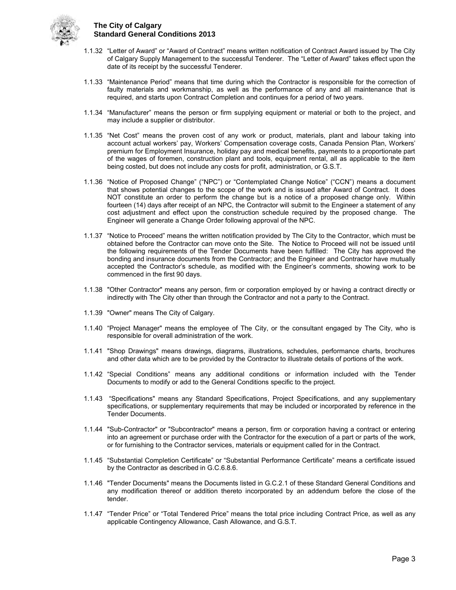

- 1.1.32 "Letter of Award" or "Award of Contract" means written notification of Contract Award issued by The City of Calgary Supply Management to the successful Tenderer. The "Letter of Award" takes effect upon the date of its receipt by the successful Tenderer.
- 1.1.33 "Maintenance Period" means that time during which the Contractor is responsible for the correction of faulty materials and workmanship, as well as the performance of any and all maintenance that is required, and starts upon Contract Completion and continues for a period of two years.
- 1.1.34 "Manufacturer" means the person or firm supplying equipment or material or both to the project, and may include a supplier or distributor.
- 1.1.35 "Net Cost" means the proven cost of any work or product, materials, plant and labour taking into account actual workers' pay, Workers' Compensation coverage costs, Canada Pension Plan, Workers' premium for Employment Insurance, holiday pay and medical benefits, payments to a proportionate part of the wages of foremen, construction plant and tools, equipment rental, all as applicable to the item being costed, but does not include any costs for profit, administration, or G.S.T.
- 1.1.36 "Notice of Proposed Change" ("NPC") or "Contemplated Change Notice" ("CCN") means a document that shows potential changes to the scope of the work and is issued after Award of Contract. It does NOT constitute an order to perform the change but is a notice of a proposed change only. Within fourteen (14) days after receipt of an NPC, the Contractor will submit to the Engineer a statement of any cost adjustment and effect upon the construction schedule required by the proposed change. The Engineer will generate a Change Order following approval of the NPC.
- 1.1.37 "Notice to Proceed" means the written notification provided by The City to the Contractor, which must be obtained before the Contractor can move onto the Site. The Notice to Proceed will not be issued until the following requirements of the Tender Documents have been fulfilled: The City has approved the bonding and insurance documents from the Contractor; and the Engineer and Contractor have mutually accepted the Contractor's schedule, as modified with the Engineer's comments, showing work to be commenced in the first 90 days.
- 1.1.38 "Other Contractor" means any person, firm or corporation employed by or having a contract directly or indirectly with The City other than through the Contractor and not a party to the Contract.
- 1.1.39 "Owner" means The City of Calgary.
- 1.1.40 "Project Manager" means the employee of The City, or the consultant engaged by The City, who is responsible for overall administration of the work.
- 1.1.41 "Shop Drawings" means drawings, diagrams, illustrations, schedules, performance charts, brochures and other data which are to be provided by the Contractor to illustrate details of portions of the work.
- 1.1.42 "Special Conditions" means any additional conditions or information included with the Tender Documents to modify or add to the General Conditions specific to the project.
- 1.1.43 "Specifications" means any Standard Specifications, Project Specifications, and any supplementary specifications, or supplementary requirements that may be included or incorporated by reference in the Tender Documents.
- 1.1.44 "Sub-Contractor" or "Subcontractor" means a person, firm or corporation having a contract or entering into an agreement or purchase order with the Contractor for the execution of a part or parts of the work, or for furnishing to the Contractor services, materials or equipment called for in the Contract.
- 1.1.45 "Substantial Completion Certificate" or "Substantial Performance Certificate" means a certificate issued by the Contractor as described in G.C.6.8.6.
- 1.1.46 "Tender Documents" means the Documents listed in G.C.2.1 of these Standard General Conditions and any modification thereof or addition thereto incorporated by an addendum before the close of the tender.
- 1.1.47 "Tender Price" or "Total Tendered Price" means the total price including Contract Price, as well as any applicable Contingency Allowance, Cash Allowance, and G.S.T.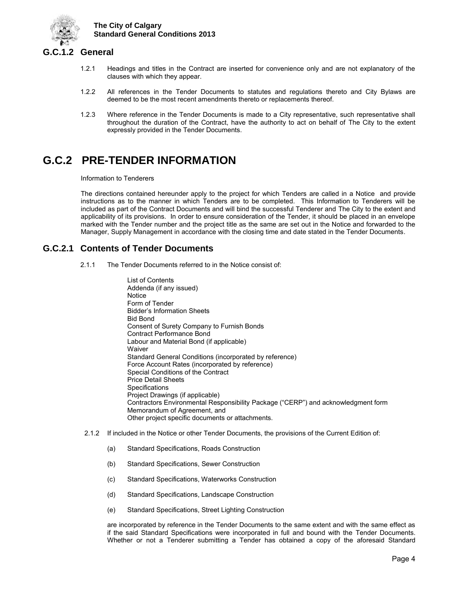

## <span id="page-9-0"></span>**G.C.1.2 General**

- 1.2.1 Headings and titles in the Contract are inserted for convenience only and are not explanatory of the clauses with which they appear.
- 1.2.2 All references in the Tender Documents to statutes and regulations thereto and City Bylaws are deemed to be the most recent amendments thereto or replacements thereof.
- 1.2.3 Where reference in the Tender Documents is made to a City representative, such representative shall throughout the duration of the Contract, have the authority to act on behalf of The City to the extent expressly provided in the Tender Documents.

## <span id="page-9-1"></span>**G.C.2 PRE-TENDER INFORMATION**

Information to Tenderers

The directions contained hereunder apply to the project for which Tenders are called in a Notice and provide instructions as to the manner in which Tenders are to be completed. This Information to Tenderers will be included as part of the Contract Documents and will bind the successful Tenderer and The City to the extent and applicability of its provisions. In order to ensure consideration of the Tender, it should be placed in an envelope marked with the Tender number and the project title as the same are set out in the Notice and forwarded to the Manager, Supply Management in accordance with the closing time and date stated in the Tender Documents.

## <span id="page-9-2"></span>**G.C.2.1 Contents of Tender Documents**

- 2.1.1 The Tender Documents referred to in the Notice consist of:
	- List of Contents Addenda (if any issued) **Notice** Form of Tender Bidder's Information Sheets Bid Bond Consent of Surety Company to Furnish Bonds Contract Performance Bond Labour and Material Bond (if applicable) **Waiver** Standard General Conditions (incorporated by reference) Force Account Rates (incorporated by reference) Special Conditions of the Contract Price Detail Sheets **Specifications** Project Drawings (if applicable) Contractors Environmental Responsibility Package ("CERP") and acknowledgment form Memorandum of Agreement, and Other project specific documents or attachments.
- 2.1.2 If included in the Notice or other Tender Documents, the provisions of the Current Edition of:
	- (a) Standard Specifications, Roads Construction
	- (b) Standard Specifications, Sewer Construction
	- (c) Standard Specifications, Waterworks Construction
	- (d) Standard Specifications, Landscape Construction
	- (e) Standard Specifications, Street Lighting Construction

are incorporated by reference in the Tender Documents to the same extent and with the same effect as if the said Standard Specifications were incorporated in full and bound with the Tender Documents. Whether or not a Tenderer submitting a Tender has obtained a copy of the aforesaid Standard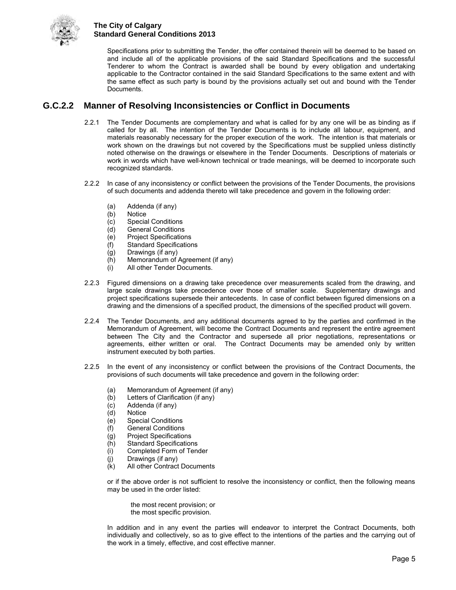

Specifications prior to submitting the Tender, the offer contained therein will be deemed to be based on and include all of the applicable provisions of the said Standard Specifications and the successful Tenderer to whom the Contract is awarded shall be bound by every obligation and undertaking applicable to the Contractor contained in the said Standard Specifications to the same extent and with the same effect as such party is bound by the provisions actually set out and bound with the Tender Documents.

## <span id="page-10-0"></span>**G.C.2.2 Manner of Resolving Inconsistencies or Conflict in Documents**

- 2.2.1 The Tender Documents are complementary and what is called for by any one will be as binding as if called for by all. The intention of the Tender Documents is to include all labour, equipment, and materials reasonably necessary for the proper execution of the work. The intention is that materials or work shown on the drawings but not covered by the Specifications must be supplied unless distinctly noted otherwise on the drawings or elsewhere in the Tender Documents. Descriptions of materials or work in words which have well-known technical or trade meanings, will be deemed to incorporate such recognized standards.
- 2.2.2 In case of any inconsistency or conflict between the provisions of the Tender Documents, the provisions of such documents and addenda thereto will take precedence and govern in the following order:
	- (a) Addenda (if any)
	- (b) Notice
	- (c) Special Conditions
	- (d) General Conditions
	- (e) Project Specifications
	- **Standard Specifications**
	- $(g)$  Drawings (if any)
	- (h) Memorandum of Agreement (if any)
	- (i) All other Tender Documents.
- 2.2.3 Figured dimensions on a drawing take precedence over measurements scaled from the drawing, and large scale drawings take precedence over those of smaller scale. Supplementary drawings and project specifications supersede their antecedents. In case of conflict between figured dimensions on a drawing and the dimensions of a specified product, the dimensions of the specified product will govern.
- 2.2.4 The Tender Documents, and any additional documents agreed to by the parties and confirmed in the Memorandum of Agreement, will become the Contract Documents and represent the entire agreement between The City and the Contractor and supersede all prior negotiations, representations or agreements, either written or oral. The Contract Documents may be amended only by written instrument executed by both parties.
- 2.2.5 In the event of any inconsistency or conflict between the provisions of the Contract Documents, the provisions of such documents will take precedence and govern in the following order:
	- (a) Memorandum of Agreement (if any)<br>(b) Letters of Clarification (if any)
	- Letters of Clarification (if any)
	- (c) Addenda (if any)
	- **Notice**
	- (e) Special Conditions
	- (f) General Conditions
	- (g) Project Specifications
	- (h) Standard Specifications
	- (i) Completed Form of Tender
	- (j) Drawings (if any)<br>(k) All other Contract
	- All other Contract Documents

or if the above order is not sufficient to resolve the inconsistency or conflict, then the following means may be used in the order listed:

 the most recent provision; or the most specific provision.

 In addition and in any event the parties will endeavor to interpret the Contract Documents, both individually and collectively, so as to give effect to the intentions of the parties and the carrying out of the work in a timely, effective, and cost effective manner.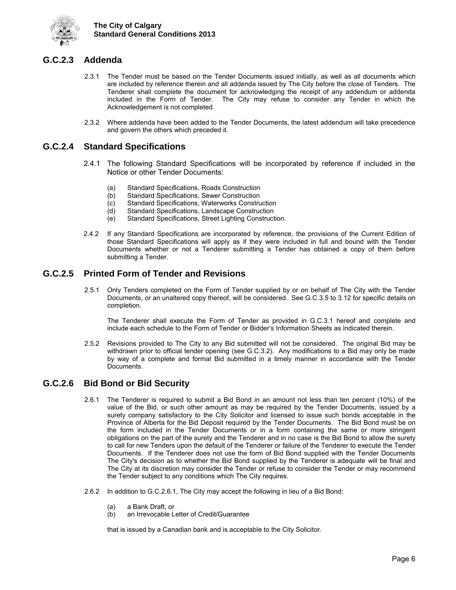

## <span id="page-11-0"></span>**G.C.2.3 Addenda**

- 2.3.1 The Tender must be based on the Tender Documents issued initially, as well as all documents which are included by reference therein and all addenda issued by The City before the close of Tenders. The Tenderer shall complete the document for acknowledging the receipt of any addendum or addenda included in the Form of Tender. The City may refuse to consider any Tender in which the Acknowledgement is not completed.
- 2.3.2 Where addenda have been added to the Tender Documents, the latest addendum will take precedence and govern the others which preceded it.

## <span id="page-11-1"></span>**G.C.2.4 Standard Specifications**

- 2.4.1 The following Standard Specifications will be incorporated by reference if included in the Notice or other Tender Documents:
	- (a) Standard Specifications, Roads Construction
	- (b) Standard Specifications, Sewer Construction<br>(c) Standard Specifications, Waterworks Constru
	- Standard Specifications, Waterworks Construction
	- (d) Standard Specifications, Landscape Construction
	- (e) Standard Specifications, Street Lighting Construction.
- 2.4.2 If any Standard Specifications are incorporated by reference, the provisions of the Current Edition of those Standard Specifications will apply as if they were included in full and bound with the Tender Documents whether or not a Tenderer submitting a Tender has obtained a copy of them before submitting a Tender.

## <span id="page-11-2"></span>**G.C.2.5 Printed Form of Tender and Revisions**

2.5.1 Only Tenders completed on the Form of Tender supplied by or on behalf of The City with the Tender Documents, or an unaltered copy thereof, will be considered. See G.C.3.5 to 3.12 for specific details on completion.

 The Tenderer shall execute the Form of Tender as provided in G.C.3.1 hereof and complete and include each schedule to the Form of Tender or Bidder's Information Sheets as indicated therein.

2.5.2 Revisions provided to The City to any Bid submitted will not be considered. The original Bid may be withdrawn prior to official tender opening (see G.C.3.2). Any modifications to a Bid may only be made by way of a complete and formal Bid submitted in a timely manner in accordance with the Tender Documents.

## <span id="page-11-3"></span>**G.C.2.6 Bid Bond or Bid Security**

- 2.6.1 The Tenderer is required to submit a Bid Bond in an amount not less than ten percent (10%) of the value of the Bid, or such other amount as may be required by the Tender Documents, issued by a surety company satisfactory to the City Solicitor and licensed to issue such bonds acceptable in the Province of Alberta for the Bid Deposit required by the Tender Documents. The Bid Bond must be on the form included in the Tender Documents or in a form containing the same or more stringent obligations on the part of the surety and the Tenderer and in no case is the Bid Bond to allow the surety to call for new Tenders upon the default of the Tenderer or failure of the Tenderer to execute the Tender Documents. If the Tenderer does not use the form of Bid Bond supplied with the Tender Documents The City's decision as to whether the Bid Bond supplied by the Tenderer is adequate will be final and The City at its discretion may consider the Tender or refuse to consider the Tender or may recommend the Tender subject to any conditions which The City requires.
- 2.6.2 In addition to G.C.2.6.1, The City may accept the following in lieu of a Bid Bond:
	- (a) a Bank Draft, or
	- (b) an Irrevocable Letter of Credit/Guarantee

that is issued by a Canadian bank and is acceptable to the City Solicitor.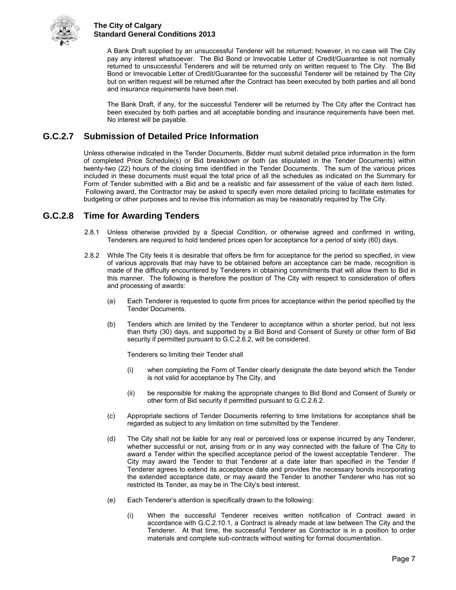

 A Bank Draft supplied by an unsuccessful Tenderer will be returned; however, in no case will The City pay any interest whatsoever. The Bid Bond or Irrevocable Letter of Credit/Guarantee is not normally returned to unsuccessful Tenderers and will be returned only on written request to The City. The Bid Bond or Irrevocable Letter of Credit/Guarantee for the successful Tenderer will be retained by The City but on written request will be returned after the Contract has been executed by both parties and all bond and insurance requirements have been met.

 The Bank Draft, if any, for the successful Tenderer will be returned by The City after the Contract has been executed by both parties and all acceptable bonding and insurance requirements have been met. No interest will be payable.

## <span id="page-12-0"></span>**G.C.2.7 Submission of Detailed Price Information**

Unless otherwise indicated in the Tender Documents, Bidder must submit detailed price information in the form of completed Price Schedule(s) or Bid breakdown or both (as stipulated in the Tender Documents) within twenty-two (22) hours of the closing time identified in the Tender Documents. The sum of the various prices included in these documents must equal the total price of all the schedules as indicated on the Summary for Form of Tender submitted with a Bid and be a realistic and fair assessment of the value of each item listed. Following award, the Contractor may be asked to specify even more detailed pricing to facilitate estimates for budgeting or other purposes and to revise this information as may be reasonably required by The City.

## <span id="page-12-1"></span>**G.C.2.8 Time for Awarding Tenders**

- 2.8.1 Unless otherwise provided by a Special Condition, or otherwise agreed and confirmed in writing, Tenderers are required to hold tendered prices open for acceptance for a period of sixty (60) days.
- 2.8.2 While The City feels it is desirable that offers be firm for acceptance for the period so specified, in view of various approvals that may have to be obtained before an acceptance can be made, recognition is made of the difficulty encountered by Tenderers in obtaining commitments that will allow them to Bid in this manner. The following is therefore the position of The City with respect to consideration of offers and processing of awards:
	- (a) Each Tenderer is requested to quote firm prices for acceptance within the period specified by the Tender Documents.
	- (b) Tenders which are limited by the Tenderer to acceptance within a shorter period, but not less than thirty (30) days, and supported by a Bid Bond and Consent of Surety or other form of Bid security if permitted pursuant to G.C.2.6.2, will be considered.

Tenderers so limiting their Tender shall

- (i) when completing the Form of Tender clearly designate the date beyond which the Tender is not valid for acceptance by The City, and
- (ii) be responsible for making the appropriate changes to Bid Bond and Consent of Surety or other form of Bid security if permitted pursuant to G.C.2.6.2.
- (c) Appropriate sections of Tender Documents referring to time limitations for acceptance shall be regarded as subject to any limitation on time submitted by the Tenderer.
- (d) The City shall not be liable for any real or perceived loss or expense incurred by any Tenderer, whether successful or not, arising from or in any way connected with the failure of The City to award a Tender within the specified acceptance period of the lowest acceptable Tenderer. The City may award the Tender to that Tenderer at a date later than specified in the Tender if Tenderer agrees to extend its acceptance date and provides the necessary bonds incorporating the extended acceptance date, or may award the Tender to another Tenderer who has not so restricted its Tender, as may be in The City's best interest.
- (e) Each Tenderer's attention is specifically drawn to the following:
	- (i) When the successful Tenderer receives written notification of Contract award in accordance with G.C.2.10.1, a Contract is already made at law between The City and the Tenderer. At that time, the successful Tenderer as Contractor is in a position to order materials and complete sub-contracts without waiting for formal documentation.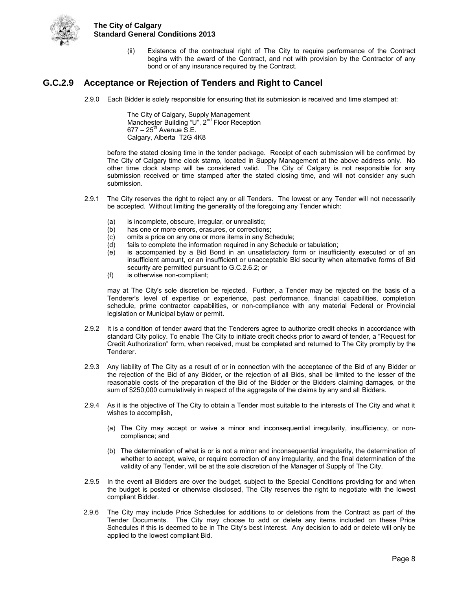

(ii) Existence of the contractual right of The City to require performance of the Contract begins with the award of the Contract, and not with provision by the Contractor of any bond or of any insurance required by the Contract.

## <span id="page-13-0"></span>**G.C.2.9 Acceptance or Rejection of Tenders and Right to Cancel**

2.9.0 Each Bidder is solely responsible for ensuring that its submission is received and time stamped at:

The City of Calgary, Supply Management Manchester Building "U", 2<sup>nd</sup> Floor Reception  $677 - 25^{th}$  Avenue S.E. Calgary, Alberta T2G 4K8

before the stated closing time in the tender package. Receipt of each submission will be confirmed by The City of Calgary time clock stamp, located in Supply Management at the above address only. No other time clock stamp will be considered valid. The City of Calgary is not responsible for any submission received or time stamped after the stated closing time, and will not consider any such submission.

- 2.9.1 The City reserves the right to reject any or all Tenders. The lowest or any Tender will not necessarily be accepted. Without limiting the generality of the foregoing any Tender which:
	- (a) is incomplete, obscure, irregular, or unrealistic;
	- (b) has one or more errors, erasures, or corrections;
	- (c) omits a price on any one or more items in any Schedule;
	- (d) fails to complete the information required in any Schedule or tabulation;
	- (e) is accompanied by a Bid Bond in an unsatisfactory form or insufficiently executed or of an insufficient amount, or an insufficient or unacceptable Bid security when alternative forms of Bid security are permitted pursuant to G.C.2.6.2; or
	- (f) is otherwise non-compliant;

may at The City's sole discretion be rejected. Further, a Tender may be rejected on the basis of a Tenderer's level of expertise or experience, past performance, financial capabilities, completion schedule, prime contractor capabilities, or non-compliance with any material Federal or Provincial legislation or Municipal bylaw or permit.

- 2.9.2 It is a condition of tender award that the Tenderers agree to authorize credit checks in accordance with standard City policy. To enable The City to initiate credit checks prior to award of tender, a "Request for Credit Authorization" form, when received, must be completed and returned to The City promptly by the Tenderer.
- 2.9.3 Any liability of The City as a result of or in connection with the acceptance of the Bid of any Bidder or the rejection of the Bid of any Bidder, or the rejection of all Bids, shall be limited to the lesser of the reasonable costs of the preparation of the Bid of the Bidder or the Bidders claiming damages, or the sum of \$250,000 cumulatively in respect of the aggregate of the claims by any and all Bidders.
- 2.9.4 As it is the objective of The City to obtain a Tender most suitable to the interests of The City and what it wishes to accomplish,
	- (a) The City may accept or waive a minor and inconsequential irregularity, insufficiency, or noncompliance; and
	- (b) The determination of what is or is not a minor and inconsequential irregularity, the determination of whether to accept, waive, or require correction of any irregularity, and the final determination of the validity of any Tender, will be at the sole discretion of the Manager of Supply of The City.
- 2.9.5 In the event all Bidders are over the budget, subject to the Special Conditions providing for and when the budget is posted or otherwise disclosed, The City reserves the right to negotiate with the lowest compliant Bidder.
- 2.9.6 The City may include Price Schedules for additions to or deletions from the Contract as part of the Tender Documents. The City may choose to add or delete any items included on these Price Schedules if this is deemed to be in The City's best interest. Any decision to add or delete will only be applied to the lowest compliant Bid.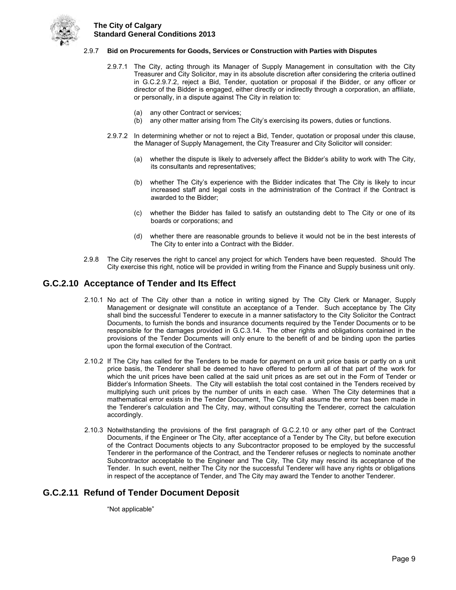

#### 2.9.7 **Bid on Procurements for Goods, Services or Construction with Parties with Disputes**

- 2.9.7.1 The City, acting through its Manager of Supply Management in consultation with the City Treasurer and City Solicitor, may in its absolute discretion after considering the criteria outlined in G.C.2.9.7.2, reject a Bid, Tender, quotation or proposal if the Bidder, or any officer or director of the Bidder is engaged, either directly or indirectly through a corporation, an affiliate, or personally, in a dispute against The City in relation to:
	- (a) any other Contract or services;
	- (b) any other matter arising from The City's exercising its powers, duties or functions.
- 2.9.7.2 In determining whether or not to reject a Bid, Tender, quotation or proposal under this clause, the Manager of Supply Management, the City Treasurer and City Solicitor will consider:
	- (a) whether the dispute is likely to adversely affect the Bidder's ability to work with The City, its consultants and representatives;
	- (b) whether The City's experience with the Bidder indicates that The City is likely to incur increased staff and legal costs in the administration of the Contract if the Contract is awarded to the Bidder;
	- (c) whether the Bidder has failed to satisfy an outstanding debt to The City or one of its boards or corporations; and
	- (d) whether there are reasonable grounds to believe it would not be in the best interests of The City to enter into a Contract with the Bidder.
- 2.9.8 The City reserves the right to cancel any project for which Tenders have been requested. Should The City exercise this right, notice will be provided in writing from the Finance and Supply business unit only.

#### <span id="page-14-0"></span>**G.C.2.10 Acceptance of Tender and Its Effect**

- 2.10.1 No act of The City other than a notice in writing signed by The City Clerk or Manager, Supply Management or designate will constitute an acceptance of a Tender. Such acceptance by The City shall bind the successful Tenderer to execute in a manner satisfactory to the City Solicitor the Contract Documents, to furnish the bonds and insurance documents required by the Tender Documents or to be responsible for the damages provided in G.C.3.14. The other rights and obligations contained in the provisions of the Tender Documents will only enure to the benefit of and be binding upon the parties upon the formal execution of the Contract.
- 2.10.2 If The City has called for the Tenders to be made for payment on a unit price basis or partly on a unit price basis, the Tenderer shall be deemed to have offered to perform all of that part of the work for which the unit prices have been called at the said unit prices as are set out in the Form of Tender or Bidder's Information Sheets. The City will establish the total cost contained in the Tenders received by multiplying such unit prices by the number of units in each case. When The City determines that a mathematical error exists in the Tender Document, The City shall assume the error has been made in the Tenderer's calculation and The City, may, without consulting the Tenderer, correct the calculation accordingly.
- 2.10.3 Notwithstanding the provisions of the first paragraph of G.C.2.10 or any other part of the Contract Documents, if the Engineer or The City, after acceptance of a Tender by The City, but before execution of the Contract Documents objects to any Subcontractor proposed to be employed by the successful Tenderer in the performance of the Contract, and the Tenderer refuses or neglects to nominate another Subcontractor acceptable to the Engineer and The City, The City may rescind its acceptance of the Tender. In such event, neither The City nor the successful Tenderer will have any rights or obligations in respect of the acceptance of Tender, and The City may award the Tender to another Tenderer.

### <span id="page-14-1"></span>**G.C.2.11 Refund of Tender Document Deposit**

"Not applicable"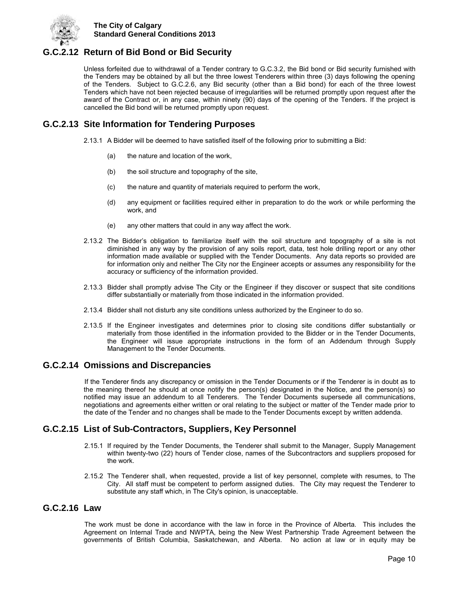

## <span id="page-15-0"></span>**G.C.2.12 Return of Bid Bond or Bid Security**

Unless forfeited due to withdrawal of a Tender contrary to G.C.3.2, the Bid bond or Bid security furnished with the Tenders may be obtained by all but the three lowest Tenderers within three (3) days following the opening of the Tenders. Subject to G.C.2.6, any Bid security (other than a Bid bond) for each of the three lowest Tenders which have not been rejected because of irregularities will be returned promptly upon request after the award of the Contract or, in any case, within ninety (90) days of the opening of the Tenders. If the project is cancelled the Bid bond will be returned promptly upon request.

## <span id="page-15-1"></span>**G.C.2.13 Site Information for Tendering Purposes**

- 2.13.1 A Bidder will be deemed to have satisfied itself of the following prior to submitting a Bid:
	- (a) the nature and location of the work,
	- (b) the soil structure and topography of the site,
	- (c) the nature and quantity of materials required to perform the work,
	- (d) any equipment or facilities required either in preparation to do the work or while performing the work, and
	- (e) any other matters that could in any way affect the work.
- 2.13.2 The Bidder's obligation to familiarize itself with the soil structure and topography of a site is not diminished in any way by the provision of any soils report, data, test hole drilling report or any other information made available or supplied with the Tender Documents. Any data reports so provided are for information only and neither The City nor the Engineer accepts or assumes any responsibility for the accuracy or sufficiency of the information provided.
- 2.13.3 Bidder shall promptly advise The City or the Engineer if they discover or suspect that site conditions differ substantially or materially from those indicated in the information provided.
- 2.13.4 Bidder shall not disturb any site conditions unless authorized by the Engineer to do so.
- 2.13.5 If the Engineer investigates and determines prior to closing site conditions differ substantially or materially from those identified in the information provided to the Bidder or in the Tender Documents, the Engineer will issue appropriate instructions in the form of an Addendum through Supply Management to the Tender Documents.

#### <span id="page-15-2"></span>**G.C.2.14 Omissions and Discrepancies**

If the Tenderer finds any discrepancy or omission in the Tender Documents or if the Tenderer is in doubt as to the meaning thereof he should at once notify the person(s) designated in the Notice, and the person(s) so notified may issue an addendum to all Tenderers. The Tender Documents supersede all communications, negotiations and agreements either written or oral relating to the subject or matter of the Tender made prior to the date of the Tender and no changes shall be made to the Tender Documents except by written addenda.

## <span id="page-15-3"></span>**G.C.2.15 List of Sub-Contractors, Suppliers, Key Personnel**

- 2.15.1 If required by the Tender Documents, the Tenderer shall submit to the Manager, Supply Management within twenty-two (22) hours of Tender close, names of the Subcontractors and suppliers proposed for the work.
- 2.15.2 The Tenderer shall, when requested, provide a list of key personnel, complete with resumes, to The City. All staff must be competent to perform assigned duties. The City may request the Tenderer to substitute any staff which, in The City's opinion, is unacceptable.

### <span id="page-15-4"></span>**G.C.2.16 Law**

The work must be done in accordance with the law in force in the Province of Alberta. This includes the Agreement on Internal Trade and NWPTA, being the New West Partnership Trade Agreement between the governments of British Columbia, Saskatchewan, and Alberta. No action at law or in equity may be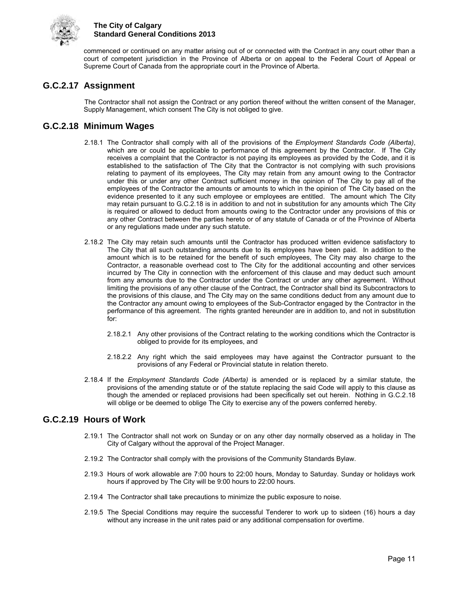

commenced or continued on any matter arising out of or connected with the Contract in any court other than a court of competent jurisdiction in the Province of Alberta or on appeal to the Federal Court of Appeal or Supreme Court of Canada from the appropriate court in the Province of Alberta.

## <span id="page-16-0"></span>**G.C.2.17 Assignment**

The Contractor shall not assign the Contract or any portion thereof without the written consent of the Manager, Supply Management, which consent The City is not obliged to give.

## <span id="page-16-1"></span>**G.C.2.18 Minimum Wages**

- 2.18.1 The Contractor shall comply with all of the provisions of the *Employment Standards Code (Alberta)*, which are or could be applicable to performance of this agreement by the Contractor. If The City receives a complaint that the Contractor is not paying its employees as provided by the Code, and it is established to the satisfaction of The City that the Contractor is not complying with such provisions relating to payment of its employees, The City may retain from any amount owing to the Contractor under this or under any other Contract sufficient money in the opinion of The City to pay all of the employees of the Contractor the amounts or amounts to which in the opinion of The City based on the evidence presented to it any such employee or employees are entitled. The amount which The City may retain pursuant to G.C.2.18 is in addition to and not in substitution for any amounts which The City is required or allowed to deduct from amounts owing to the Contractor under any provisions of this or any other Contract between the parties hereto or of any statute of Canada or of the Province of Alberta or any regulations made under any such statute.
- 2.18.2 The City may retain such amounts until the Contractor has produced written evidence satisfactory to The City that all such outstanding amounts due to its employees have been paid. In addition to the amount which is to be retained for the benefit of such employees, The City may also charge to the Contractor, a reasonable overhead cost to The City for the additional accounting and other services incurred by The City in connection with the enforcement of this clause and may deduct such amount from any amounts due to the Contractor under the Contract or under any other agreement. Without limiting the provisions of any other clause of the Contract, the Contractor shall bind its Subcontractors to the provisions of this clause, and The City may on the same conditions deduct from any amount due to the Contractor any amount owing to employees of the Sub-Contractor engaged by the Contractor in the performance of this agreement. The rights granted hereunder are in addition to, and not in substitution for:
	- 2.18.2.1 Any other provisions of the Contract relating to the working conditions which the Contractor is obliged to provide for its employees, and
	- 2.18.2.2 Any right which the said employees may have against the Contractor pursuant to the provisions of any Federal or Provincial statute in relation thereto.
- 2.18.4 If the *Employment Standards Code (Alberta)* is amended or is replaced by a similar statute, the provisions of the amending statute or of the statute replacing the said Code will apply to this clause as though the amended or replaced provisions had been specifically set out herein. Nothing in G.C.2.18 will oblige or be deemed to oblige The City to exercise any of the powers conferred hereby.

## <span id="page-16-2"></span>**G.C.2.19 Hours of Work**

- 2.19.1 The Contractor shall not work on Sunday or on any other day normally observed as a holiday in The City of Calgary without the approval of the Project Manager.
- 2.19.2 The Contractor shall comply with the provisions of the Community Standards Bylaw.
- 2.19.3 Hours of work allowable are 7:00 hours to 22:00 hours, Monday to Saturday. Sunday or holidays work hours if approved by The City will be 9:00 hours to 22:00 hours.
- 2.19.4 The Contractor shall take precautions to minimize the public exposure to noise.
- 2.19.5 The Special Conditions may require the successful Tenderer to work up to sixteen (16) hours a day without any increase in the unit rates paid or any additional compensation for overtime.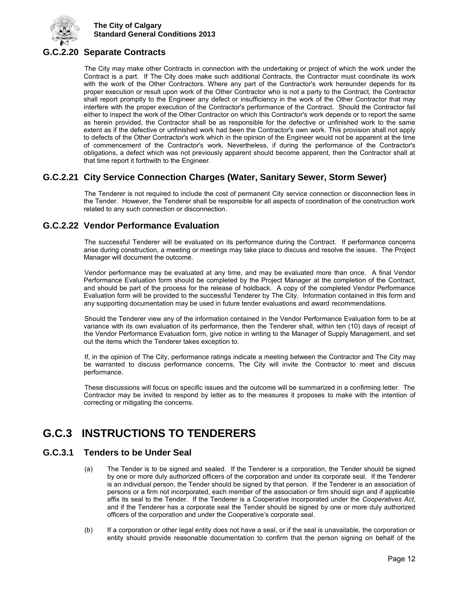

## <span id="page-17-0"></span>**G.C.2.20 Separate Contracts**

The City may make other Contracts in connection with the undertaking or project of which the work under the Contract is a part. If The City does make such additional Contracts, the Contractor must coordinate its work with the work of the Other Contractors. Where any part of the Contractor's work hereunder depends for its proper execution or result upon work of the Other Contractor who is not a party to the Contract, the Contractor shall report promptly to the Engineer any defect or insufficiency in the work of the Other Contractor that may interfere with the proper execution of the Contractor's performance of the Contract. Should the Contractor fail either to inspect the work of the Other Contractor on which this Contractor's work depends or to report the same as herein provided, the Contractor shall be as responsible for the defective or unfinished work to the same extent as if the defective or unfinished work had been the Contractor's own work. This provision shall not apply to defects of the Other Contractor's work which in the opinion of the Engineer would not be apparent at the time of commencement of the Contractor's work. Nevertheless, if during the performance of the Contractor's obligations, a defect which was not previously apparent should become apparent, then the Contractor shall at that time report it forthwith to the Engineer.

## <span id="page-17-1"></span>**G.C.2.21 City Service Connection Charges (Water, Sanitary Sewer, Storm Sewer)**

The Tenderer is not required to include the cost of permanent City service connection or disconnection fees in the Tender. However, the Tenderer shall be responsible for all aspects of coordination of the construction work related to any such connection or disconnection.

## <span id="page-17-2"></span>**G.C.2.22 Vendor Performance Evaluation**

The successful Tenderer will be evaluated on its performance during the Contract. If performance concerns arise during construction, a meeting or meetings may take place to discuss and resolve the issues. The Project Manager will document the outcome.

Vendor performance may be evaluated at any time, and may be evaluated more than once. A final Vendor Performance Evaluation form should be completed by the Project Manager at the completion of the Contract, and should be part of the process for the release of holdback. A copy of the completed Vendor Performance Evaluation form will be provided to the successful Tenderer by The City. Information contained in this form and any supporting documentation may be used in future tender evaluations and award recommendations.

Should the Tenderer view any of the information contained in the Vendor Performance Evaluation form to be at variance with its own evaluation of its performance, then the Tenderer shall, within ten (10) days of receipt of the Vendor Performance Evaluation form, give notice in writing to the Manager of Supply Management, and set out the items which the Tenderer takes exception to.

If, in the opinion of The City, performance ratings indicate a meeting between the Contractor and The City may be warranted to discuss performance concerns, The City will invite the Contractor to meet and discuss performance.

These discussions will focus on specific issues and the outcome will be summarized in a confirming letter. The Contractor may be invited to respond by letter as to the measures it proposes to make with the intention of correcting or mitigating the concerns.

## <span id="page-17-3"></span>**G.C.3 INSTRUCTIONS TO TENDERERS**

## <span id="page-17-4"></span>**G.C.3.1 Tenders to be Under Seal**

- (a) The Tender is to be signed and sealed. If the Tenderer is a corporation, the Tender should be signed by one or more duly authorized officers of the corporation and under its corporate seal. If the Tenderer is an individual person, the Tender should be signed by that person. If the Tenderer is an association of persons or a firm not incorporated, each member of the association or firm should sign and if applicable affix its seal to the Tender. If the Tenderer is a Cooperative incorporated under the *Cooperatives Act*, and if the Tenderer has a corporate seal the Tender should be signed by one or more duly authorized officers of the corporation and under the Cooperative's corporate seal.
- (b) If a corporation or other legal entity does not have a seal, or if the seal is unavailable, the corporation or entity should provide reasonable documentation to confirm that the person signing on behalf of the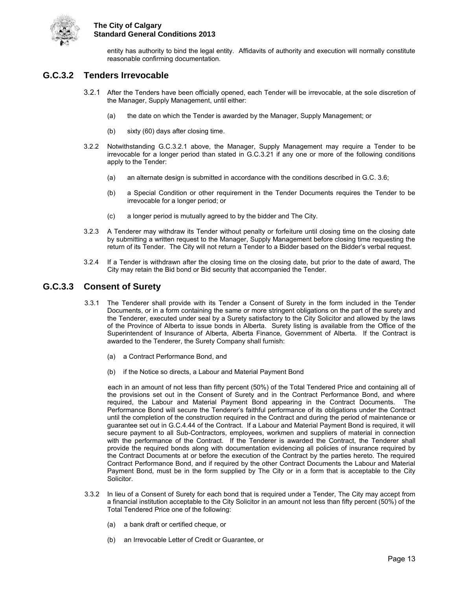

entity has authority to bind the legal entity. Affidavits of authority and execution will normally constitute reasonable confirming documentation.

### <span id="page-18-0"></span>**G.C.3.2 Tenders Irrevocable**

- 3.2.1 After the Tenders have been officially opened, each Tender will be irrevocable, at the sole discretion of the Manager, Supply Management, until either:
	- (a) the date on which the Tender is awarded by the Manager, Supply Management; or
	- (b) sixty (60) days after closing time.
- 3.2.2 Notwithstanding G.C.3.2.1 above, the Manager, Supply Management may require a Tender to be irrevocable for a longer period than stated in G.C.3.21 if any one or more of the following conditions apply to the Tender:
	- (a) an alternate design is submitted in accordance with the conditions described in G.C. 3.6;
	- (b) a Special Condition or other requirement in the Tender Documents requires the Tender to be irrevocable for a longer period; or
	- (c) a longer period is mutually agreed to by the bidder and The City.
- 3.2.3 A Tenderer may withdraw its Tender without penalty or forfeiture until closing time on the closing date by submitting a written request to the Manager, Supply Management before closing time requesting the return of its Tender. The City will not return a Tender to a Bidder based on the Bidder's verbal request.
- 3.2.4 If a Tender is withdrawn after the closing time on the closing date, but prior to the date of award, The City may retain the Bid bond or Bid security that accompanied the Tender.

#### <span id="page-18-1"></span>**G.C.3.3 Consent of Surety**

- 3.3.1 The Tenderer shall provide with its Tender a Consent of Surety in the form included in the Tender Documents, or in a form containing the same or more stringent obligations on the part of the surety and the Tenderer, executed under seal by a Surety satisfactory to the City Solicitor and allowed by the laws of the Province of Alberta to issue bonds in Alberta. Surety listing is available from the Office of the Superintendent of Insurance of Alberta, Alberta Finance, Government of Alberta. If the Contract is awarded to the Tenderer, the Surety Company shall furnish:
	- (a) a Contract Performance Bond, and
	- (b) if the Notice so directs, a Labour and Material Payment Bond

each in an amount of not less than fifty percent (50%) of the Total Tendered Price and containing all of the provisions set out in the Consent of Surety and in the Contract Performance Bond, and where required, the Labour and Material Payment Bond appearing in the Contract Documents. The Performance Bond will secure the Tenderer's faithful performance of its obligations under the Contract until the completion of the construction required in the Contract and during the period of maintenance or guarantee set out in G.C.4.44 of the Contract. If a Labour and Material Payment Bond is required, it will secure payment to all Sub-Contractors, employees, workmen and suppliers of material in connection with the performance of the Contract. If the Tenderer is awarded the Contract, the Tenderer shall provide the required bonds along with documentation evidencing all policies of insurance required by the Contract Documents at or before the execution of the Contract by the parties hereto. The required Contract Performance Bond, and if required by the other Contract Documents the Labour and Material Payment Bond, must be in the form supplied by The City or in a form that is acceptable to the City Solicitor.

- 3.3.2 In lieu of a Consent of Surety for each bond that is required under a Tender, The City may accept from a financial institution acceptable to the City Solicitor in an amount not less than fifty percent (50%) of the Total Tendered Price one of the following:
	- (a) a bank draft or certified cheque, or
	- (b) an Irrevocable Letter of Credit or Guarantee, or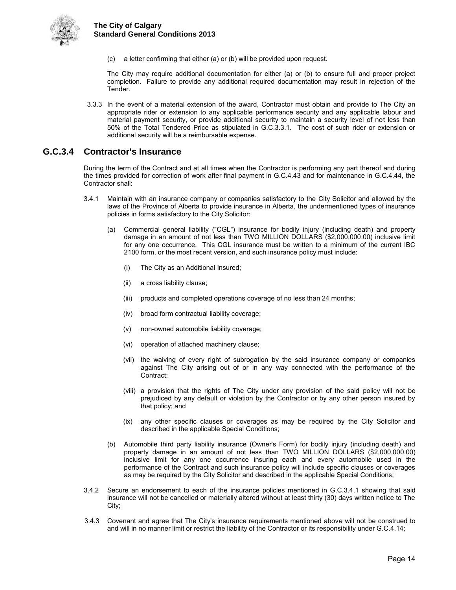

(c) a letter confirming that either (a) or (b) will be provided upon request.

The City may require additional documentation for either (a) or (b) to ensure full and proper project completion. Failure to provide any additional required documentation may result in rejection of the Tender.

3.3.3 In the event of a material extension of the award, Contractor must obtain and provide to The City an appropriate rider or extension to any applicable performance security and any applicable labour and material payment security, or provide additional security to maintain a security level of not less than 50% of the Total Tendered Price as stipulated in G.C.3.3.1. The cost of such rider or extension or additional security will be a reimbursable expense.

### <span id="page-19-0"></span>**G.C.3.4 Contractor's Insurance**

During the term of the Contract and at all times when the Contractor is performing any part thereof and during the times provided for correction of work after final payment in G.C.4.43 and for maintenance in G.C.4.44, the Contractor shall:

- 3.4.1 Maintain with an insurance company or companies satisfactory to the City Solicitor and allowed by the laws of the Province of Alberta to provide insurance in Alberta, the undermentioned types of insurance policies in forms satisfactory to the City Solicitor:
	- (a) Commercial general liability ("CGL") insurance for bodily injury (including death) and property damage in an amount of not less than TWO MILLION DOLLARS (\$2,000,000.00) inclusive limit for any one occurrence. This CGL insurance must be written to a minimum of the current IBC 2100 form, or the most recent version, and such insurance policy must include:
		- (i) The City as an Additional Insured;
		- (ii) a cross liability clause;
		- (iii) products and completed operations coverage of no less than 24 months;
		- (iv) broad form contractual liability coverage;
		- (v) non-owned automobile liability coverage;
		- (vi) operation of attached machinery clause;
		- (vii) the waiving of every right of subrogation by the said insurance company or companies against The City arising out of or in any way connected with the performance of the Contract;
		- (viii) a provision that the rights of The City under any provision of the said policy will not be prejudiced by any default or violation by the Contractor or by any other person insured by that policy; and
		- (ix) any other specific clauses or coverages as may be required by the City Solicitor and described in the applicable Special Conditions;
	- (b) Automobile third party liability insurance (Owner's Form) for bodily injury (including death) and property damage in an amount of not less than TWO MILLION DOLLARS (\$2,000,000.00) inclusive limit for any one occurrence insuring each and every automobile used in the performance of the Contract and such insurance policy will include specific clauses or coverages as may be required by the City Solicitor and described in the applicable Special Conditions;
- 3.4.2 Secure an endorsement to each of the insurance policies mentioned in G.C.3.4.1 showing that said insurance will not be cancelled or materially altered without at least thirty (30) days written notice to The City;
- 3.4.3 Covenant and agree that The City's insurance requirements mentioned above will not be construed to and will in no manner limit or restrict the liability of the Contractor or its responsibility under G.C.4.14;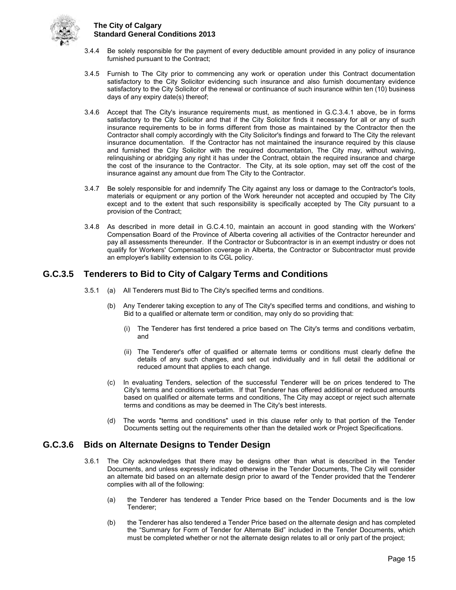

- 3.4.4 Be solely responsible for the payment of every deductible amount provided in any policy of insurance furnished pursuant to the Contract;
- 3.4.5 Furnish to The City prior to commencing any work or operation under this Contract documentation satisfactory to the City Solicitor evidencing such insurance and also furnish documentary evidence satisfactory to the City Solicitor of the renewal or continuance of such insurance within ten (10) business days of any expiry date(s) thereof;
- 3.4.6 Accept that The City's insurance requirements must, as mentioned in G.C.3.4.1 above, be in forms satisfactory to the City Solicitor and that if the City Solicitor finds it necessary for all or any of such insurance requirements to be in forms different from those as maintained by the Contractor then the Contractor shall comply accordingly with the City Solicitor's findings and forward to The City the relevant insurance documentation. If the Contractor has not maintained the insurance required by this clause and furnished the City Solicitor with the required documentation, The City may, without waiving, relinquishing or abridging any right it has under the Contract, obtain the required insurance and charge the cost of the insurance to the Contractor. The City, at its sole option, may set off the cost of the insurance against any amount due from The City to the Contractor.
- 3.4.7 Be solely responsible for and indemnify The City against any loss or damage to the Contractor's tools, materials or equipment or any portion of the Work hereunder not accepted and occupied by The City except and to the extent that such responsibility is specifically accepted by The City pursuant to a provision of the Contract;
- 3.4.8 As described in more detail in G.C.4.10, maintain an account in good standing with the Workers' Compensation Board of the Province of Alberta covering all activities of the Contractor hereunder and pay all assessments thereunder. If the Contractor or Subcontractor is in an exempt industry or does not qualify for Workers' Compensation coverage in Alberta, the Contractor or Subcontractor must provide an employer's liability extension to its CGL policy.

## <span id="page-20-0"></span>**G.C.3.5 Tenderers to Bid to City of Calgary Terms and Conditions**

- 3.5.1 (a) All Tenderers must Bid to The City's specified terms and conditions.
	- (b) Any Tenderer taking exception to any of The City's specified terms and conditions, and wishing to Bid to a qualified or alternate term or condition, may only do so providing that:
		- (i) The Tenderer has first tendered a price based on The City's terms and conditions verbatim, and
		- (ii) The Tenderer's offer of qualified or alternate terms or conditions must clearly define the details of any such changes, and set out individually and in full detail the additional or reduced amount that applies to each change.
	- (c) In evaluating Tenders, selection of the successful Tenderer will be on prices tendered to The City's terms and conditions verbatim. If that Tenderer has offered additional or reduced amounts based on qualified or alternate terms and conditions, The City may accept or reject such alternate terms and conditions as may be deemed in The City's best interests.
	- (d) The words "terms and conditions" used in this clause refer only to that portion of the Tender Documents setting out the requirements other than the detailed work or Project Specifications.

## <span id="page-20-1"></span>**G.C.3.6 Bids on Alternate Designs to Tender Design**

- 3.6.1 The City acknowledges that there may be designs other than what is described in the Tender Documents, and unless expressly indicated otherwise in the Tender Documents, The City will consider an alternate bid based on an alternate design prior to award of the Tender provided that the Tenderer complies with all of the following:
	- (a) the Tenderer has tendered a Tender Price based on the Tender Documents and is the low Tenderer;
	- (b) the Tenderer has also tendered a Tender Price based on the alternate design and has completed the "Summary for Form of Tender for Alternate Bid" included in the Tender Documents, which must be completed whether or not the alternate design relates to all or only part of the project;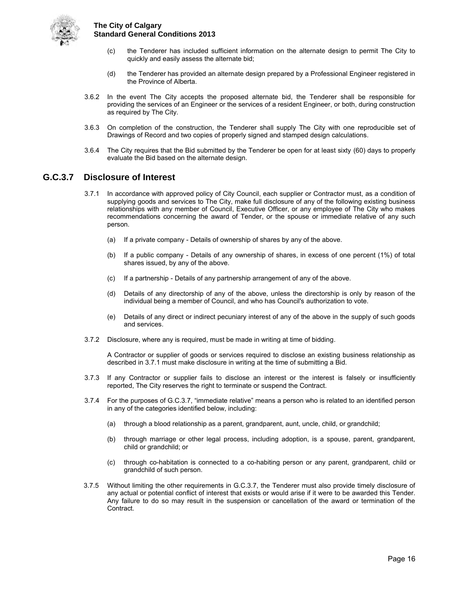

- (c) the Tenderer has included sufficient information on the alternate design to permit The City to quickly and easily assess the alternate bid;
- (d) the Tenderer has provided an alternate design prepared by a Professional Engineer registered in the Province of Alberta.
- 3.6.2 In the event The City accepts the proposed alternate bid, the Tenderer shall be responsible for providing the services of an Engineer or the services of a resident Engineer, or both, during construction as required by The City.
- 3.6.3 On completion of the construction, the Tenderer shall supply The City with one reproducible set of Drawings of Record and two copies of properly signed and stamped design calculations.
- 3.6.4 The City requires that the Bid submitted by the Tenderer be open for at least sixty (60) days to properly evaluate the Bid based on the alternate design.

## <span id="page-21-0"></span>**G.C.3.7 Disclosure of Interest**

- 3.7.1 In accordance with approved policy of City Council, each supplier or Contractor must, as a condition of supplying goods and services to The City, make full disclosure of any of the following existing business relationships with any member of Council, Executive Officer, or any employee of The City who makes recommendations concerning the award of Tender, or the spouse or immediate relative of any such person.
	- (a) If a private company Details of ownership of shares by any of the above.
	- (b) If a public company Details of any ownership of shares, in excess of one percent (1%) of total shares issued, by any of the above.
	- (c) If a partnership Details of any partnership arrangement of any of the above.
	- (d) Details of any directorship of any of the above, unless the directorship is only by reason of the individual being a member of Council, and who has Council's authorization to vote.
	- (e) Details of any direct or indirect pecuniary interest of any of the above in the supply of such goods and services.
- 3.7.2 Disclosure, where any is required, must be made in writing at time of bidding.

A Contractor or supplier of goods or services required to disclose an existing business relationship as described in 3.7.1 must make disclosure in writing at the time of submitting a Bid.

- 3.7.3 If any Contractor or supplier fails to disclose an interest or the interest is falsely or insufficiently reported, The City reserves the right to terminate or suspend the Contract.
- 3.7.4 For the purposes of G.C.3.7, "immediate relative" means a person who is related to an identified person in any of the categories identified below, including:
	- (a) through a blood relationship as a parent, grandparent, aunt, uncle, child, or grandchild;
	- (b) through marriage or other legal process, including adoption, is a spouse, parent, grandparent, child or grandchild; or
	- (c) through co-habitation is connected to a co-habiting person or any parent, grandparent, child or grandchild of such person.
- 3.7.5 Without limiting the other requirements in G.C.3.7, the Tenderer must also provide timely disclosure of any actual or potential conflict of interest that exists or would arise if it were to be awarded this Tender. Any failure to do so may result in the suspension or cancellation of the award or termination of the Contract.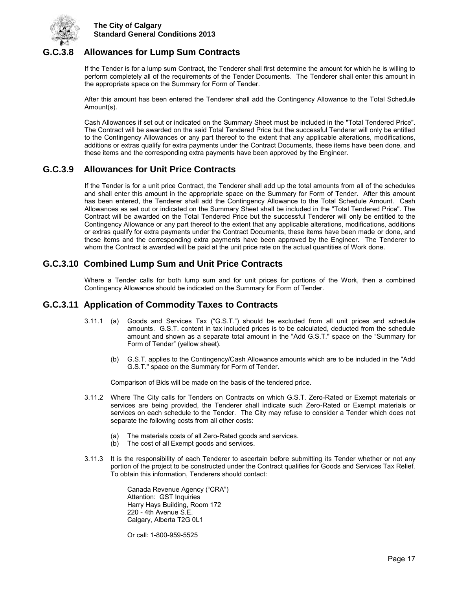

## <span id="page-22-0"></span>**G.C.3.8 Allowances for Lump Sum Contracts**

If the Tender is for a lump sum Contract, the Tenderer shall first determine the amount for which he is willing to perform completely all of the requirements of the Tender Documents. The Tenderer shall enter this amount in the appropriate space on the Summary for Form of Tender.

After this amount has been entered the Tenderer shall add the Contingency Allowance to the Total Schedule Amount(s).

Cash Allowances if set out or indicated on the Summary Sheet must be included in the "Total Tendered Price". The Contract will be awarded on the said Total Tendered Price but the successful Tenderer will only be entitled to the Contingency Allowances or any part thereof to the extent that any applicable alterations, modifications, additions or extras qualify for extra payments under the Contract Documents, these items have been done, and these items and the corresponding extra payments have been approved by the Engineer.

## <span id="page-22-1"></span>**G.C.3.9 Allowances for Unit Price Contracts**

If the Tender is for a unit price Contract, the Tenderer shall add up the total amounts from all of the schedules and shall enter this amount in the appropriate space on the Summary for Form of Tender. After this amount has been entered, the Tenderer shall add the Contingency Allowance to the Total Schedule Amount. Cash Allowances as set out or indicated on the Summary Sheet shall be included in the "Total Tendered Price". The Contract will be awarded on the Total Tendered Price but the successful Tenderer will only be entitled to the Contingency Allowance or any part thereof to the extent that any applicable alterations, modifications, additions or extras qualify for extra payments under the Contract Documents, these items have been made or done, and these items and the corresponding extra payments have been approved by the Engineer. The Tenderer to whom the Contract is awarded will be paid at the unit price rate on the actual quantities of Work done.

## <span id="page-22-2"></span>**G.C.3.10 Combined Lump Sum and Unit Price Contracts**

Where a Tender calls for both lump sum and for unit prices for portions of the Work, then a combined Contingency Allowance should be indicated on the Summary for Form of Tender.

## <span id="page-22-3"></span>**G.C.3.11 Application of Commodity Taxes to Contracts**

- 3.11.1 (a) Goods and Services Tax ("G.S.T.") should be excluded from all unit prices and schedule amounts. G.S.T. content in tax included prices is to be calculated, deducted from the schedule amount and shown as a separate total amount in the "Add G.S.T." space on the "Summary for Form of Tender" (yellow sheet).
	- (b) G.S.T. applies to the Contingency/Cash Allowance amounts which are to be included in the "Add G.S.T." space on the Summary for Form of Tender.

Comparison of Bids will be made on the basis of the tendered price.

- 3.11.2 Where The City calls for Tenders on Contracts on which G.S.T. Zero-Rated or Exempt materials or services are being provided, the Tenderer shall indicate such Zero-Rated or Exempt materials or services on each schedule to the Tender. The City may refuse to consider a Tender which does not separate the following costs from all other costs:
	- (a) The materials costs of all Zero-Rated goods and services.<br>(b) The cost of all Exempt goods and services.
	- The cost of all Exempt goods and services.
- 3.11.3 It is the responsibility of each Tenderer to ascertain before submitting its Tender whether or not any portion of the project to be constructed under the Contract qualifies for Goods and Services Tax Relief. To obtain this information, Tenderers should contact:

 Canada Revenue Agency ("CRA") Attention: GST Inquiries Harry Hays Building, Room 172 220 - 4th Avenue S.E. Calgary, Alberta T2G 0L1

Or call: 1-800-959-5525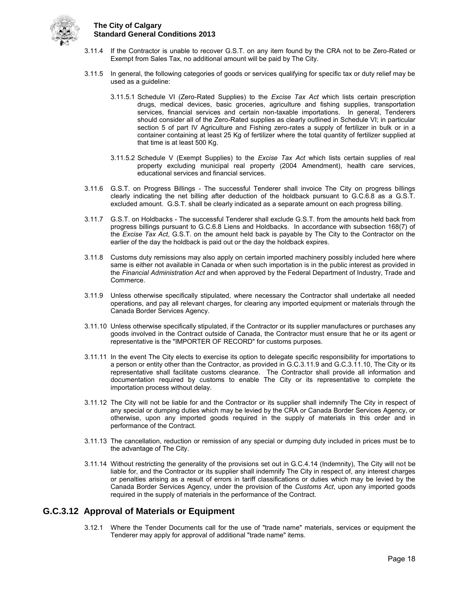

- 3.11.4 If the Contractor is unable to recover G.S.T. on any item found by the CRA not to be Zero-Rated or Exempt from Sales Tax, no additional amount will be paid by The City.
- 3.11.5 In general, the following categories of goods or services qualifying for specific tax or duty relief may be used as a guideline:
	- 3.11.5.1 Schedule VI (Zero-Rated Supplies) to the *Excise Tax Act* which lists certain prescription drugs, medical devices, basic groceries, agriculture and fishing supplies, transportation services, financial services and certain non-taxable importations. In general, Tenderers should consider all of the Zero-Rated supplies as clearly outlined in Schedule VI; in particular section 5 of part IV Agriculture and Fishing zero-rates a supply of fertilizer in bulk or in a container containing at least 25 Kg of fertilizer where the total quantity of fertilizer supplied at that time is at least 500 Kg.
	- 3.11.5.2 Schedule V (Exempt Supplies) to the *Excise Tax Act* which lists certain supplies of real property excluding municipal real property (2004 Amendment), health care services, educational services and financial services.
- 3.11.6 G.S.T. on Progress Billings The successful Tenderer shall invoice The City on progress billings clearly indicating the net billing after deduction of the holdback pursuant to G.C.6.8 as a G.S.T. excluded amount. G.S.T. shall be clearly indicated as a separate amount on each progress billing.
- 3.11.7 G.S.T. on Holdbacks The successful Tenderer shall exclude G.S.T. from the amounts held back from progress billings pursuant to G.C.6.8 Liens and Holdbacks. In accordance with subsection 168(7) of the *Excise Tax Act*, G.S.T. on the amount held back is payable by The City to the Contractor on the earlier of the day the holdback is paid out or the day the holdback expires.
- 3.11.8 Customs duty remissions may also apply on certain imported machinery possibly included here where same is either not available in Canada or when such importation is in the public interest as provided in the *Financial Administration Act* and when approved by the Federal Department of Industry, Trade and Commerce.
- 3.11.9 Unless otherwise specifically stipulated, where necessary the Contractor shall undertake all needed operations, and pay all relevant charges, for clearing any imported equipment or materials through the Canada Border Services Agency.
- 3.11.10 Unless otherwise specifically stipulated, if the Contractor or its supplier manufactures or purchases any goods involved in the Contract outside of Canada, the Contractor must ensure that he or its agent or representative is the "IMPORTER OF RECORD" for customs purposes.
- 3.11.11 In the event The City elects to exercise its option to delegate specific responsibility for importations to a person or entity other than the Contractor, as provided in G.C.3.11.9 and G.C.3.11.10, The City or its representative shall facilitate customs clearance. The Contractor shall provide all information and documentation required by customs to enable The City or its representative to complete the importation process without delay.
- 3.11.12 The City will not be liable for and the Contractor or its supplier shall indemnify The City in respect of any special or dumping duties which may be levied by the CRA or Canada Border Services Agency, or otherwise, upon any imported goods required in the supply of materials in this order and in performance of the Contract.
- 3.11.13 The cancellation, reduction or remission of any special or dumping duty included in prices must be to the advantage of The City.
- 3.11.14 Without restricting the generality of the provisions set out in G.C.4.14 (Indemnity), The City will not be liable for, and the Contractor or its supplier shall indemnify The City in respect of, any interest charges or penalties arising as a result of errors in tariff classifications or duties which may be levied by the Canada Border Services Agency, under the provision of the *Customs Act*, upon any imported goods required in the supply of materials in the performance of the Contract.

## <span id="page-23-0"></span>**G.C.3.12 Approval of Materials or Equipment**

3.12.1 Where the Tender Documents call for the use of "trade name" materials, services or equipment the Tenderer may apply for approval of additional "trade name" items.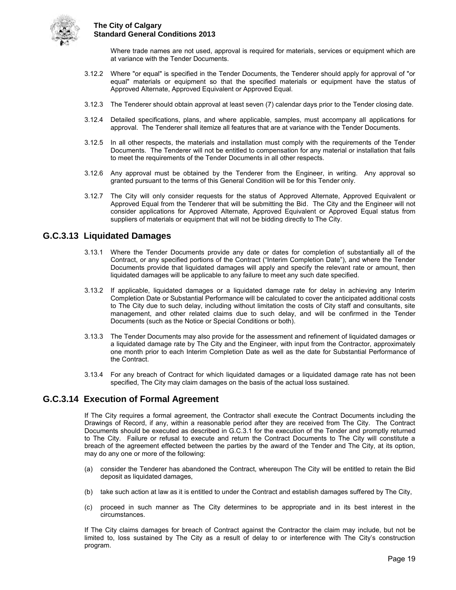

Where trade names are not used, approval is required for materials, services or equipment which are at variance with the Tender Documents.

- 3.12.2 Where "or equal" is specified in the Tender Documents, the Tenderer should apply for approval of "or equal" materials or equipment so that the specified materials or equipment have the status of Approved Alternate, Approved Equivalent or Approved Equal.
- 3.12.3 The Tenderer should obtain approval at least seven (7) calendar days prior to the Tender closing date.
- 3.12.4 Detailed specifications, plans, and where applicable, samples, must accompany all applications for approval. The Tenderer shall itemize all features that are at variance with the Tender Documents.
- 3.12.5 In all other respects, the materials and installation must comply with the requirements of the Tender Documents. The Tenderer will not be entitled to compensation for any material or installation that fails to meet the requirements of the Tender Documents in all other respects.
- 3.12.6 Any approval must be obtained by the Tenderer from the Engineer, in writing. Any approval so granted pursuant to the terms of this General Condition will be for this Tender only.
- 3.12.7 The City will only consider requests for the status of Approved Alternate, Approved Equivalent or Approved Equal from the Tenderer that will be submitting the Bid. The City and the Engineer will not consider applications for Approved Alternate, Approved Equivalent or Approved Equal status from suppliers of materials or equipment that will not be bidding directly to The City.

## <span id="page-24-0"></span>**G.C.3.13 Liquidated Damages**

- 3.13.1 Where the Tender Documents provide any date or dates for completion of substantially all of the Contract, or any specified portions of the Contract ("Interim Completion Date"), and where the Tender Documents provide that liquidated damages will apply and specify the relevant rate or amount, then liquidated damages will be applicable to any failure to meet any such date specified.
- 3.13.2 If applicable, liquidated damages or a liquidated damage rate for delay in achieving any Interim Completion Date or Substantial Performance will be calculated to cover the anticipated additional costs to The City due to such delay, including without limitation the costs of City staff and consultants, site management, and other related claims due to such delay, and will be confirmed in the Tender Documents (such as the Notice or Special Conditions or both).
- 3.13.3 The Tender Documents may also provide for the assessment and refinement of liquidated damages or a liquidated damage rate by The City and the Engineer, with input from the Contractor, approximately one month prior to each Interim Completion Date as well as the date for Substantial Performance of the Contract.
- 3.13.4 For any breach of Contract for which liquidated damages or a liquidated damage rate has not been specified, The City may claim damages on the basis of the actual loss sustained.

#### <span id="page-24-1"></span>**G.C.3.14 Execution of Formal Agreement**

If The City requires a formal agreement, the Contractor shall execute the Contract Documents including the Drawings of Record, if any, within a reasonable period after they are received from The City. The Contract Documents should be executed as described in G.C.3.1 for the execution of the Tender and promptly returned to The City. Failure or refusal to execute and return the Contract Documents to The City will constitute a breach of the agreement effected between the parties by the award of the Tender and The City, at its option, may do any one or more of the following:

- (a) consider the Tenderer has abandoned the Contract, whereupon The City will be entitled to retain the Bid deposit as liquidated damages,
- (b) take such action at law as it is entitled to under the Contract and establish damages suffered by The City,
- (c) proceed in such manner as The City determines to be appropriate and in its best interest in the circumstances.

If The City claims damages for breach of Contract against the Contractor the claim may include, but not be limited to, loss sustained by The City as a result of delay to or interference with The City's construction program.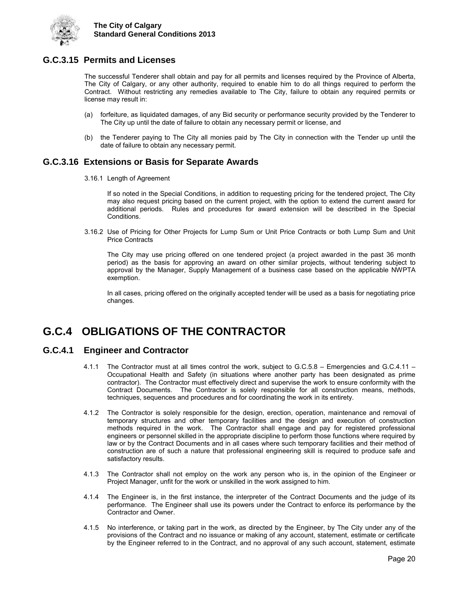

## <span id="page-25-0"></span>**G.C.3.15 Permits and Licenses**

The successful Tenderer shall obtain and pay for all permits and licenses required by the Province of Alberta, The City of Calgary, or any other authority, required to enable him to do all things required to perform the Contract. Without restricting any remedies available to The City, failure to obtain any required permits or license may result in:

- (a) forfeiture, as liquidated damages, of any Bid security or performance security provided by the Tenderer to The City up until the date of failure to obtain any necessary permit or license, and
- (b) the Tenderer paying to The City all monies paid by The City in connection with the Tender up until the date of failure to obtain any necessary permit.

## <span id="page-25-1"></span>**G.C.3.16 Extensions or Basis for Separate Awards**

3.16.1 Length of Agreement

If so noted in the Special Conditions, in addition to requesting pricing for the tendered project, The City may also request pricing based on the current project, with the option to extend the current award for additional periods. Rules and procedures for award extension will be described in the Special Conditions.

3.16.2 Use of Pricing for Other Projects for Lump Sum or Unit Price Contracts or both Lump Sum and Unit Price Contracts

The City may use pricing offered on one tendered project (a project awarded in the past 36 month period) as the basis for approving an award on other similar projects, without tendering subject to approval by the Manager, Supply Management of a business case based on the applicable NWPTA exemption.

In all cases, pricing offered on the originally accepted tender will be used as a basis for negotiating price changes.

## <span id="page-25-2"></span>**G.C.4 OBLIGATIONS OF THE CONTRACTOR**

## <span id="page-25-3"></span>**G.C.4.1 Engineer and Contractor**

- 4.1.1 The Contractor must at all times control the work, subject to G.C.5.8 Emergencies and G.C.4.11 Occupational Health and Safety (in situations where another party has been designated as prime contractor). The Contractor must effectively direct and supervise the work to ensure conformity with the Contract Documents. The Contractor is solely responsible for all construction means, methods, techniques, sequences and procedures and for coordinating the work in its entirety.
- 4.1.2 The Contractor is solely responsible for the design, erection, operation, maintenance and removal of temporary structures and other temporary facilities and the design and execution of construction methods required in the work. The Contractor shall engage and pay for registered professional engineers or personnel skilled in the appropriate discipline to perform those functions where required by law or by the Contract Documents and in all cases where such temporary facilities and their method of construction are of such a nature that professional engineering skill is required to produce safe and satisfactory results.
- 4.1.3 The Contractor shall not employ on the work any person who is, in the opinion of the Engineer or Project Manager, unfit for the work or unskilled in the work assigned to him.
- 4.1.4 The Engineer is, in the first instance, the interpreter of the Contract Documents and the judge of its performance. The Engineer shall use its powers under the Contract to enforce its performance by the Contractor and Owner.
- 4.1.5 No interference, or taking part in the work, as directed by the Engineer, by The City under any of the provisions of the Contract and no issuance or making of any account, statement, estimate or certificate by the Engineer referred to in the Contract, and no approval of any such account, statement, estimate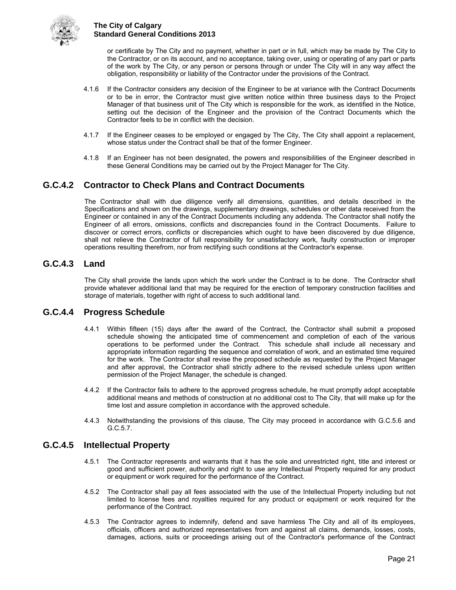

or certificate by The City and no payment, whether in part or in full, which may be made by The City to the Contractor, or on its account, and no acceptance, taking over, using or operating of any part or parts of the work by The City, or any person or persons through or under The City will in any way affect the obligation, responsibility or liability of the Contractor under the provisions of the Contract.

- 4.1.6 If the Contractor considers any decision of the Engineer to be at variance with the Contract Documents or to be in error, the Contractor must give written notice within three business days to the Project Manager of that business unit of The City which is responsible for the work, as identified in the Notice, setting out the decision of the Engineer and the provision of the Contract Documents which the Contractor feels to be in conflict with the decision.
- 4.1.7 If the Engineer ceases to be employed or engaged by The City, The City shall appoint a replacement, whose status under the Contract shall be that of the former Engineer.
- 4.1.8 If an Engineer has not been designated, the powers and responsibilities of the Engineer described in these General Conditions may be carried out by the Project Manager for The City.

## <span id="page-26-0"></span>**G.C.4.2 Contractor to Check Plans and Contract Documents**

The Contractor shall with due diligence verify all dimensions, quantities, and details described in the Specifications and shown on the drawings, supplementary drawings, schedules or other data received from the Engineer or contained in any of the Contract Documents including any addenda. The Contractor shall notify the Engineer of all errors, omissions, conflicts and discrepancies found in the Contract Documents. Failure to discover or correct errors, conflicts or discrepancies which ought to have been discovered by due diligence, shall not relieve the Contractor of full responsibility for unsatisfactory work, faulty construction or improper operations resulting therefrom, nor from rectifying such conditions at the Contractor's expense.

## <span id="page-26-1"></span>**G.C.4.3 Land**

The City shall provide the lands upon which the work under the Contract is to be done. The Contractor shall provide whatever additional land that may be required for the erection of temporary construction facilities and storage of materials, together with right of access to such additional land.

## <span id="page-26-2"></span>**G.C.4.4 Progress Schedule**

- 4.4.1 Within fifteen (15) days after the award of the Contract, the Contractor shall submit a proposed schedule showing the anticipated time of commencement and completion of each of the various operations to be performed under the Contract. This schedule shall include all necessary and appropriate information regarding the sequence and correlation of work, and an estimated time required for the work. The Contractor shall revise the proposed schedule as requested by the Project Manager and after approval, the Contractor shall strictly adhere to the revised schedule unless upon written permission of the Project Manager, the schedule is changed.
- 4.4.2 If the Contractor fails to adhere to the approved progress schedule, he must promptly adopt acceptable additional means and methods of construction at no additional cost to The City, that will make up for the time lost and assure completion in accordance with the approved schedule.
- 4.4.3 Notwithstanding the provisions of this clause, The City may proceed in accordance with G.C.5.6 and G.C.5.7.

## <span id="page-26-3"></span>**G.C.4.5 Intellectual Property**

- 4.5.1 The Contractor represents and warrants that it has the sole and unrestricted right, title and interest or good and sufficient power, authority and right to use any Intellectual Property required for any product or equipment or work required for the performance of the Contract.
- 4.5.2 The Contractor shall pay all fees associated with the use of the Intellectual Property including but not limited to license fees and royalties required for any product or equipment or work required for the performance of the Contract.
- 4.5.3 The Contractor agrees to indemnify, defend and save harmless The City and all of its employees, officials, officers and authorized representatives from and against all claims, demands, losses, costs, damages, actions, suits or proceedings arising out of the Contractor's performance of the Contract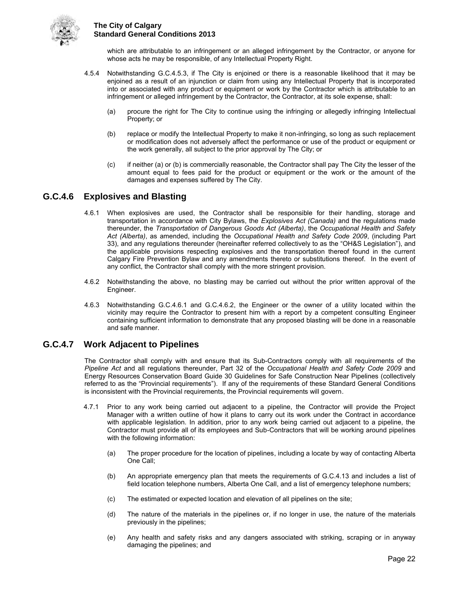

which are attributable to an infringement or an alleged infringement by the Contractor, or anyone for whose acts he may be responsible, of any Intellectual Property Right.

- 4.5.4 Notwithstanding G.C.4.5.3, if The City is enjoined or there is a reasonable likelihood that it may be enjoined as a result of an injunction or claim from using any Intellectual Property that is incorporated into or associated with any product or equipment or work by the Contractor which is attributable to an infringement or alleged infringement by the Contractor, the Contractor, at its sole expense, shall:
	- (a) procure the right for The City to continue using the infringing or allegedly infringing Intellectual Property; or
	- (b) replace or modify the Intellectual Property to make it non-infringing, so long as such replacement or modification does not adversely affect the performance or use of the product or equipment or the work generally, all subject to the prior approval by The City; or
	- (c) if neither (a) or (b) is commercially reasonable, the Contractor shall pay The City the lesser of the amount equal to fees paid for the product or equipment or the work or the amount of the damages and expenses suffered by The City.

## <span id="page-27-0"></span>**G.C.4.6 Explosives and Blasting**

- 4.6.1 When explosives are used, the Contractor shall be responsible for their handling, storage and transportation in accordance with City Bylaws, the *Explosives Act (Canada)* and the regulations made thereunder, the *Transportation of Dangerous Goods Act (Alberta)*, the *Occupational Health and Safety Act (Alberta)*, as amended, including the *Occupational Health and Safety Code 2009*, (including Part 33), and any regulations thereunder (hereinafter referred collectively to as the "OH&S Legislation"), and the applicable provisions respecting explosives and the transportation thereof found in the current Calgary Fire Prevention Bylaw and any amendments thereto or substitutions thereof. In the event of any conflict, the Contractor shall comply with the more stringent provision.
- 4.6.2 Notwithstanding the above, no blasting may be carried out without the prior written approval of the Engineer.
- 4.6.3 Notwithstanding G.C.4.6.1 and G.C.4.6.2, the Engineer or the owner of a utility located within the vicinity may require the Contractor to present him with a report by a competent consulting Engineer containing sufficient information to demonstrate that any proposed blasting will be done in a reasonable and safe manner.

## <span id="page-27-1"></span>**G.C.4.7 Work Adjacent to Pipelines**

The Contractor shall comply with and ensure that its Sub-Contractors comply with all requirements of the *Pipeline Act* and all regulations thereunder, Part 32 of the *Occupational Health and Safety Code 2009* and Energy Resources Conservation Board Guide 30 Guidelines for Safe Construction Near Pipelines (collectively referred to as the "Provincial requirements"). If any of the requirements of these Standard General Conditions is inconsistent with the Provincial requirements, the Provincial requirements will govern.

- 4.7.1 Prior to any work being carried out adjacent to a pipeline, the Contractor will provide the Project Manager with a written outline of how it plans to carry out its work under the Contract in accordance with applicable legislation. In addition, prior to any work being carried out adjacent to a pipeline, the Contractor must provide all of its employees and Sub-Contractors that will be working around pipelines with the following information:
	- (a) The proper procedure for the location of pipelines, including a locate by way of contacting Alberta One Call;
	- (b) An appropriate emergency plan that meets the requirements of G.C.4.13 and includes a list of field location telephone numbers, Alberta One Call, and a list of emergency telephone numbers;
	- (c) The estimated or expected location and elevation of all pipelines on the site;
	- (d) The nature of the materials in the pipelines or, if no longer in use, the nature of the materials previously in the pipelines;
	- (e) Any health and safety risks and any dangers associated with striking, scraping or in anyway damaging the pipelines; and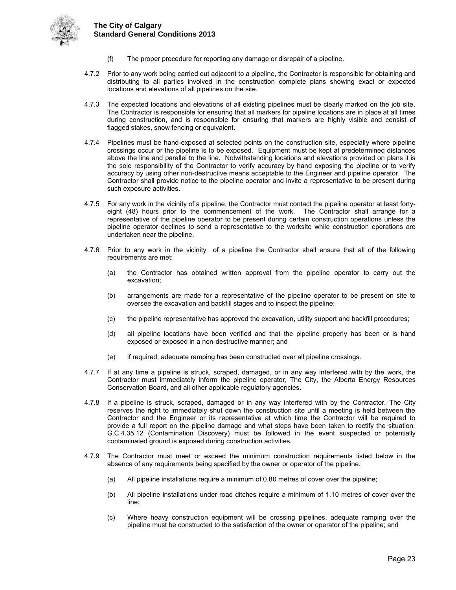

- (f) The proper procedure for reporting any damage or disrepair of a pipeline.
- 4.7.2 Prior to any work being carried out adjacent to a pipeline, the Contractor is responsible for obtaining and distributing to all parties involved in the construction complete plans showing exact or expected locations and elevations of all pipelines on the site.
- 4.7.3 The expected locations and elevations of all existing pipelines must be clearly marked on the job site. The Contractor is responsible for ensuring that all markers for pipeline locations are in place at all times during construction, and is responsible for ensuring that markers are highly visible and consist of flagged stakes, snow fencing or equivalent.
- 4.7.4 Pipelines must be hand-exposed at selected points on the construction site, especially where pipeline crossings occur or the pipeline is to be exposed. Equipment must be kept at predetermined distances above the line and parallel to the line. Notwithstanding locations and elevations provided on plans it is the sole responsibility of the Contractor to verify accuracy by hand exposing the pipeline or to verify accuracy by using other non-destructive means acceptable to the Engineer and pipeline operator. The Contractor shall provide notice to the pipeline operator and invite a representative to be present during such exposure activities.
- 4.7.5 For any work in the vicinity of a pipeline, the Contractor must contact the pipeline operator at least fortyeight (48) hours prior to the commencement of the work. The Contractor shall arrange for a representative of the pipeline operator to be present during certain construction operations unless the pipeline operator declines to send a representative to the worksite while construction operations are undertaken near the pipeline.
- 4.7.6 Prior to any work in the vicinity of a pipeline the Contractor shall ensure that all of the following requirements are met:
	- (a) the Contractor has obtained written approval from the pipeline operator to carry out the excavation;
	- (b) arrangements are made for a representative of the pipeline operator to be present on site to oversee the excavation and backfill stages and to inspect the pipeline;
	- (c) the pipeline representative has approved the excavation, utility support and backfill procedures;
	- (d) all pipeline locations have been verified and that the pipeline properly has been or is hand exposed or exposed in a non-destructive manner; and
	- (e) if required, adequate ramping has been constructed over all pipeline crossings.
- 4.7.7 If at any time a pipeline is struck, scraped, damaged, or in any way interfered with by the work, the Contractor must immediately inform the pipeline operator, The City, the Alberta Energy Resources Conservation Board, and all other applicable regulatory agencies.
- 4.7.8 If a pipeline is struck, scraped, damaged or in any way interfered with by the Contractor, The City reserves the right to immediately shut down the construction site until a meeting is held between the Contractor and the Engineer or its representative at which time the Contractor will be required to provide a full report on the pipeline damage and what steps have been taken to rectify the situation. G.C.4.35.12 (Contamination Discovery) must be followed in the event suspected or potentially contaminated ground is exposed during construction activities.
- 4.7.9 The Contractor must meet or exceed the minimum construction requirements listed below in the absence of any requirements being specified by the owner or operator of the pipeline.
	- (a) All pipeline installations require a minimum of 0.80 metres of cover over the pipeline;
	- (b) All pipeline installations under road ditches require a minimum of 1.10 metres of cover over the line;
	- (c) Where heavy construction equipment will be crossing pipelines, adequate ramping over the pipeline must be constructed to the satisfaction of the owner or operator of the pipeline; and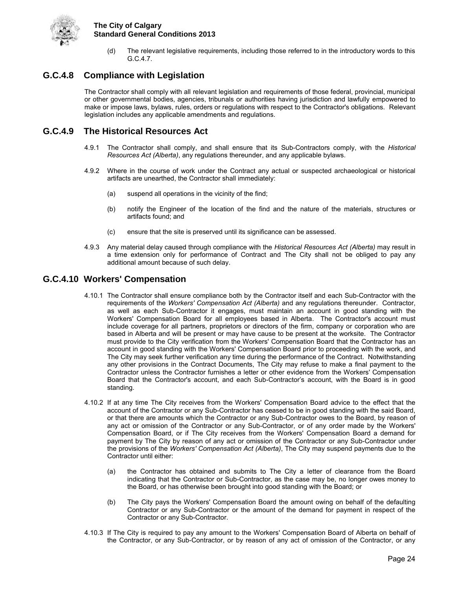

(d) The relevant legislative requirements, including those referred to in the introductory words to this G.C.4.7.

## <span id="page-29-0"></span>**G.C.4.8 Compliance with Legislation**

The Contractor shall comply with all relevant legislation and requirements of those federal, provincial, municipal or other governmental bodies, agencies, tribunals or authorities having jurisdiction and lawfully empowered to make or impose laws, bylaws, rules, orders or regulations with respect to the Contractor's obligations. Relevant legislation includes any applicable amendments and regulations.

## <span id="page-29-1"></span>**G.C.4.9 The Historical Resources Act**

- 4.9.1 The Contractor shall comply, and shall ensure that its Sub-Contractors comply, with the *Historical Resources Act (Alberta)*, any regulations thereunder, and any applicable bylaws.
- 4.9.2 Where in the course of work under the Contract any actual or suspected archaeological or historical artifacts are unearthed, the Contractor shall immediately:
	- (a) suspend all operations in the vicinity of the find;
	- (b) notify the Engineer of the location of the find and the nature of the materials, structures or artifacts found; and
	- (c) ensure that the site is preserved until its significance can be assessed.
- 4.9.3 Any material delay caused through compliance with the *Historical Resources Act (Alberta)* may result in a time extension only for performance of Contract and The City shall not be obliged to pay any additional amount because of such delay.

### <span id="page-29-2"></span>**G.C.4.10 Workers' Compensation**

- 4.10.1 The Contractor shall ensure compliance both by the Contractor itself and each Sub-Contractor with the requirements of the *Workers' Compensation Act (Alberta)* and any regulations thereunder. Contractor, as well as each Sub-Contractor it engages, must maintain an account in good standing with the Workers' Compensation Board for all employees based in Alberta. The Contractor's account must include coverage for all partners, proprietors or directors of the firm, company or corporation who are based in Alberta and will be present or may have cause to be present at the worksite. The Contractor must provide to the City verification from the Workers' Compensation Board that the Contractor has an account in good standing with the Workers' Compensation Board prior to proceeding with the work, and The City may seek further verification any time during the performance of the Contract. Notwithstanding any other provisions in the Contract Documents, The City may refuse to make a final payment to the Contractor unless the Contractor furnishes a letter or other evidence from the Workers' Compensation Board that the Contractor's account, and each Sub-Contractor's account, with the Board is in good standing.
- 4.10.2 If at any time The City receives from the Workers' Compensation Board advice to the effect that the account of the Contractor or any Sub-Contractor has ceased to be in good standing with the said Board, or that there are amounts which the Contractor or any Sub-Contractor owes to the Board, by reason of any act or omission of the Contractor or any Sub-Contractor, or of any order made by the Workers' Compensation Board, or if The City receives from the Workers' Compensation Board a demand for payment by The City by reason of any act or omission of the Contractor or any Sub-Contractor under the provisions of the *Workers' Compensation Act (Alberta)*, The City may suspend payments due to the Contractor until either:
	- (a) the Contractor has obtained and submits to The City a letter of clearance from the Board indicating that the Contractor or Sub-Contractor, as the case may be, no longer owes money to the Board, or has otherwise been brought into good standing with the Board; or
	- (b) The City pays the Workers' Compensation Board the amount owing on behalf of the defaulting Contractor or any Sub-Contractor or the amount of the demand for payment in respect of the Contractor or any Sub-Contractor.
- 4.10.3 If The City is required to pay any amount to the Workers' Compensation Board of Alberta on behalf of the Contractor, or any Sub-Contractor, or by reason of any act of omission of the Contractor, or any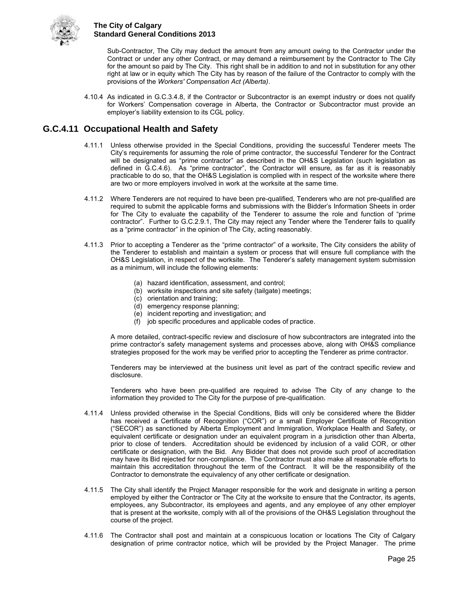

Sub-Contractor, The City may deduct the amount from any amount owing to the Contractor under the Contract or under any other Contract, or may demand a reimbursement by the Contractor to The City for the amount so paid by The City. This right shall be in addition to and not in substitution for any other right at law or in equity which The City has by reason of the failure of the Contractor to comply with the provisions of the *Workers' Compensation Act (Alberta)*.

4.10.4 As indicated in G.C.3.4.8, if the Contractor or Subcontractor is an exempt industry or does not qualify for Workers' Compensation coverage in Alberta, the Contractor or Subcontractor must provide an employer's liability extension to its CGL policy.

## <span id="page-30-0"></span>**G.C.4.11 Occupational Health and Safety**

- 4.11.1 Unless otherwise provided in the Special Conditions, providing the successful Tenderer meets The City's requirements for assuming the role of prime contractor, the successful Tenderer for the Contract will be designated as "prime contractor" as described in the OH&S Legislation (such legislation as defined in G.C.4.6). As "prime contractor", the Contractor will ensure, as far as it is reasonably practicable to do so, that the OH&S Legislation is complied with in respect of the worksite where there are two or more employers involved in work at the worksite at the same time.
- 4.11.2 Where Tenderers are not required to have been pre-qualified, Tenderers who are not pre-qualified are required to submit the applicable forms and submissions with the Bidder's Information Sheets in order for The City to evaluate the capability of the Tenderer to assume the role and function of "prime contractor". Further to G.C.2.9.1, The City may reject any Tender where the Tenderer fails to qualify as a "prime contractor" in the opinion of The City, acting reasonably.
- 4.11.3 Prior to accepting a Tenderer as the "prime contractor" of a worksite, The City considers the ability of the Tenderer to establish and maintain a system or process that will ensure full compliance with the OH&S Legislation, in respect of the worksite. The Tenderer's safety management system submission as a minimum, will include the following elements:
	- (a) hazard identification, assessment, and control;
	- (b) worksite inspections and site safety (tailgate) meetings;
	- (c) orientation and training;
	- (d) emergency response planning;
	- (e) incident reporting and investigation; and
	- (f) job specific procedures and applicable codes of practice.

A more detailed, contract-specific review and disclosure of how subcontractors are integrated into the prime contractor's safety management systems and processes above, along with OH&S compliance strategies proposed for the work may be verified prior to accepting the Tenderer as prime contractor.

Tenderers may be interviewed at the business unit level as part of the contract specific review and disclosure.

Tenderers who have been pre-qualified are required to advise The City of any change to the information they provided to The City for the purpose of pre-qualification.

- 4.11.4 Unless provided otherwise in the Special Conditions, Bids will only be considered where the Bidder has received a Certificate of Recognition ("COR") or a small Employer Certificate of Recognition ("SECOR") as sanctioned by Alberta Employment and Immigration, Workplace Health and Safety, or equivalent certificate or designation under an equivalent program in a jurisdiction other than Alberta, prior to close of tenders. Accreditation should be evidenced by inclusion of a valid COR, or other certificate or designation, with the Bid. Any Bidder that does not provide such proof of accreditation may have its Bid rejected for non-compliance. The Contractor must also make all reasonable efforts to maintain this accreditation throughout the term of the Contract. It will be the responsibility of the Contractor to demonstrate the equivalency of any other certificate or designation.
- 4.11.5 The City shall identify the Project Manager responsible for the work and designate in writing a person employed by either the Contractor or The City at the worksite to ensure that the Contractor, its agents, employees, any Subcontractor, its employees and agents, and any employee of any other employer that is present at the worksite, comply with all of the provisions of the OH&S Legislation throughout the course of the project.
- 4.11.6 The Contractor shall post and maintain at a conspicuous location or locations The City of Calgary designation of prime contractor notice, which will be provided by the Project Manager. The prime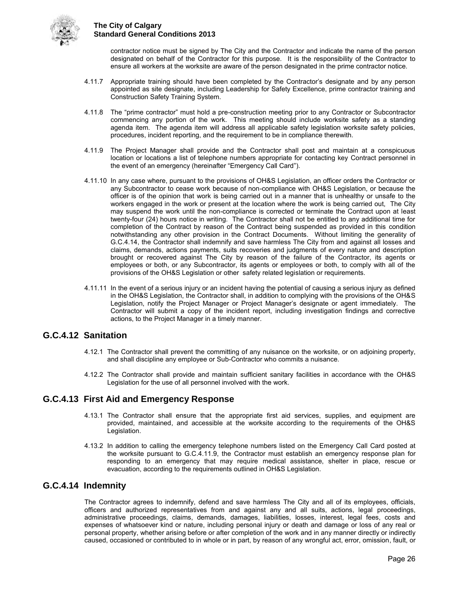

contractor notice must be signed by The City and the Contractor and indicate the name of the person designated on behalf of the Contractor for this purpose. It is the responsibility of the Contractor to ensure all workers at the worksite are aware of the person designated in the prime contractor notice.

- 4.11.7 Appropriate training should have been completed by the Contractor's designate and by any person appointed as site designate, including Leadership for Safety Excellence, prime contractor training and Construction Safety Training System.
- 4.11.8 The "prime contractor" must hold a pre-construction meeting prior to any Contractor or Subcontractor commencing any portion of the work. This meeting should include worksite safety as a standing agenda item. The agenda item will address all applicable safety legislation worksite safety policies, procedures, incident reporting, and the requirement to be in compliance therewith.
- 4.11.9 The Project Manager shall provide and the Contractor shall post and maintain at a conspicuous location or locations a list of telephone numbers appropriate for contacting key Contract personnel in the event of an emergency (hereinafter "Emergency Call Card").
- 4.11.10 In any case where, pursuant to the provisions of OH&S Legislation, an officer orders the Contractor or any Subcontractor to cease work because of non-compliance with OH&S Legislation, or because the officer is of the opinion that work is being carried out in a manner that is unhealthy or unsafe to the workers engaged in the work or present at the location where the work is being carried out, The City may suspend the work until the non-compliance is corrected or terminate the Contract upon at least twenty-four (24) hours notice in writing. The Contractor shall not be entitled to any additional time for completion of the Contract by reason of the Contract being suspended as provided in this condition notwithstanding any other provision in the Contract Documents. Without limiting the generality of G.C.4.14, the Contractor shall indemnify and save harmless The City from and against all losses and claims, demands, actions payments, suits recoveries and judgments of every nature and description brought or recovered against The City by reason of the failure of the Contractor, its agents or employees or both, or any Subcontractor, its agents or employees or both, to comply with all of the provisions of the OH&S Legislation or other safety related legislation or requirements.
- 4.11.11 In the event of a serious injury or an incident having the potential of causing a serious injury as defined in the OH&S Legislation, the Contractor shall, in addition to complying with the provisions of the OH&S Legislation, notify the Project Manager or Project Manager's designate or agent immediately. The Contractor will submit a copy of the incident report, including investigation findings and corrective actions, to the Project Manager in a timely manner.

## <span id="page-31-0"></span>**G.C.4.12 Sanitation**

- 4.12.1 The Contractor shall prevent the committing of any nuisance on the worksite, or on adjoining property, and shall discipline any employee or Sub-Contractor who commits a nuisance.
- 4.12.2 The Contractor shall provide and maintain sufficient sanitary facilities in accordance with the OH&S Legislation for the use of all personnel involved with the work.

## <span id="page-31-1"></span>**G.C.4.13 First Aid and Emergency Response**

- 4.13.1 The Contractor shall ensure that the appropriate first aid services, supplies, and equipment are provided, maintained, and accessible at the worksite according to the requirements of the OH&S Legislation.
- 4.13.2 In addition to calling the emergency telephone numbers listed on the Emergency Call Card posted at the worksite pursuant to G.C.4.11.9, the Contractor must establish an emergency response plan for responding to an emergency that may require medical assistance, shelter in place, rescue or evacuation, according to the requirements outlined in OH&S Legislation.

## <span id="page-31-2"></span>**G.C.4.14 Indemnity**

The Contractor agrees to indemnify, defend and save harmless The City and all of its employees, officials, officers and authorized representatives from and against any and all suits, actions, legal proceedings, administrative proceedings, claims, demands, damages, liabilities, losses, interest, legal fees, costs and expenses of whatsoever kind or nature, including personal injury or death and damage or loss of any real or personal property, whether arising before or after completion of the work and in any manner directly or indirectly caused, occasioned or contributed to in whole or in part, by reason of any wrongful act, error, omission, fault, or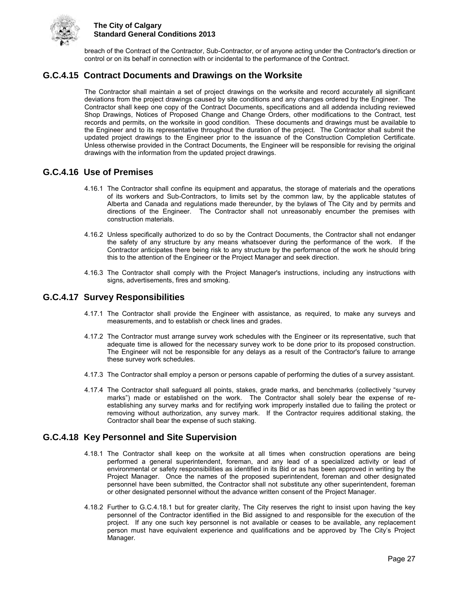

breach of the Contract of the Contractor, Sub-Contractor, or of anyone acting under the Contractor's direction or control or on its behalf in connection with or incidental to the performance of the Contract.

## <span id="page-32-0"></span>**G.C.4.15 Contract Documents and Drawings on the Worksite**

The Contractor shall maintain a set of project drawings on the worksite and record accurately all significant deviations from the project drawings caused by site conditions and any changes ordered by the Engineer. The Contractor shall keep one copy of the Contract Documents, specifications and all addenda including reviewed Shop Drawings, Notices of Proposed Change and Change Orders, other modifications to the Contract, test records and permits, on the worksite in good condition. These documents and drawings must be available to the Engineer and to its representative throughout the duration of the project. The Contractor shall submit the updated project drawings to the Engineer prior to the issuance of the Construction Completion Certificate. Unless otherwise provided in the Contract Documents, the Engineer will be responsible for revising the original drawings with the information from the updated project drawings.

## <span id="page-32-1"></span>**G.C.4.16 Use of Premises**

- 4.16.1 The Contractor shall confine its equipment and apparatus, the storage of materials and the operations of its workers and Sub-Contractors, to limits set by the common law, by the applicable statutes of Alberta and Canada and regulations made thereunder, by the bylaws of The City and by permits and directions of the Engineer. The Contractor shall not unreasonably encumber the premises with construction materials.
- 4.16.2 Unless specifically authorized to do so by the Contract Documents, the Contractor shall not endanger the safety of any structure by any means whatsoever during the performance of the work. If the Contractor anticipates there being risk to any structure by the performance of the work he should bring this to the attention of the Engineer or the Project Manager and seek direction.
- 4.16.3 The Contractor shall comply with the Project Manager's instructions, including any instructions with signs, advertisements, fires and smoking.

### <span id="page-32-2"></span>**G.C.4.17 Survey Responsibilities**

- 4.17.1 The Contractor shall provide the Engineer with assistance, as required, to make any surveys and measurements, and to establish or check lines and grades.
- 4.17.2 The Contractor must arrange survey work schedules with the Engineer or its representative, such that adequate time is allowed for the necessary survey work to be done prior to its proposed construction. The Engineer will not be responsible for any delays as a result of the Contractor's failure to arrange these survey work schedules.
- 4.17.3 The Contractor shall employ a person or persons capable of performing the duties of a survey assistant.
- 4.17.4 The Contractor shall safeguard all points, stakes, grade marks, and benchmarks (collectively "survey marks") made or established on the work. The Contractor shall solely bear the expense of reestablishing any survey marks and for rectifying work improperly installed due to failing the protect or removing without authorization, any survey mark. If the Contractor requires additional staking, the Contractor shall bear the expense of such staking.

## <span id="page-32-3"></span>**G.C.4.18 Key Personnel and Site Supervision**

- 4.18.1 The Contractor shall keep on the worksite at all times when construction operations are being performed a general superintendent, foreman, and any lead of a specialized activity or lead of environmental or safety responsibilities as identified in its Bid or as has been approved in writing by the Project Manager. Once the names of the proposed superintendent, foreman and other designated personnel have been submitted, the Contractor shall not substitute any other superintendent, foreman or other designated personnel without the advance written consent of the Project Manager.
- 4.18.2 Further to G.C.4.18.1 but for greater clarity, The City reserves the right to insist upon having the key personnel of the Contractor identified in the Bid assigned to and responsible for the execution of the project. If any one such key personnel is not available or ceases to be available, any replacement person must have equivalent experience and qualifications and be approved by The City's Project Manager.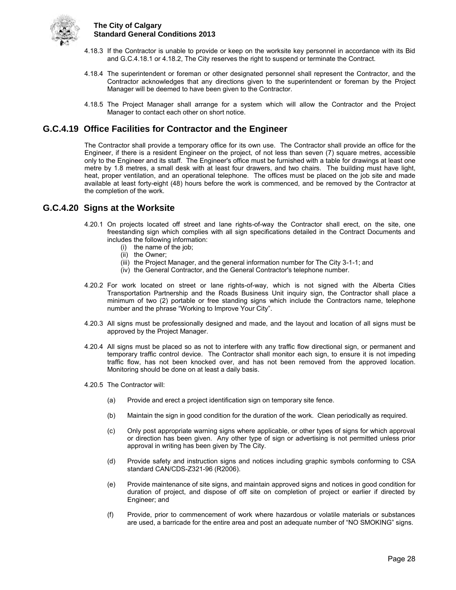

- 4.18.3 If the Contractor is unable to provide or keep on the worksite key personnel in accordance with its Bid and G.C.4.18.1 or 4.18.2, The City reserves the right to suspend or terminate the Contract.
- 4.18.4 The superintendent or foreman or other designated personnel shall represent the Contractor, and the Contractor acknowledges that any directions given to the superintendent or foreman by the Project Manager will be deemed to have been given to the Contractor.
- 4.18.5 The Project Manager shall arrange for a system which will allow the Contractor and the Project Manager to contact each other on short notice.

## <span id="page-33-0"></span>**G.C.4.19 Office Facilities for Contractor and the Engineer**

The Contractor shall provide a temporary office for its own use. The Contractor shall provide an office for the Engineer, if there is a resident Engineer on the project, of not less than seven (7) square metres, accessible only to the Engineer and its staff. The Engineer's office must be furnished with a table for drawings at least one metre by 1.8 metres, a small desk with at least four drawers, and two chairs. The building must have light, heat, proper ventilation, and an operational telephone. The offices must be placed on the job site and made available at least forty-eight (48) hours before the work is commenced, and be removed by the Contractor at the completion of the work.

### <span id="page-33-1"></span>**G.C.4.20 Signs at the Worksite**

- 4.20.1 On projects located off street and lane rights-of-way the Contractor shall erect, on the site, one freestanding sign which complies with all sign specifications detailed in the Contract Documents and includes the following information:
	- (i) the name of the job;
	- (ii) the Owner;
	- (iii) the Project Manager, and the general information number for The City 3-1-1; and
	- (iv) the General Contractor, and the General Contractor's telephone number.
- 4.20.2 For work located on street or lane rights-of-way, which is not signed with the Alberta Cities Transportation Partnership and the Roads Business Unit inquiry sign, the Contractor shall place a minimum of two (2) portable or free standing signs which include the Contractors name, telephone number and the phrase "Working to Improve Your City".
- 4.20.3 All signs must be professionally designed and made, and the layout and location of all signs must be approved by the Project Manager.
- 4.20.4 All signs must be placed so as not to interfere with any traffic flow directional sign, or permanent and temporary traffic control device. The Contractor shall monitor each sign, to ensure it is not impeding traffic flow, has not been knocked over, and has not been removed from the approved location. Monitoring should be done on at least a daily basis.
- 4.20.5 The Contractor will:
	- (a) Provide and erect a project identification sign on temporary site fence.
	- (b) Maintain the sign in good condition for the duration of the work. Clean periodically as required.
	- (c) Only post appropriate warning signs where applicable, or other types of signs for which approval or direction has been given. Any other type of sign or advertising is not permitted unless prior approval in writing has been given by The City.
	- (d) Provide safety and instruction signs and notices including graphic symbols conforming to CSA standard CAN/CDS-Z321-96 (R2006).
	- (e) Provide maintenance of site signs, and maintain approved signs and notices in good condition for duration of project, and dispose of off site on completion of project or earlier if directed by Engineer; and
	- (f) Provide, prior to commencement of work where hazardous or volatile materials or substances are used, a barricade for the entire area and post an adequate number of "NO SMOKING" signs.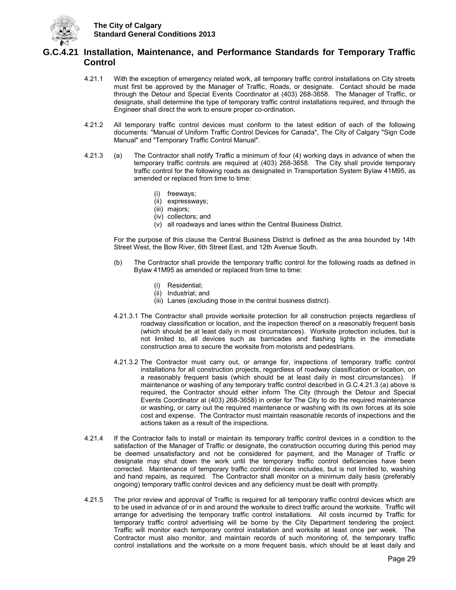

## <span id="page-34-0"></span>**G.C.4.21 Installation, Maintenance, and Performance Standards for Temporary Traffic Control**

- 4.21.1 With the exception of emergency related work, all temporary traffic control installations on City streets must first be approved by the Manager of Traffic, Roads, or designate. Contact should be made through the Detour and Special Events Coordinator at (403) 268-3658. The Manager of Traffic, or designate, shall determine the type of temporary traffic control installations required, and through the Engineer shall direct the work to ensure proper co-ordination.
- 4.21.2 All temporary traffic control devices must conform to the latest edition of each of the following documents: "Manual of Uniform Traffic Control Devices for Canada", The City of Calgary "Sign Code Manual" and "Temporary Traffic Control Manual".
- 4.21.3 (a) The Contractor shall notify Traffic a minimum of four (4) working days in advance of when the temporary traffic controls are required at (403) 268-3658. The City shall provide temporary traffic control for the following roads as designated in Transportation System Bylaw 41M95, as amended or replaced from time to time:
	- (i) freeways;
	- (ii) expressways;
	- (iii) majors;
	- (iv) collectors; and
	- (v) all roadways and lanes within the Central Business District.

 For the purpose of this clause the Central Business District is defined as the area bounded by 14th Street West, the Bow River, 6th Street East, and 12th Avenue South.

- (b) The Contractor shall provide the temporary traffic control for the following roads as defined in Bylaw 41M95 as amended or replaced from time to time:
	- (i) Residential;
	- (ii) Industrial; and
	- (iii) Lanes (excluding those in the central business district).
- 4.21.3.1 The Contractor shall provide worksite protection for all construction projects regardless of roadway classification or location, and the inspection thereof on a reasonably frequent basis (which should be at least daily in most circumstances). Worksite protection includes, but is not limited to, all devices such as barricades and flashing lights in the immediate construction area to secure the worksite from motorists and pedestrians.
- 4.21.3.2 The Contractor must carry out, or arrange for, inspections of temporary traffic control installations for all construction projects, regardless of roadway classification or location, on a reasonably frequent basis (which should be at least daily in most circumstances). If maintenance or washing of any temporary traffic control described in G.C.4.21.3 (a) above is required, the Contractor should either inform The City (through the Detour and Special Events Coordinator at (403) 268-3658) in order for The City to do the required maintenance or washing, or carry out the required maintenance or washing with its own forces at its sole cost and expense. The Contractor must maintain reasonable records of inspections and the actions taken as a result of the inspections.
- 4.21.4 If the Contractor fails to install or maintain its temporary traffic control devices in a condition to the satisfaction of the Manager of Traffic or designate, the construction occurring during this period may be deemed unsatisfactory and not be considered for payment, and the Manager of Traffic or designate may shut down the work until the temporary traffic control deficiencies have been corrected. Maintenance of temporary traffic control devices includes, but is not limited to, washing and hand repairs, as required. The Contractor shall monitor on a minimum daily basis (preferably ongoing) temporary traffic control devices and any deficiency must be dealt with promptly.
- 4.21.5 The prior review and approval of Traffic is required for all temporary traffic control devices which are to be used in advance of or in and around the worksite to direct traffic around the worksite. Traffic will arrange for advertising the temporary traffic control installations. All costs incurred by Traffic for temporary traffic control advertising will be borne by the City Department tendering the project. Traffic will monitor each temporary control installation and worksite at least once per week. The Contractor must also monitor, and maintain records of such monitoring of, the temporary traffic control installations and the worksite on a more frequent basis, which should be at least daily and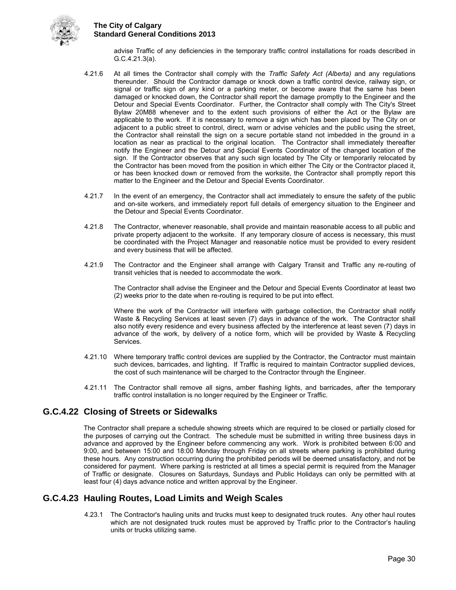

advise Traffic of any deficiencies in the temporary traffic control installations for roads described in G.C.4.21.3(a).

- 4.21.6 At all times the Contractor shall comply with the *Traffic Safety Act (Alberta)* and any regulations thereunder. Should the Contractor damage or knock down a traffic control device, railway sign, or signal or traffic sign of any kind or a parking meter, or become aware that the same has been damaged or knocked down, the Contractor shall report the damage promptly to the Engineer and the Detour and Special Events Coordinator. Further, the Contractor shall comply with The City's Street Bylaw 20M88 whenever and to the extent such provisions of either the Act or the Bylaw are applicable to the work. If it is necessary to remove a sign which has been placed by The City on or adjacent to a public street to control, direct, warn or advise vehicles and the public using the street, the Contractor shall reinstall the sign on a secure portable stand not imbedded in the ground in a location as near as practical to the original location. The Contractor shall immediately thereafter notify the Engineer and the Detour and Special Events Coordinator of the changed location of the sign. If the Contractor observes that any such sign located by The City or temporarily relocated by the Contractor has been moved from the position in which either The City or the Contractor placed it, or has been knocked down or removed from the worksite, the Contractor shall promptly report this matter to the Engineer and the Detour and Special Events Coordinator.
- 4.21.7 In the event of an emergency, the Contractor shall act immediately to ensure the safety of the public and on-site workers, and immediately report full details of emergency situation to the Engineer and the Detour and Special Events Coordinator.
- 4.21.8 The Contractor, whenever reasonable, shall provide and maintain reasonable access to all public and private property adjacent to the worksite. If any temporary closure of access is necessary, this must be coordinated with the Project Manager and reasonable notice must be provided to every resident and every business that will be affected.
- 4.21.9 The Contractor and the Engineer shall arrange with Calgary Transit and Traffic any re-routing of transit vehicles that is needed to accommodate the work.

 The Contractor shall advise the Engineer and the Detour and Special Events Coordinator at least two (2) weeks prior to the date when re-routing is required to be put into effect.

 Where the work of the Contractor will interfere with garbage collection, the Contractor shall notify Waste & Recycling Services at least seven (7) days in advance of the work. The Contractor shall also notify every residence and every business affected by the interference at least seven (7) days in advance of the work, by delivery of a notice form, which will be provided by Waste & Recycling Services.

- 4.21.10 Where temporary traffic control devices are supplied by the Contractor, the Contractor must maintain such devices, barricades, and lighting. If Traffic is required to maintain Contractor supplied devices, the cost of such maintenance will be charged to the Contractor through the Engineer.
- 4.21.11 The Contractor shall remove all signs, amber flashing lights, and barricades, after the temporary traffic control installation is no longer required by the Engineer or Traffic.

## <span id="page-35-0"></span>**G.C.4.22 Closing of Streets or Sidewalks**

The Contractor shall prepare a schedule showing streets which are required to be closed or partially closed for the purposes of carrying out the Contract. The schedule must be submitted in writing three business days in advance and approved by the Engineer before commencing any work. Work is prohibited between 6:00 and 9:00, and between 15:00 and 18:00 Monday through Friday on all streets where parking is prohibited during these hours. Any construction occurring during the prohibited periods will be deemed unsatisfactory, and not be considered for payment. Where parking is restricted at all times a special permit is required from the Manager of Traffic or designate. Closures on Saturdays, Sundays and Public Holidays can only be permitted with at least four (4) days advance notice and written approval by the Engineer.

## <span id="page-35-1"></span>**G.C.4.23 Hauling Routes, Load Limits and Weigh Scales**

4.23.1 The Contractor's hauling units and trucks must keep to designated truck routes. Any other haul routes which are not designated truck routes must be approved by Traffic prior to the Contractor's hauling units or trucks utilizing same.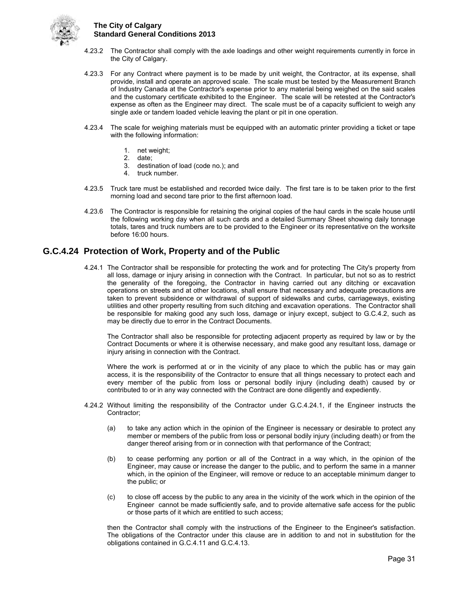

- 4.23.2 The Contractor shall comply with the axle loadings and other weight requirements currently in force in the City of Calgary.
- 4.23.3 For any Contract where payment is to be made by unit weight, the Contractor, at its expense, shall provide, install and operate an approved scale. The scale must be tested by the Measurement Branch of Industry Canada at the Contractor's expense prior to any material being weighed on the said scales and the customary certificate exhibited to the Engineer. The scale will be retested at the Contractor's expense as often as the Engineer may direct. The scale must be of a capacity sufficient to weigh any single axle or tandem loaded vehicle leaving the plant or pit in one operation.
- 4.23.4 The scale for weighing materials must be equipped with an automatic printer providing a ticket or tape with the following information:
	- 1. net weight;
	- 2. date;
	- 3. destination of load (code no.); and
	- 4. truck number.
- 4.23.5 Truck tare must be established and recorded twice daily. The first tare is to be taken prior to the first morning load and second tare prior to the first afternoon load.
- 4.23.6 The Contractor is responsible for retaining the original copies of the haul cards in the scale house until the following working day when all such cards and a detailed Summary Sheet showing daily tonnage totals, tares and truck numbers are to be provided to the Engineer or its representative on the worksite before 16:00 hours.

### <span id="page-36-0"></span>**G.C.4.24 Protection of Work, Property and of the Public**

4.24.1 The Contractor shall be responsible for protecting the work and for protecting The City's property from all loss, damage or injury arising in connection with the Contract. In particular, but not so as to restrict the generality of the foregoing, the Contractor in having carried out any ditching or excavation operations on streets and at other locations, shall ensure that necessary and adequate precautions are taken to prevent subsidence or withdrawal of support of sidewalks and curbs, carriageways, existing utilities and other property resulting from such ditching and excavation operations. The Contractor shall be responsible for making good any such loss, damage or injury except, subject to G.C.4.2, such as may be directly due to error in the Contract Documents.

The Contractor shall also be responsible for protecting adjacent property as required by law or by the Contract Documents or where it is otherwise necessary, and make good any resultant loss, damage or injury arising in connection with the Contract.

Where the work is performed at or in the vicinity of any place to which the public has or may gain access, it is the responsibility of the Contractor to ensure that all things necessary to protect each and every member of the public from loss or personal bodily injury (including death) caused by or contributed to or in any way connected with the Contract are done diligently and expediently.

- 4.24.2 Without limiting the responsibility of the Contractor under G.C.4.24.1, if the Engineer instructs the Contractor;
	- (a) to take any action which in the opinion of the Engineer is necessary or desirable to protect any member or members of the public from loss or personal bodily injury (including death) or from the danger thereof arising from or in connection with that performance of the Contract;
	- (b) to cease performing any portion or all of the Contract in a way which, in the opinion of the Engineer, may cause or increase the danger to the public, and to perform the same in a manner which, in the opinion of the Engineer, will remove or reduce to an acceptable minimum danger to the public; or
	- (c) to close off access by the public to any area in the vicinity of the work which in the opinion of the Engineer cannot be made sufficiently safe, and to provide alternative safe access for the public or those parts of it which are entitled to such access;

then the Contractor shall comply with the instructions of the Engineer to the Engineer's satisfaction. The obligations of the Contractor under this clause are in addition to and not in substitution for the obligations contained in G.C.4.11 and G.C.4.13.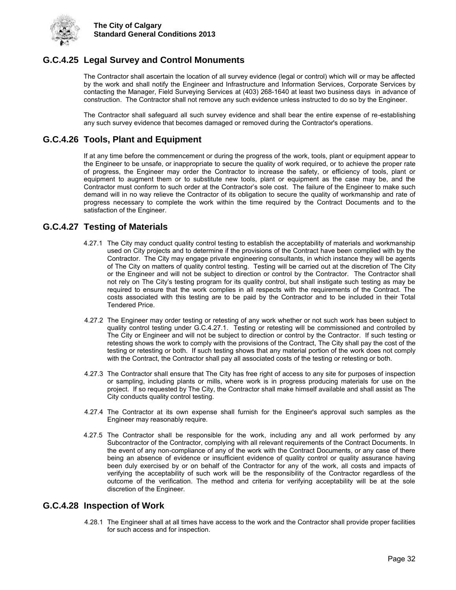

## <span id="page-37-0"></span>**G.C.4.25 Legal Survey and Control Monuments**

The Contractor shall ascertain the location of all survey evidence (legal or control) which will or may be affected by the work and shall notify the Engineer and Infrastructure and Information Services, Corporate Services by contacting the Manager, Field Surveying Services at (403) 268-1640 at least two business days in advance of construction. The Contractor shall not remove any such evidence unless instructed to do so by the Engineer.

The Contractor shall safeguard all such survey evidence and shall bear the entire expense of re-establishing any such survey evidence that becomes damaged or removed during the Contractor's operations.

## <span id="page-37-1"></span>**G.C.4.26 Tools, Plant and Equipment**

If at any time before the commencement or during the progress of the work, tools, plant or equipment appear to the Engineer to be unsafe, or inappropriate to secure the quality of work required, or to achieve the proper rate of progress, the Engineer may order the Contractor to increase the safety, or efficiency of tools, plant or equipment to augment them or to substitute new tools, plant or equipment as the case may be, and the Contractor must conform to such order at the Contractor's sole cost. The failure of the Engineer to make such demand will in no way relieve the Contractor of its obligation to secure the quality of workmanship and rate of progress necessary to complete the work within the time required by the Contract Documents and to the satisfaction of the Engineer.

## <span id="page-37-2"></span>**G.C.4.27 Testing of Materials**

- 4.27.1 The City may conduct quality control testing to establish the acceptability of materials and workmanship used on City projects and to determine if the provisions of the Contract have been complied with by the Contractor. The City may engage private engineering consultants, in which instance they will be agents of The City on matters of quality control testing. Testing will be carried out at the discretion of The City or the Engineer and will not be subject to direction or control by the Contractor. The Contractor shall not rely on The City's testing program for its quality control, but shall instigate such testing as may be required to ensure that the work complies in all respects with the requirements of the Contract. The costs associated with this testing are to be paid by the Contractor and to be included in their Total Tendered Price.
- 4.27.2 The Engineer may order testing or retesting of any work whether or not such work has been subject to quality control testing under G.C.4.27.1. Testing or retesting will be commissioned and controlled by The City or Engineer and will not be subject to direction or control by the Contractor. If such testing or retesting shows the work to comply with the provisions of the Contract, The City shall pay the cost of the testing or retesting or both. If such testing shows that any material portion of the work does not comply with the Contract, the Contractor shall pay all associated costs of the testing or retesting or both.
- 4.27.3 The Contractor shall ensure that The City has free right of access to any site for purposes of inspection or sampling, including plants or mills, where work is in progress producing materials for use on the project. If so requested by The City, the Contractor shall make himself available and shall assist as The City conducts quality control testing.
- 4.27.4 The Contractor at its own expense shall furnish for the Engineer's approval such samples as the Engineer may reasonably require.
- 4.27.5 The Contractor shall be responsible for the work, including any and all work performed by any Subcontractor of the Contractor, complying with all relevant requirements of the Contract Documents. In the event of any non-compliance of any of the work with the Contract Documents, or any case of there being an absence of evidence or insufficient evidence of quality control or quality assurance having been duly exercised by or on behalf of the Contractor for any of the work, all costs and impacts of verifying the acceptability of such work will be the responsibility of the Contractor regardless of the outcome of the verification. The method and criteria for verifying acceptability will be at the sole discretion of the Engineer.

#### <span id="page-37-3"></span>**G.C.4.28 Inspection of Work**

4.28.1 The Engineer shall at all times have access to the work and the Contractor shall provide proper facilities for such access and for inspection.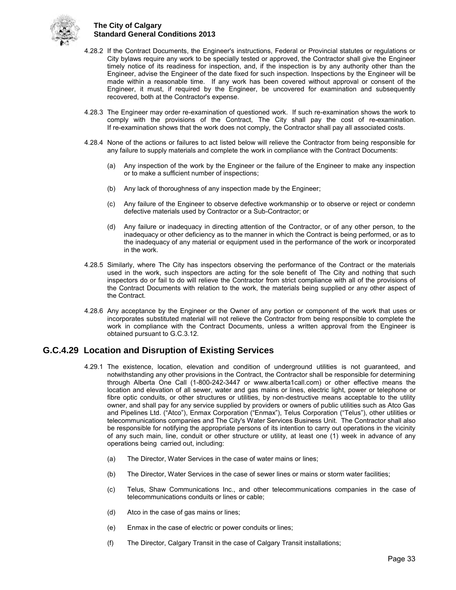

- 4.28.2 If the Contract Documents, the Engineer's instructions, Federal or Provincial statutes or regulations or City bylaws require any work to be specially tested or approved, the Contractor shall give the Engineer timely notice of its readiness for inspection, and, if the inspection is by any authority other than the Engineer, advise the Engineer of the date fixed for such inspection. Inspections by the Engineer will be made within a reasonable time. If any work has been covered without approval or consent of the Engineer, it must, if required by the Engineer, be uncovered for examination and subsequently recovered, both at the Contractor's expense.
- 4.28.3 The Engineer may order re-examination of questioned work. If such re-examination shows the work to comply with the provisions of the Contract, The City shall pay the cost of re-examination. If re-examination shows that the work does not comply, the Contractor shall pay all associated costs.
- 4.28.4 None of the actions or failures to act listed below will relieve the Contractor from being responsible for any failure to supply materials and complete the work in compliance with the Contract Documents:
	- (a) Any inspection of the work by the Engineer or the failure of the Engineer to make any inspection or to make a sufficient number of inspections;
	- (b) Any lack of thoroughness of any inspection made by the Engineer;
	- (c) Any failure of the Engineer to observe defective workmanship or to observe or reject or condemn defective materials used by Contractor or a Sub-Contractor; or
	- (d) Any failure or inadequacy in directing attention of the Contractor, or of any other person, to the inadequacy or other deficiency as to the manner in which the Contract is being performed, or as to the inadequacy of any material or equipment used in the performance of the work or incorporated in the work.
- 4.28.5 Similarly, where The City has inspectors observing the performance of the Contract or the materials used in the work, such inspectors are acting for the sole benefit of The City and nothing that such inspectors do or fail to do will relieve the Contractor from strict compliance with all of the provisions of the Contract Documents with relation to the work, the materials being supplied or any other aspect of the Contract.
- 4.28.6 Any acceptance by the Engineer or the Owner of any portion or component of the work that uses or incorporates substituted material will not relieve the Contractor from being responsible to complete the work in compliance with the Contract Documents, unless a written approval from the Engineer is obtained pursuant to G.C.3.12.

## <span id="page-38-0"></span>**G.C.4.29 Location and Disruption of Existing Services**

- 4.29.1 The existence, location, elevation and condition of underground utilities is not guaranteed, and notwithstanding any other provisions in the Contract, the Contractor shall be responsible for determining through Alberta One Call (1-800-242-3447 or www.alberta1call.com) or other effective means the location and elevation of all sewer, water and gas mains or lines, electric light, power or telephone or fibre optic conduits, or other structures or utilities, by non-destructive means acceptable to the utility owner, and shall pay for any service supplied by providers or owners of public utilities such as Atco Gas and Pipelines Ltd. ("Atco"), Enmax Corporation ("Enmax"), Telus Corporation ("Telus"), other utilities or telecommunications companies and The City's Water Services Business Unit. The Contractor shall also be responsible for notifying the appropriate persons of its intention to carry out operations in the vicinity of any such main, line, conduit or other structure or utility, at least one (1) week in advance of any operations being carried out, including:
	- (a) The Director, Water Services in the case of water mains or lines;
	- (b) The Director, Water Services in the case of sewer lines or mains or storm water facilities;
	- (c) Telus, Shaw Communications Inc., and other telecommunications companies in the case of telecommunications conduits or lines or cable;
	- (d) Atco in the case of gas mains or lines;
	- (e) Enmax in the case of electric or power conduits or lines;
	- (f) The Director, Calgary Transit in the case of Calgary Transit installations;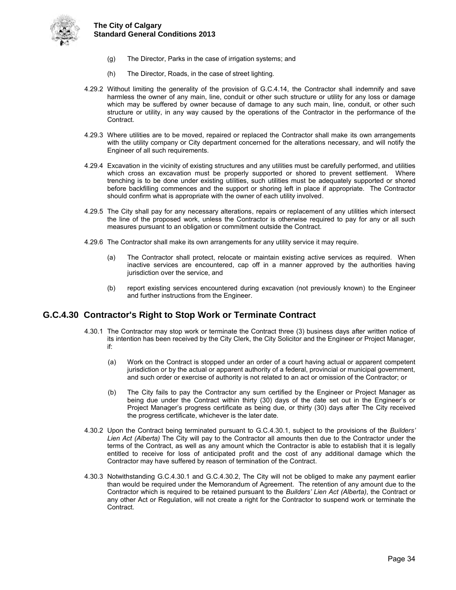

- (g) The Director, Parks in the case of irrigation systems; and
- (h) The Director, Roads, in the case of street lighting.
- 4.29.2 Without limiting the generality of the provision of G.C.4.14, the Contractor shall indemnify and save harmless the owner of any main, line, conduit or other such structure or utility for any loss or damage which may be suffered by owner because of damage to any such main, line, conduit, or other such structure or utility, in any way caused by the operations of the Contractor in the performance of the Contract.
- 4.29.3 Where utilities are to be moved, repaired or replaced the Contractor shall make its own arrangements with the utility company or City department concerned for the alterations necessary, and will notify the Engineer of all such requirements.
- 4.29.4 Excavation in the vicinity of existing structures and any utilities must be carefully performed, and utilities which cross an excavation must be properly supported or shored to prevent settlement. Where trenching is to be done under existing utilities, such utilities must be adequately supported or shored before backfilling commences and the support or shoring left in place if appropriate. The Contractor should confirm what is appropriate with the owner of each utility involved.
- 4.29.5 The City shall pay for any necessary alterations, repairs or replacement of any utilities which intersect the line of the proposed work, unless the Contractor is otherwise required to pay for any or all such measures pursuant to an obligation or commitment outside the Contract.
- 4.29.6 The Contractor shall make its own arrangements for any utility service it may require.
	- (a) The Contractor shall protect, relocate or maintain existing active services as required. When inactive services are encountered, cap off in a manner approved by the authorities having jurisdiction over the service, and
	- (b) report existing services encountered during excavation (not previously known) to the Engineer and further instructions from the Engineer.

#### <span id="page-39-0"></span>**G.C.4.30 Contractor's Right to Stop Work or Terminate Contract**

- 4.30.1 The Contractor may stop work or terminate the Contract three (3) business days after written notice of its intention has been received by the City Clerk, the City Solicitor and the Engineer or Project Manager, if:
	- (a) Work on the Contract is stopped under an order of a court having actual or apparent competent jurisdiction or by the actual or apparent authority of a federal, provincial or municipal government, and such order or exercise of authority is not related to an act or omission of the Contractor; or
	- (b) The City fails to pay the Contractor any sum certified by the Engineer or Project Manager as being due under the Contract within thirty (30) days of the date set out in the Engineer's or Project Manager's progress certificate as being due, or thirty (30) days after The City received the progress certificate, whichever is the later date.
- 4.30.2 Upon the Contract being terminated pursuant to G.C.4.30.1, subject to the provisions of the *Builders' Lien Act (Alberta)* The City will pay to the Contractor all amounts then due to the Contractor under the terms of the Contract, as well as any amount which the Contractor is able to establish that it is legally entitled to receive for loss of anticipated profit and the cost of any additional damage which the Contractor may have suffered by reason of termination of the Contract.
- 4.30.3 Notwithstanding G.C.4.30.1 and G.C.4.30.2, The City will not be obliged to make any payment earlier than would be required under the Memorandum of Agreement. The retention of any amount due to the Contractor which is required to be retained pursuant to the *Builders' Lien Act (Alberta)*, the Contract or any other Act or Regulation, will not create a right for the Contractor to suspend work or terminate the Contract.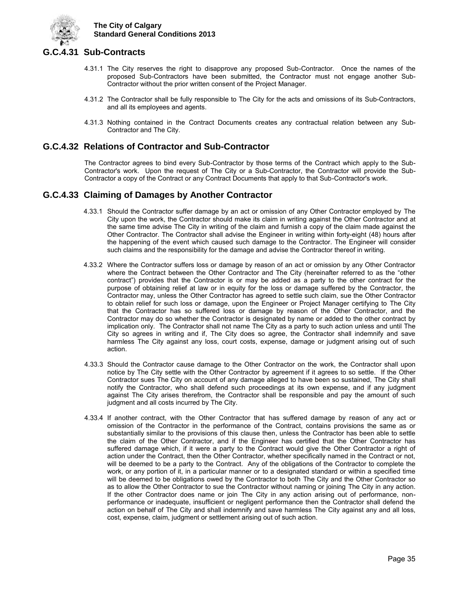

## <span id="page-40-0"></span>**G.C.4.31 Sub-Contracts**

- 4.31.1 The City reserves the right to disapprove any proposed Sub-Contractor. Once the names of the proposed Sub-Contractors have been submitted, the Contractor must not engage another Sub-Contractor without the prior written consent of the Project Manager.
- 4.31.2 The Contractor shall be fully responsible to The City for the acts and omissions of its Sub-Contractors, and all its employees and agents.
- 4.31.3 Nothing contained in the Contract Documents creates any contractual relation between any Sub-Contractor and The City.

## <span id="page-40-1"></span>**G.C.4.32 Relations of Contractor and Sub-Contractor**

The Contractor agrees to bind every Sub-Contractor by those terms of the Contract which apply to the Sub-Contractor's work. Upon the request of The City or a Sub-Contractor, the Contractor will provide the Sub-Contractor a copy of the Contract or any Contract Documents that apply to that Sub-Contractor's work.

## <span id="page-40-2"></span>**G.C.4.33 Claiming of Damages by Another Contractor**

- 4.33.1 Should the Contractor suffer damage by an act or omission of any Other Contractor employed by The City upon the work, the Contractor should make its claim in writing against the Other Contractor and at the same time advise The City in writing of the claim and furnish a copy of the claim made against the Other Contractor. The Contractor shall advise the Engineer in writing within forty-eight (48) hours after the happening of the event which caused such damage to the Contractor. The Engineer will consider such claims and the responsibility for the damage and advise the Contractor thereof in writing.
- 4.33.2 Where the Contractor suffers loss or damage by reason of an act or omission by any Other Contractor where the Contract between the Other Contractor and The City (hereinafter referred to as the "other contract") provides that the Contractor is or may be added as a party to the other contract for the purpose of obtaining relief at law or in equity for the loss or damage suffered by the Contractor, the Contractor may, unless the Other Contractor has agreed to settle such claim, sue the Other Contractor to obtain relief for such loss or damage, upon the Engineer or Project Manager certifying to The City that the Contractor has so suffered loss or damage by reason of the Other Contractor, and the Contractor may do so whether the Contractor is designated by name or added to the other contract by implication only. The Contractor shall not name The City as a party to such action unless and until The City so agrees in writing and if, The City does so agree, the Contractor shall indemnify and save harmless The City against any loss, court costs, expense, damage or judgment arising out of such action.
- 4.33.3 Should the Contractor cause damage to the Other Contractor on the work, the Contractor shall upon notice by The City settle with the Other Contractor by agreement if it agrees to so settle. If the Other Contractor sues The City on account of any damage alleged to have been so sustained, The City shall notify the Contractor, who shall defend such proceedings at its own expense, and if any judgment against The City arises therefrom, the Contractor shall be responsible and pay the amount of such judgment and all costs incurred by The City.
- 4.33.4 If another contract, with the Other Contractor that has suffered damage by reason of any act or omission of the Contractor in the performance of the Contract, contains provisions the same as or substantially similar to the provisions of this clause then, unless the Contractor has been able to settle the claim of the Other Contractor, and if the Engineer has certified that the Other Contractor has suffered damage which, if it were a party to the Contract would give the Other Contractor a right of action under the Contract, then the Other Contractor, whether specifically named in the Contract or not, will be deemed to be a party to the Contract. Any of the obligations of the Contractor to complete the work, or any portion of it, in a particular manner or to a designated standard or within a specified time will be deemed to be obligations owed by the Contractor to both The City and the Other Contractor so as to allow the Other Contractor to sue the Contractor without naming or joining The City in any action. If the other Contractor does name or join The City in any action arising out of performance, nonperformance or inadequate, insufficient or negligent performance then the Contractor shall defend the action on behalf of The City and shall indemnify and save harmless The City against any and all loss, cost, expense, claim, judgment or settlement arising out of such action.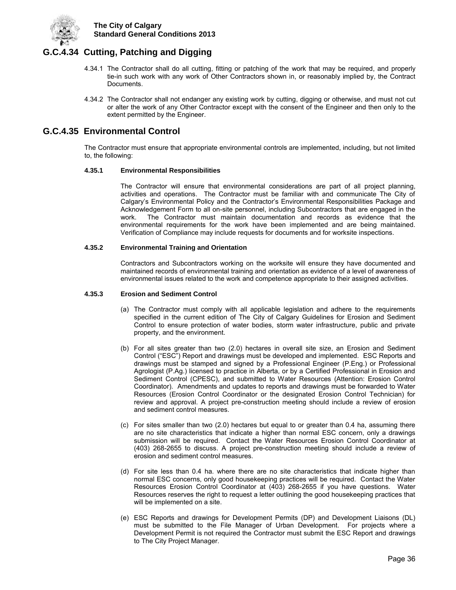

## <span id="page-41-0"></span>**G.C.4.34 Cutting, Patching and Digging**

- 4.34.1 The Contractor shall do all cutting, fitting or patching of the work that may be required, and properly tie-in such work with any work of Other Contractors shown in, or reasonably implied by, the Contract Documents.
- 4.34.2 The Contractor shall not endanger any existing work by cutting, digging or otherwise, and must not cut or alter the work of any Other Contractor except with the consent of the Engineer and then only to the extent permitted by the Engineer.

## <span id="page-41-1"></span>**G.C.4.35 Environmental Control**

The Contractor must ensure that appropriate environmental controls are implemented, including, but not limited to, the following:

#### **4.35.1 Environmental Responsibilities**

The Contractor will ensure that environmental considerations are part of all project planning, activities and operations. The Contractor must be familiar with and communicate The City of Calgary's Environmental Policy and the Contractor's Environmental Responsibilities Package and Acknowledgement Form to all on-site personnel, including Subcontractors that are engaged in the work. The Contractor must maintain documentation and records as evidence that the environmental requirements for the work have been implemented and are being maintained. Verification of Compliance may include requests for documents and for worksite inspections.

#### **4.35.2 Environmental Training and Orientation**

Contractors and Subcontractors working on the worksite will ensure they have documented and maintained records of environmental training and orientation as evidence of a level of awareness of environmental issues related to the work and competence appropriate to their assigned activities.

#### **4.35.3 Erosion and Sediment Control**

- (a) The Contractor must comply with all applicable legislation and adhere to the requirements specified in the current edition of The City of Calgary Guidelines for Erosion and Sediment Control to ensure protection of water bodies, storm water infrastructure, public and private property, and the environment.
- (b) For all sites greater than two (2.0) hectares in overall site size, an Erosion and Sediment Control ("ESC") Report and drawings must be developed and implemented. ESC Reports and drawings must be stamped and signed by a Professional Engineer (P.Eng.) or Professional Agrologist (P.Ag.) licensed to practice in Alberta, or by a Certified Professional in Erosion and Sediment Control (CPESC), and submitted to Water Resources (Attention: Erosion Control Coordinator). Amendments and updates to reports and drawings must be forwarded to Water Resources (Erosion Control Coordinator or the designated Erosion Control Technician) for review and approval. A project pre-construction meeting should include a review of erosion and sediment control measures.
- (c) For sites smaller than two (2.0) hectares but equal to or greater than 0.4 ha, assuming there are no site characteristics that indicate a higher than normal ESC concern, only a drawings submission will be required. Contact the Water Resources Erosion Control Coordinator at (403) 268-2655 to discuss. A project pre-construction meeting should include a review of erosion and sediment control measures.
- (d) For site less than 0.4 ha. where there are no site characteristics that indicate higher than normal ESC concerns, only good housekeeping practices will be required. Contact the Water Resources Erosion Control Coordinator at (403) 268-2655 if you have questions. Water Resources reserves the right to request a letter outlining the good housekeeping practices that will be implemented on a site.
- (e) ESC Reports and drawings for Development Permits (DP) and Development Liaisons (DL) must be submitted to the File Manager of Urban Development. For projects where a Development Permit is not required the Contractor must submit the ESC Report and drawings to The City Project Manager.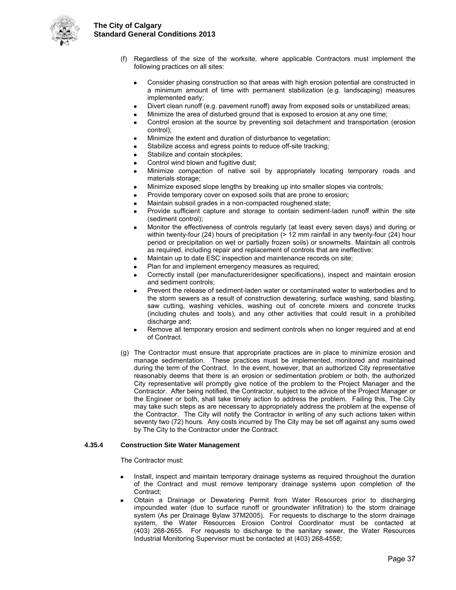

- (f) Regardless of the size of the worksite, where applicable Contractors must implement the following practices on all sites:
	- Consider phasing construction so that areas with high erosion potential are constructed in a minimum amount of time with permanent stabilization (e.g. landscaping) measures implemented early;
	- Divert clean runoff (e.g. pavement runoff) away from exposed soils or unstabilized areas;
	- Minimize the area of disturbed ground that is exposed to erosion at any one time;
	- Control erosion at the source by preventing soil detachment and transportation (erosion control);
	- Minimize the extent and duration of disturbance to vegetation;
	- Stabilize access and egress points to reduce off-site tracking;
	- Stabilize and contain stockpiles;
	- Control wind blown and fugitive dust;
	- Minimize compaction of native soil by appropriately locating temporary roads and materials storage;
	- Minimize exposed slope lengths by breaking up into smaller slopes via controls;
	- Provide temporary cover on exposed soils that are prone to erosion;
	- Maintain subsoil grades in a non-compacted roughened state;
	- Provide sufficient capture and storage to contain sediment-laden runoff within the site (sediment control);
	- Monitor the effectiveness of controls regularly (at least every seven days) and during or within twenty-four (24) hours of precipitation  $(> 12 \text{ mm}$  rainfall in any twenty-four (24) hour period or precipitation on wet or partially frozen soils) or snowmelts. Maintain all controls as required, including repair and replacement of controls that are ineffective:
	- Maintain up to date ESC inspection and maintenance records on site;
	- Plan for and implement emergency measures as required;
	- Correctly install (per manufacturer/designer specifications), inspect and maintain erosion and sediment controls;
	- Prevent the release of sediment-laden water or contaminated water to waterbodies and to the storm sewers as a result of construction dewatering, surface washing, sand blasting, saw cutting, washing vehicles, washing out of concrete mixers and concrete trucks (including chutes and tools), and any other activities that could result in a prohibited discharge and;
	- Remove all temporary erosion and sediment controls when no longer required and at end of Contract.
- (g) The Contractor must ensure that appropriate practices are in place to minimize erosion and manage sedimentation. These practices must be implemented, monitored and maintained during the term of the Contract. In the event, however, that an authorized City representative reasonably deems that there is an erosion or sedimentation problem or both, the authorized City representative will promptly give notice of the problem to the Project Manager and the Contractor. After being notified, the Contractor, subject to the advice of the Project Manager or the Engineer or both, shall take timely action to address the problem. Failing this, The City may take such steps as are necessary to appropriately address the problem at the expense of the Contractor. The City will notify the Contractor in writing of any such actions taken within seventy two (72) hours. Any costs incurred by The City may be set off against any sums owed by The City to the Contractor under the Contract.

#### **4.35.4 Construction Site Water Management**

The Contractor must:

- Install, inspect and maintain temporary drainage systems as required throughout the duration of the Contract and must remove temporary drainage systems upon completion of the Contract;
- Obtain a Drainage or Dewatering Permit from Water Resources prior to discharging impounded water (due to surface runoff or groundwater infiltration) to the storm drainage system (As per Drainage Bylaw 37M2005). For requests to discharge to the storm drainage system, the Water Resources Erosion Control Coordinator must be contacted at (403) 268-2655. For requests to discharge to the sanitary sewer, the Water Resources Industrial Monitoring Supervisor must be contacted at (403) 268-4558;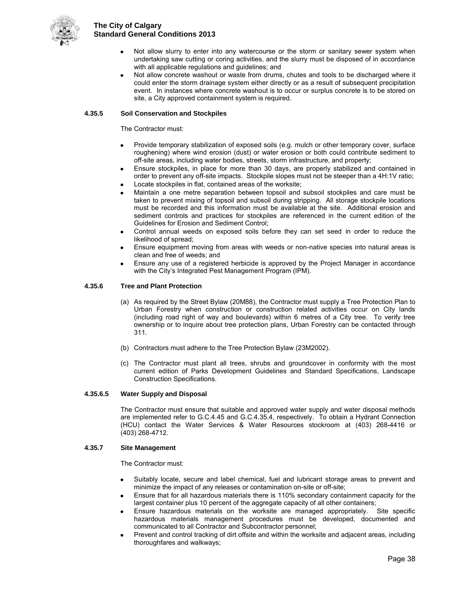

- Not allow slurry to enter into any watercourse or the storm or sanitary sewer system when undertaking saw cutting or coring activities, and the slurry must be disposed of in accordance with all applicable regulations and guidelines; and
- Not allow concrete washout or waste from drums, chutes and tools to be discharged where it could enter the storm drainage system either directly or as a result of subsequent precipitation event. In instances where concrete washout is to occur or surplus concrete is to be stored on site, a City approved containment system is required.

#### **4.35.5 Soil Conservation and Stockpiles**

The Contractor must:

- Provide temporary stabilization of exposed soils (e.g. mulch or other temporary cover, surface roughening) where wind erosion (dust) or water erosion or both could contribute sediment to off-site areas, including water bodies, streets, storm infrastructure, and property;
- Ensure stockpiles, in place for more than 30 days, are properly stabilized and contained in order to prevent any off-site impacts. Stockpile slopes must not be steeper than a 4H:1V ratio;
- Locate stockpiles in flat, contained areas of the worksite;
- Maintain a one metre separation between topsoil and subsoil stockpiles and care must be taken to prevent mixing of topsoil and subsoil during stripping. All storage stockpile locations must be recorded and this information must be available at the site. Additional erosion and sediment controls and practices for stockpiles are referenced in the current edition of the Guidelines for Erosion and Sediment Control;
- Control annual weeds on exposed soils before they can set seed in order to reduce the likelihood of spread;
- Ensure equipment moving from areas with weeds or non-native species into natural areas is clean and free of weeds; and
- Ensure any use of a registered herbicide is approved by the Project Manager in accordance with the City's Integrated Pest Management Program (IPM).

#### **4.35.6 Tree and Plant Protection**

- (a) As required by the Street Bylaw (20M88), the Contractor must supply a Tree Protection Plan to Urban Forestry when construction or construction related activities occur on City lands (including road right of way and boulevards) within 6 metres of a City tree. To verify tree ownership or to inquire about tree protection plans, Urban Forestry can be contacted through 311.
- (b) Contractors must adhere to the Tree Protection Bylaw (23M2002).
- (c) The Contractor must plant all trees, shrubs and groundcover in conformity with the most current edition of Parks Development Guidelines and Standard Specifications, Landscape Construction Specifications.

#### **4.35.6.5 Water Supply and Disposal**

The Contractor must ensure that suitable and approved water supply and water disposal methods are implemented refer to G.C.4.45 and G.C.4.35.4, respectively. To obtain a Hydrant Connection (HCU) contact the Water Services & Water Resources stockroom at (403) 268-4416 or (403) 268-4712.

#### **4.35.7 Site Management**

The Contractor must:

- Suitably locate, secure and label chemical, fuel and lubricant storage areas to prevent and minimize the impact of any releases or contamination on-site or off-site;
- Ensure that for all hazardous materials there is 110% secondary containment capacity for the largest container plus 10 percent of the aggregate capacity of all other containers;
- Ensure hazardous materials on the worksite are managed appropriately. Site specific hazardous materials management procedures must be developed, documented and communicated to all Contractor and Subcontractor personnel;
- Prevent and control tracking of dirt offsite and within the worksite and adjacent areas, including thoroughfares and walkways;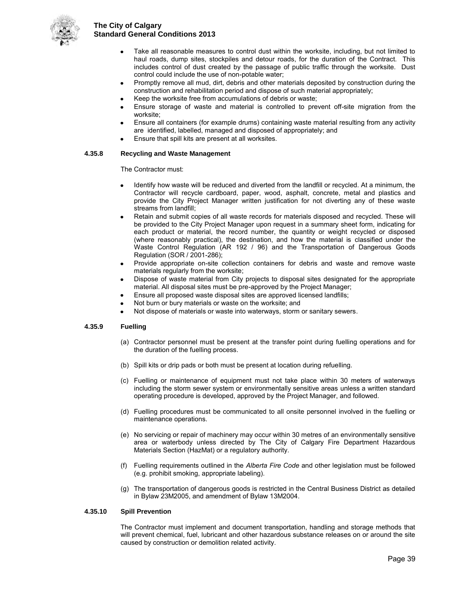

- Take all reasonable measures to control dust within the worksite, including, but not limited to haul roads, dump sites, stockpiles and detour roads, for the duration of the Contract. This includes control of dust created by the passage of public traffic through the worksite. Dust control could include the use of non-potable water;
- Promptly remove all mud, dirt, debris and other materials deposited by construction during the construction and rehabilitation period and dispose of such material appropriately;
- Keep the worksite free from accumulations of debris or waste;
- Ensure storage of waste and material is controlled to prevent off-site migration from the worksite;
- Ensure all containers (for example drums) containing waste material resulting from any activity are identified, labelled, managed and disposed of appropriately; and
- Ensure that spill kits are present at all worksites.

#### **4.35.8 Recycling and Waste Management**

The Contractor must:

- Identify how waste will be reduced and diverted from the landfill or recycled. At a minimum, the Contractor will recycle cardboard, paper, wood, asphalt, concrete, metal and plastics and provide the City Project Manager written justification for not diverting any of these waste streams from landfill;
- Retain and submit copies of all waste records for materials disposed and recycled. These will be provided to the City Project Manager upon request in a summary sheet form, indicating for each product or material, the record number, the quantity or weight recycled or disposed (where reasonably practical), the destination, and how the material is classified under the Waste Control Regulation (AR 192 / 96) and the Transportation of Dangerous Goods Regulation (SOR / 2001-286);
- Provide appropriate on-site collection containers for debris and waste and remove waste materials regularly from the worksite;
- Dispose of waste material from City projects to disposal sites designated for the appropriate material. All disposal sites must be pre-approved by the Project Manager;
- Ensure all proposed waste disposal sites are approved licensed landfills;
- Not burn or bury materials or waste on the worksite; and
- Not dispose of materials or waste into waterways, storm or sanitary sewers.

#### **4.35.9 Fuelling**

- (a) Contractor personnel must be present at the transfer point during fuelling operations and for the duration of the fuelling process.
- (b) Spill kits or drip pads or both must be present at location during refuelling.
- (c) Fuelling or maintenance of equipment must not take place within 30 meters of waterways including the storm sewer system or environmentally sensitive areas unless a written standard operating procedure is developed, approved by the Project Manager, and followed.
- (d) Fuelling procedures must be communicated to all onsite personnel involved in the fuelling or maintenance operations.
- (e) No servicing or repair of machinery may occur within 30 metres of an environmentally sensitive area or waterbody unless directed by The City of Calgary Fire Department Hazardous Materials Section (HazMat) or a regulatory authority.
- (f) Fuelling requirements outlined in the *Alberta Fire Code* and other legislation must be followed (e.g. prohibit smoking, appropriate labeling).
- (g) The transportation of dangerous goods is restricted in the Central Business District as detailed in Bylaw 23M2005, and amendment of Bylaw 13M2004.

#### **4.35.10 Spill Prevention**

The Contractor must implement and document transportation, handling and storage methods that will prevent chemical, fuel, lubricant and other hazardous substance releases on or around the site caused by construction or demolition related activity.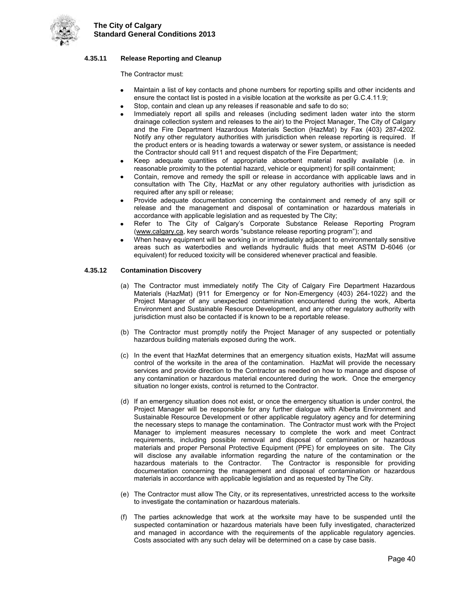

#### **4.35.11 Release Reporting and Cleanup**

The Contractor must:

- Maintain a list of key contacts and phone numbers for reporting spills and other incidents and ensure the contact list is posted in a visible location at the worksite as per G.C.4.11.9;
- Stop, contain and clean up any releases if reasonable and safe to do so;
- Immediately report all spills and releases (including sediment laden water into the storm drainage collection system and releases to the air) to the Project Manager, The City of Calgary and the Fire Department Hazardous Materials Section (HazMat) by Fax (403) 287-4202. Notify any other regulatory authorities with jurisdiction when release reporting is required. If the product enters or is heading towards a waterway or sewer system, or assistance is needed the Contractor should call 911 and request dispatch of the Fire Department;
- Keep adequate quantities of appropriate absorbent material readily available (i.e. in reasonable proximity to the potential hazard, vehicle or equipment) for spill containment;
- Contain, remove and remedy the spill or release in accordance with applicable laws and in consultation with The City, HazMat or any other regulatory authorities with jurisdiction as required after any spill or release;
- Provide adequate documentation concerning the containment and remedy of any spill or release and the management and disposal of contamination or hazardous materials in accordance with applicable legislation and as requested by The City;
- Refer to The City of Calgary's Corporate Substance Release Reporting Program [\(www.calgary.ca,](http://www.calgary.ca/) key search words "substance release reporting program"); and
- When heavy equipment will be working in or immediately adjacent to environmentally sensitive areas such as waterbodies and wetlands hydraulic fluids that meet ASTM D-6046 (or equivalent) for reduced toxicity will be considered whenever practical and feasible.

#### **4.35.12 Contamination Discovery**

- (a) The Contractor must immediately notify The City of Calgary Fire Department Hazardous Materials (HazMat) (911 for Emergency or for Non-Emergency (403) 264-1022) and the Project Manager of any unexpected contamination encountered during the work, Alberta Environment and Sustainable Resource Development, and any other regulatory authority with jurisdiction must also be contacted if is known to be a reportable release.
- (b) The Contractor must promptly notify the Project Manager of any suspected or potentially hazardous building materials exposed during the work.
- (c) In the event that HazMat determines that an emergency situation exists, HazMat will assume control of the worksite in the area of the contamination. HazMat will provide the necessary services and provide direction to the Contractor as needed on how to manage and dispose of any contamination or hazardous material encountered during the work. Once the emergency situation no longer exists, control is returned to the Contractor.
- (d) If an emergency situation does not exist, or once the emergency situation is under control, the Project Manager will be responsible for any further dialogue with Alberta Environment and Sustainable Resource Development or other applicable regulatory agency and for determining the necessary steps to manage the contamination. The Contractor must work with the Project Manager to implement measures necessary to complete the work and meet Contract requirements, including possible removal and disposal of contamination or hazardous materials and proper Personal Protective Equipment (PPE) for employees on site. The City will disclose any available information regarding the nature of the contamination or the hazardous materials to the Contractor. The Contractor is responsible for providing documentation concerning the management and disposal of contamination or hazardous materials in accordance with applicable legislation and as requested by The City.
- (e) The Contractor must allow The City, or its representatives, unrestricted access to the worksite to investigate the contamination or hazardous materials.
- (f) The parties acknowledge that work at the worksite may have to be suspended until the suspected contamination or hazardous materials have been fully investigated, characterized and managed in accordance with the requirements of the applicable regulatory agencies. Costs associated with any such delay will be determined on a case by case basis.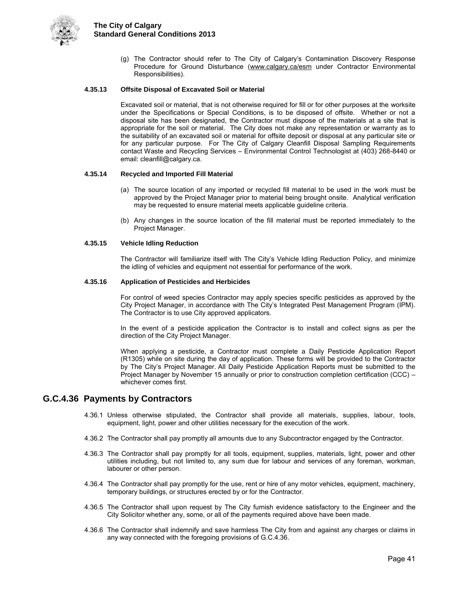

(g) The Contractor should refer to The City of Calgary's Contamination Discovery Response Procedure for Ground Disturbance [\(www.calgary.ca/esm](http://www.calgary.ca/esm) under Contractor Environmental Responsibilities).

#### **4.35.13 Offsite Disposal of Excavated Soil or Material**

Excavated soil or material, that is not otherwise required for fill or for other purposes at the worksite under the Specifications or Special Conditions, is to be disposed of offsite. Whether or not a disposal site has been designated, the Contractor must dispose of the materials at a site that is appropriate for the soil or material. The City does not make any representation or warranty as to the suitability of an excavated soil or material for offsite deposit or disposal at any particular site or for any particular purpose. For The City of Calgary Cleanfill Disposal Sampling Requirements contact Waste and Recycling Services – Environmental Control Technologist at (403) 268-8440 or email: cleanfill@calgary.ca.

#### **4.35.14 Recycled and Imported Fill Material**

- (a) The source location of any imported or recycled fill material to be used in the work must be approved by the Project Manager prior to material being brought onsite. Analytical verification may be requested to ensure material meets applicable guideline criteria.
- (b) Any changes in the source location of the fill material must be reported immediately to the Project Manager.

#### **4.35.15 Vehicle Idling Reduction**

The Contractor will familiarize itself with The City's Vehicle Idling Reduction Policy, and minimize the idling of vehicles and equipment not essential for performance of the work.

#### **4.35.16 Application of Pesticides and Herbicides**

For control of weed species Contractor may apply species specific pesticides as approved by the City Project Manager, in accordance with The City's Integrated Pest Management Program (IPM). The Contractor is to use City approved applicators.

In the event of a pesticide application the Contractor is to install and collect signs as per the direction of the City Project Manager.

When applying a pesticide, a Contractor must complete a Daily Pesticide Application Report (R1305) while on site during the day of application. These forms will be provided to the Contractor by The City's Project Manager. All Daily Pesticide Application Reports must be submitted to the Project Manager by November 15 annually or prior to construction completion certification (CCC) – whichever comes first.

#### <span id="page-46-0"></span>**G.C.4.36 Payments by Contractors**

- 4.36.1 Unless otherwise stipulated, the Contractor shall provide all materials, supplies, labour, tools, equipment, light, power and other utilities necessary for the execution of the work.
- 4.36.2 The Contractor shall pay promptly all amounts due to any Subcontractor engaged by the Contractor.
- 4.36.3 The Contractor shall pay promptly for all tools, equipment, supplies, materials, light, power and other utilities including, but not limited to, any sum due for labour and services of any foreman, workman, labourer or other person.
- 4.36.4 The Contractor shall pay promptly for the use, rent or hire of any motor vehicles, equipment, machinery, temporary buildings, or structures erected by or for the Contractor.
- 4.36.5 The Contractor shall upon request by The City furnish evidence satisfactory to the Engineer and the City Solicitor whether any, some, or all of the payments required above have been made.
- 4.36.6 The Contractor shall indemnify and save harmless The City from and against any charges or claims in any way connected with the foregoing provisions of G.C.4.36.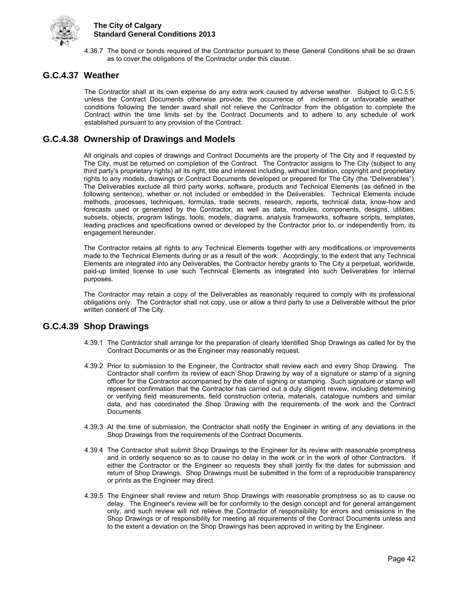

4.36.7 The bond or bonds required of the Contractor pursuant to these General Conditions shall be so drawn as to cover the obligations of the Contractor under this clause.

## <span id="page-47-0"></span>**G.C.4.37 Weather**

The Contractor shall at its own expense do any extra work caused by adverse weather. Subject to G.C.5.5, unless the Contract Documents otherwise provide, the occurrence of inclement or unfavorable weather conditions following the tender award shall not relieve the Contractor from the obligation to complete the Contract within the time limits set by the Contract Documents and to adhere to any schedule of work established pursuant to any provision of the Contract.

## <span id="page-47-1"></span>**G.C.4.38 Ownership of Drawings and Models**

All originals and copies of drawings and Contract Documents are the property of The City and if requested by The City, must be returned on completion of the Contract. The Contractor assigns to The City (subject to any third party's proprietary rights) all its right, title and interest including, without limitation, copyright and proprietary rights to any models, drawings or Contract Documents developed or prepared for The City (the "Deliverables"). The Deliverables exclude all third party works, software, products and Technical Elements (as defined in the following sentence), whether or not included or embedded in the Deliverables. Technical Elements include methods, processes, techniques, formulas, trade secrets, research, reports, technical data, know-how and forecasts used or generated by the Contractor, as well as data, modules, components, designs, utilities, subsets, objects, program listings, tools, models, diagrams, analysis frameworks, software scripts, templates, leading practices and specifications owned or developed by the Contractor prior to, or independently from, its engagement hereunder.

The Contractor retains all rights to any Technical Elements together with any modifications or improvements made to the Technical Elements during or as a result of the work. Accordingly, to the extent that any Technical Elements are integrated into any Deliverables, the Contractor hereby grants to The City a perpetual, worldwide, paid-up limited license to use such Technical Elements as integrated into such Deliverables for internal purposes.

The Contractor may retain a copy of the Deliverables as reasonably required to comply with its professional obligations only. The Contractor shall not copy, use or allow a third party to use a Deliverable without the prior written consent of The City.

## <span id="page-47-2"></span>**G.C.4.39 Shop Drawings**

- 4.39.1 The Contractor shall arrange for the preparation of clearly identified Shop Drawings as called for by the Contract Documents or as the Engineer may reasonably request.
- 4.39.2 Prior to submission to the Engineer, the Contractor shall review each and every Shop Drawing. The Contractor shall confirm its review of each Shop Drawing by way of a signature or stamp of a signing officer for the Contractor accompanied by the date of signing or stamping. Such signature or stamp will represent confirmation that the Contractor has carried out a duly diligent review, including determining or verifying field measurements, field construction criteria, materials, catalogue numbers and similar data, and has coordinated the Shop Drawing with the requirements of the work and the Contract Documents.
- 4.39.3 At the time of submission, the Contractor shall notify the Engineer in writing of any deviations in the Shop Drawings from the requirements of the Contract Documents.
- 4.39.4 The Contractor shall submit Shop Drawings to the Engineer for its review with reasonable promptness and in orderly sequence so as to cause no delay in the work or in the work of other Contractors. If either the Contractor or the Engineer so requests they shall jointly fix the dates for submission and return of Shop Drawings. Shop Drawings must be submitted in the form of a reproducible transparency or prints as the Engineer may direct.
- 4.39.5 The Engineer shall review and return Shop Drawings with reasonable promptness so as to cause no delay. The Engineer's review will be for conformity to the design concept and for general arrangement only, and such review will not relieve the Contractor of responsibility for errors and omissions in the Shop Drawings or of responsibility for meeting all requirements of the Contract Documents unless and to the extent a deviation on the Shop Drawings has been approved in writing by the Engineer.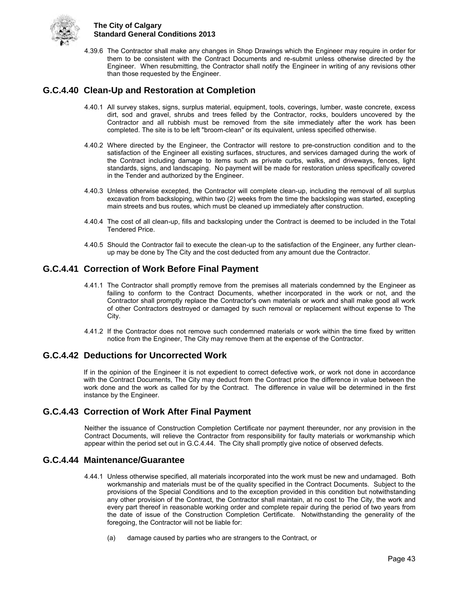

4.39.6 The Contractor shall make any changes in Shop Drawings which the Engineer may require in order for them to be consistent with the Contract Documents and re-submit unless otherwise directed by the Engineer. When resubmitting, the Contractor shall notify the Engineer in writing of any revisions other than those requested by the Engineer.

## <span id="page-48-0"></span>**G.C.4.40 Clean-Up and Restoration at Completion**

- 4.40.1 All survey stakes, signs, surplus material, equipment, tools, coverings, lumber, waste concrete, excess dirt, sod and gravel, shrubs and trees felled by the Contractor, rocks, boulders uncovered by the Contractor and all rubbish must be removed from the site immediately after the work has been completed. The site is to be left "broom-clean" or its equivalent, unless specified otherwise.
- 4.40.2 Where directed by the Engineer, the Contractor will restore to pre-construction condition and to the satisfaction of the Engineer all existing surfaces, structures, and services damaged during the work of the Contract including damage to items such as private curbs, walks, and driveways, fences, light standards, signs, and landscaping. No payment will be made for restoration unless specifically covered in the Tender and authorized by the Engineer.
- 4.40.3 Unless otherwise excepted, the Contractor will complete clean-up, including the removal of all surplus excavation from backsloping, within two (2) weeks from the time the backsloping was started, excepting main streets and bus routes, which must be cleaned up immediately after construction.
- 4.40.4 The cost of all clean-up, fills and backsloping under the Contract is deemed to be included in the Total Tendered Price.
- 4.40.5 Should the Contractor fail to execute the clean-up to the satisfaction of the Engineer, any further cleanup may be done by The City and the cost deducted from any amount due the Contractor.

## <span id="page-48-1"></span>**G.C.4.41 Correction of Work Before Final Payment**

- 4.41.1 The Contractor shall promptly remove from the premises all materials condemned by the Engineer as failing to conform to the Contract Documents, whether incorporated in the work or not, and the Contractor shall promptly replace the Contractor's own materials or work and shall make good all work of other Contractors destroyed or damaged by such removal or replacement without expense to The City.
- 4.41.2 If the Contractor does not remove such condemned materials or work within the time fixed by written notice from the Engineer, The City may remove them at the expense of the Contractor.

## <span id="page-48-2"></span>**G.C.4.42 Deductions for Uncorrected Work**

If in the opinion of the Engineer it is not expedient to correct defective work, or work not done in accordance with the Contract Documents, The City may deduct from the Contract price the difference in value between the work done and the work as called for by the Contract. The difference in value will be determined in the first instance by the Engineer.

## <span id="page-48-3"></span>**G.C.4.43 Correction of Work After Final Payment**

Neither the issuance of Construction Completion Certificate nor payment thereunder, nor any provision in the Contract Documents, will relieve the Contractor from responsibility for faulty materials or workmanship which appear within the period set out in G.C.4.44. The City shall promptly give notice of observed defects.

## <span id="page-48-4"></span>**G.C.4.44 Maintenance/Guarantee**

- 4.44.1 Unless otherwise specified, all materials incorporated into the work must be new and undamaged. Both workmanship and materials must be of the quality specified in the Contract Documents. Subject to the provisions of the Special Conditions and to the exception provided in this condition but notwithstanding any other provision of the Contract, the Contractor shall maintain, at no cost to The City, the work and every part thereof in reasonable working order and complete repair during the period of two years from the date of issue of the Construction Completion Certificate. Notwithstanding the generality of the foregoing, the Contractor will not be liable for:
	- (a) damage caused by parties who are strangers to the Contract, or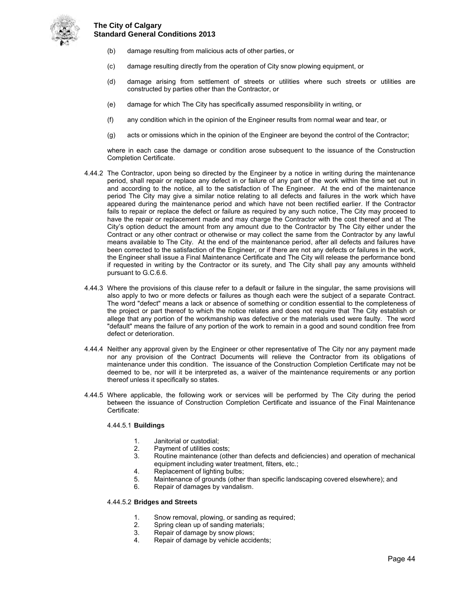

- (b) damage resulting from malicious acts of other parties, or
- (c) damage resulting directly from the operation of City snow plowing equipment, or
- (d) damage arising from settlement of streets or utilities where such streets or utilities are constructed by parties other than the Contractor, or
- (e) damage for which The City has specifically assumed responsibility in writing, or
- (f) any condition which in the opinion of the Engineer results from normal wear and tear, or
- (g) acts or omissions which in the opinion of the Engineer are beyond the control of the Contractor;

 where in each case the damage or condition arose subsequent to the issuance of the Construction Completion Certificate.

- 4.44.2 The Contractor, upon being so directed by the Engineer by a notice in writing during the maintenance period, shall repair or replace any defect in or failure of any part of the work within the time set out in and according to the notice, all to the satisfaction of The Engineer. At the end of the maintenance period The City may give a similar notice relating to all defects and failures in the work which have appeared during the maintenance period and which have not been rectified earlier. If the Contractor fails to repair or replace the defect or failure as required by any such notice, The City may proceed to have the repair or replacement made and may charge the Contractor with the cost thereof and at The City's option deduct the amount from any amount due to the Contractor by The City either under the Contract or any other contract or otherwise or may collect the same from the Contractor by any lawful means available to The City. At the end of the maintenance period, after all defects and failures have been corrected to the satisfaction of the Engineer, or if there are not any defects or failures in the work, the Engineer shall issue a Final Maintenance Certificate and The City will release the performance bond if requested in writing by the Contractor or its surety, and The City shall pay any amounts withheld pursuant to G.C.6.6.
- 4.44.3 Where the provisions of this clause refer to a default or failure in the singular, the same provisions will also apply to two or more defects or failures as though each were the subject of a separate Contract. The word "defect" means a lack or absence of something or condition essential to the completeness of the project or part thereof to which the notice relates and does not require that The City establish or allege that any portion of the workmanship was defective or the materials used were faulty. The word "default" means the failure of any portion of the work to remain in a good and sound condition free from defect or deterioration.
- 4.44.4 Neither any approval given by the Engineer or other representative of The City nor any payment made nor any provision of the Contract Documents will relieve the Contractor from its obligations of maintenance under this condition. The issuance of the Construction Completion Certificate may not be deemed to be, nor will it be interpreted as, a waiver of the maintenance requirements or any portion thereof unless it specifically so states.
- 4.44.5 Where applicable, the following work or services will be performed by The City during the period between the issuance of Construction Completion Certificate and issuance of the Final Maintenance Certificate:

#### 4.44.5.1 **Buildings**

- 
- 1. Janitorial or custodial;<br>2. Pavment of utilities co
- 2. Payment of utilities costs;<br>3. Routine maintenance (oth 3. Routine maintenance (other than defects and deficiencies) and operation of mechanical equipment including water treatment, filters, etc.;
- 4. Replacement of lighting bulbs;<br>5. Maintenance of grounds (other
- 5. Maintenance of grounds (other than specific landscaping covered elsewhere); and
- Repair of damages by vandalism.

#### 4.44.5.2 **Bridges and Streets**

- 1. Snow removal, plowing, or sanding as required;<br>2. Spring clean up of sanding materials;
- Spring clean up of sanding materials;
- 3. Repair of damage by snow plows;<br>4. Repair of damage by vehicle accid
- Repair of damage by vehicle accidents;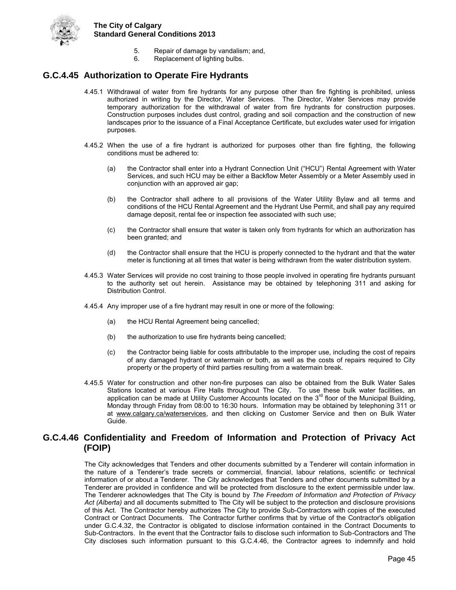

- 5. Repair of damage by vandalism; and,
- 6. Replacement of lighting bulbs.

### <span id="page-50-0"></span>**G.C.4.45 Authorization to Operate Fire Hydrants**

- 4.45.1 Withdrawal of water from fire hydrants for any purpose other than fire fighting is prohibited, unless authorized in writing by the Director, Water Services. The Director, Water Services may provide temporary authorization for the withdrawal of water from fire hydrants for construction purposes. Construction purposes includes dust control, grading and soil compaction and the construction of new landscapes prior to the issuance of a Final Acceptance Certificate, but excludes water used for irrigation purposes.
- 4.45.2 When the use of a fire hydrant is authorized for purposes other than fire fighting, the following conditions must be adhered to:
	- (a) the Contractor shall enter into a Hydrant Connection Unit ("HCU") Rental Agreement with Water Services, and such HCU may be either a Backflow Meter Assembly or a Meter Assembly used in conjunction with an approved air gap;
	- (b) the Contractor shall adhere to all provisions of the Water Utility Bylaw and all terms and conditions of the HCU Rental Agreement and the Hydrant Use Permit, and shall pay any required damage deposit, rental fee or inspection fee associated with such use;
	- (c) the Contractor shall ensure that water is taken only from hydrants for which an authorization has been granted; and
	- (d) the Contractor shall ensure that the HCU is properly connected to the hydrant and that the water meter is functioning at all times that water is being withdrawn from the water distribution system.
- 4.45.3 Water Services will provide no cost training to those people involved in operating fire hydrants pursuant to the authority set out herein. Assistance may be obtained by telephoning 311 and asking for Distribution Control.
- 4.45.4 Any improper use of a fire hydrant may result in one or more of the following:
	- (a) the HCU Rental Agreement being cancelled;
	- (b) the authorization to use fire hydrants being cancelled;
	- (c) the Contractor being liable for costs attributable to the improper use, including the cost of repairs of any damaged hydrant or watermain or both, as well as the costs of repairs required to City property or the property of third parties resulting from a watermain break.
- 4.45.5 Water for construction and other non-fire purposes can also be obtained from the Bulk Water Sales Stations located at various Fire Halls throughout The City. To use these bulk water facilities, an<br>application can be made at Utility Customer Accounts located on the 3<sup>rd</sup> floor of the Municipal Building, Monday through Friday from 08:00 to 16:30 hours. Information may be obtained by telephoning 311 or at [www.calgary.ca/waterservices,](http://www.calgary.ca/waterservices) and then clicking on Customer Service and then on Bulk Water Guide.

### <span id="page-50-1"></span>**G.C.4.46 Confidentiality and Freedom of Information and Protection of Privacy Act (FOIP)**

The City acknowledges that Tenders and other documents submitted by a Tenderer will contain information in the nature of a Tenderer's trade secrets or commercial, financial, labour relations, scientific or technical information of or about a Tenderer. The City acknowledges that Tenders and other documents submitted by a Tenderer are provided in confidence and will be protected from disclosure to the extent permissible under law. The Tenderer acknowledges that The City is bound by *The Freedom of Information and Protection of Privacy Act (Alberta)* and all documents submitted to The City will be subject to the protection and disclosure provisions of this Act. The Contractor hereby authorizes The City to provide Sub-Contractors with copies of the executed Contract or Contract Documents. The Contractor further confirms that by virtue of the Contractor's obligation under G.C.4.32, the Contractor is obligated to disclose information contained in the Contract Documents to Sub-Contractors. In the event that the Contractor fails to disclose such information to Sub-Contractors and The City discloses such information pursuant to this G.C.4.46, the Contractor agrees to indemnify and hold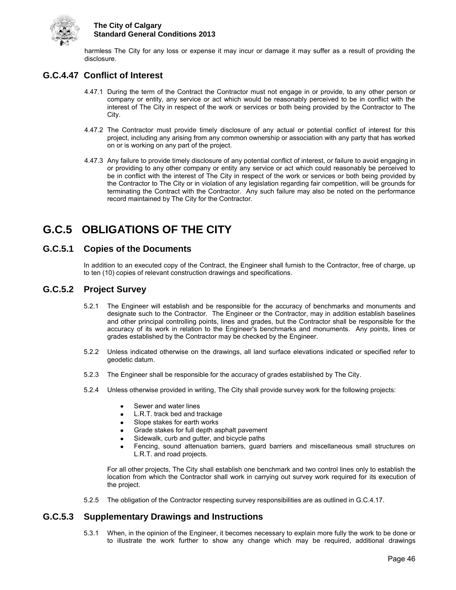

harmless The City for any loss or expense it may incur or damage it may suffer as a result of providing the disclosure.

## <span id="page-51-0"></span>**G.C.4.47 Conflict of Interest**

- 4.47.1 During the term of the Contract the Contractor must not engage in or provide, to any other person or company or entity, any service or act which would be reasonably perceived to be in conflict with the interest of The City in respect of the work or services or both being provided by the Contractor to The City.
- 4.47.2 The Contractor must provide timely disclosure of any actual or potential conflict of interest for this project, including any arising from any common ownership or association with any party that has worked on or is working on any part of the project.
- 4.47.3 Any failure to provide timely disclosure of any potential conflict of interest, or failure to avoid engaging in or providing to any other company or entity any service or act which could reasonably be perceived to be in conflict with the interest of The City in respect of the work or services or both being provided by the Contractor to The City or in violation of any legislation regarding fair competition, will be grounds for terminating the Contract with the Contractor. Any such failure may also be noted on the performance record maintained by The City for the Contractor.

## <span id="page-51-1"></span>**G.C.5 OBLIGATIONS OF THE CITY**

## <span id="page-51-2"></span>**G.C.5.1 Copies of the Documents**

In addition to an executed copy of the Contract, the Engineer shall furnish to the Contractor, free of charge, up to ten (10) copies of relevant construction drawings and specifications.

## <span id="page-51-3"></span>**G.C.5.2 Project Survey**

- 5.2.1 The Engineer will establish and be responsible for the accuracy of benchmarks and monuments and designate such to the Contractor. The Engineer or the Contractor, may in addition establish baselines and other principal controlling points, lines and grades, but the Contractor shall be responsible for the accuracy of its work in relation to the Engineer's benchmarks and monuments. Any points, lines or grades established by the Contractor may be checked by the Engineer.
- 5.2.2 Unless indicated otherwise on the drawings, all land surface elevations indicated or specified refer to geodetic datum.
- 5.2.3 The Engineer shall be responsible for the accuracy of grades established by The City.
- 5.2.4 Unless otherwise provided in writing, The City shall provide survey work for the following projects:
	- Sewer and water lines
	- L.R.T. track bed and trackage
	- Slope stakes for earth works
	- Grade stakes for full depth asphalt pavement
	- Sidewalk, curb and gutter, and bicycle paths
	- Fencing, sound attenuation barriers, guard barriers and miscellaneous small structures on L.R.T. and road projects.

For all other projects, The City shall establish one benchmark and two control lines only to establish the location from which the Contractor shall work in carrying out survey work required for its execution of the project.

5.2.5 The obligation of the Contractor respecting survey responsibilities are as outlined in G.C.4.17.

## <span id="page-51-4"></span>**G.C.5.3 Supplementary Drawings and Instructions**

5.3.1 When, in the opinion of the Engineer, it becomes necessary to explain more fully the work to be done or to illustrate the work further to show any change which may be required, additional drawings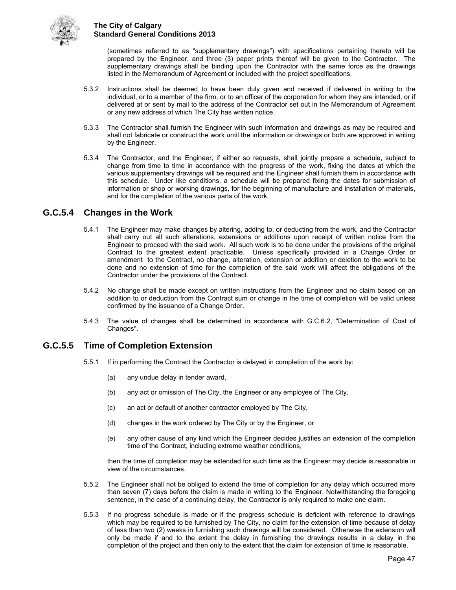

(sometimes referred to as "supplementary drawings") with specifications pertaining thereto will be prepared by the Engineer, and three (3) paper prints thereof will be given to the Contractor. The supplementary drawings shall be binding upon the Contractor with the same force as the drawings listed in the Memorandum of Agreement or included with the project specifications.

- 5.3.2 Instructions shall be deemed to have been duly given and received if delivered in writing to the individual, or to a member of the firm, or to an officer of the corporation for whom they are intended, or if delivered at or sent by mail to the address of the Contractor set out in the Memorandum of Agreement or any new address of which The City has written notice.
- 5.3.3 The Contractor shall furnish the Engineer with such information and drawings as may be required and shall not fabricate or construct the work until the information or drawings or both are approved in writing by the Engineer.
- 5.3.4 The Contractor, and the Engineer, if either so requests, shall jointly prepare a schedule, subject to change from time to time in accordance with the progress of the work, fixing the dates at which the various supplementary drawings will be required and the Engineer shall furnish them in accordance with this schedule. Under like conditions, a schedule will be prepared fixing the dates for submission of information or shop or working drawings, for the beginning of manufacture and installation of materials, and for the completion of the various parts of the work.

## <span id="page-52-0"></span>**G.C.5.4 Changes in the Work**

- 5.4.1 The Engineer may make changes by altering, adding to, or deducting from the work, and the Contractor shall carry out all such alterations, extensions or additions upon receipt of written notice from the Engineer to proceed with the said work. All such work is to be done under the provisions of the original Contract to the greatest extent practicable. Unless specifically provided in a Change Order or amendment to the Contract, no change, alteration, extension or addition or deletion to the work to be done and no extension of time for the completion of the said work will affect the obligations of the Contractor under the provisions of the Contract.
- 5.4.2 No change shall be made except on written instructions from the Engineer and no claim based on an addition to or deduction from the Contract sum or change in the time of completion will be valid unless confirmed by the issuance of a Change Order.
- 5.4.3 The value of changes shall be determined in accordance with G.C.6.2, "Determination of Cost of Changes".

## <span id="page-52-1"></span>**G.C.5.5 Time of Completion Extension**

- 5.5.1 If in performing the Contract the Contractor is delayed in completion of the work by:
	- (a) any undue delay in tender award,
	- (b) any act or omission of The City, the Engineer or any employee of The City,
	- (c) an act or default of another contractor employed by The City,
	- (d) changes in the work ordered by The City or by the Engineer, or
	- (e) any other cause of any kind which the Engineer decides justifies an extension of the completion time of the Contract, including extreme weather conditions,

then the time of completion may be extended for such time as the Engineer may decide is reasonable in view of the circumstances.

- 5.5.2 The Engineer shall not be obliged to extend the time of completion for any delay which occurred more than seven (7) days before the claim is made in writing to the Engineer. Notwithstanding the foregoing sentence, in the case of a continuing delay, the Contractor is only required to make one claim.
- 5.5.3 If no progress schedule is made or if the progress schedule is deficient with reference to drawings which may be required to be furnished by The City, no claim for the extension of time because of delay of less than two (2) weeks in furnishing such drawings will be considered. Otherwise the extension will only be made if and to the extent the delay in furnishing the drawings results in a delay in the completion of the project and then only to the extent that the claim for extension of time is reasonable.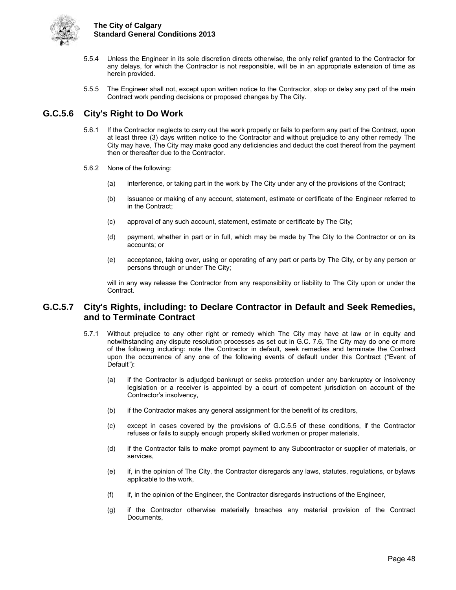

- 5.5.4 Unless the Engineer in its sole discretion directs otherwise, the only relief granted to the Contractor for any delays, for which the Contractor is not responsible, will be in an appropriate extension of time as herein provided.
- 5.5.5 The Engineer shall not, except upon written notice to the Contractor, stop or delay any part of the main Contract work pending decisions or proposed changes by The City.

## <span id="page-53-0"></span>**G.C.5.6 City's Right to Do Work**

- 5.6.1 If the Contractor neglects to carry out the work properly or fails to perform any part of the Contract, upon at least three (3) days written notice to the Contractor and without prejudice to any other remedy The City may have, The City may make good any deficiencies and deduct the cost thereof from the payment then or thereafter due to the Contractor.
- 5.6.2 None of the following:
	- (a) interference, or taking part in the work by The City under any of the provisions of the Contract;
	- (b) issuance or making of any account, statement, estimate or certificate of the Engineer referred to in the Contract;
	- (c) approval of any such account, statement, estimate or certificate by The City;
	- (d) payment, whether in part or in full, which may be made by The City to the Contractor or on its accounts; or
	- (e) acceptance, taking over, using or operating of any part or parts by The City, or by any person or persons through or under The City;

will in any way release the Contractor from any responsibility or liability to The City upon or under the Contract.

## <span id="page-53-1"></span>**G.C.5.7 City's Rights, including: to Declare Contractor in Default and Seek Remedies, and to Terminate Contract**

- 5.7.1 Without prejudice to any other right or remedy which The City may have at law or in equity and notwithstanding any dispute resolution processes as set out in G.C. 7.6, The City may do one or more of the following including: note the Contractor in default, seek remedies and terminate the Contract upon the occurrence of any one of the following events of default under this Contract ("Event of Default"):
	- (a) if the Contractor is adjudged bankrupt or seeks protection under any bankruptcy or insolvency legislation or a receiver is appointed by a court of competent jurisdiction on account of the Contractor's insolvency,
	- (b) if the Contractor makes any general assignment for the benefit of its creditors,
	- (c) except in cases covered by the provisions of G.C.5.5 of these conditions, if the Contractor refuses or fails to supply enough properly skilled workmen or proper materials,
	- (d) if the Contractor fails to make prompt payment to any Subcontractor or supplier of materials, or services,
	- (e) if, in the opinion of The City, the Contractor disregards any laws, statutes, regulations, or bylaws applicable to the work,
	- (f) if, in the opinion of the Engineer, the Contractor disregards instructions of the Engineer,
	- (g) if the Contractor otherwise materially breaches any material provision of the Contract Documents,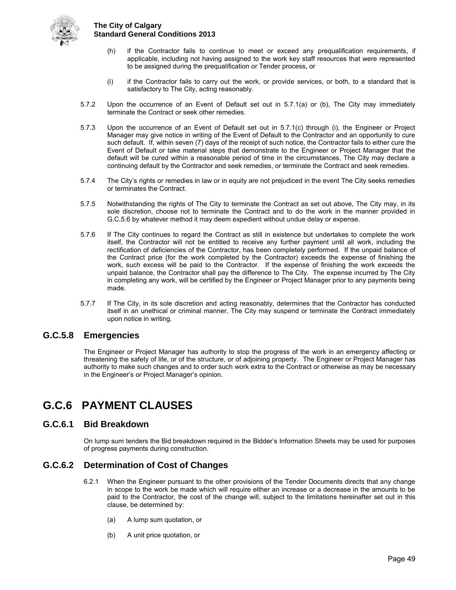

- (h) if the Contractor fails to continue to meet or exceed any prequalification requirements, if applicable, including not having assigned to the work key staff resources that were represented to be assigned during the prequalification or Tender process, or
- (i) if the Contractor fails to carry out the work, or provide services, or both, to a standard that is satisfactory to The City, acting reasonably.
- 5.7.2 Upon the occurrence of an Event of Default set out in 5.7.1(a) or (b), The City may immediately terminate the Contract or seek other remedies.
- 5.7.3 Upon the occurrence of an Event of Default set out in 5.7.1(c) through (i), the Engineer or Project Manager may give notice in writing of the Event of Default to the Contractor and an opportunity to cure such default. If, within seven (7) days of the receipt of such notice, the Contractor fails to either cure the Event of Default or take material steps that demonstrate to the Engineer or Project Manager that the default will be cured within a reasonable period of time in the circumstances, The City may declare a continuing default by the Contractor and seek remedies, or terminate the Contract and seek remedies.
- 5.7.4 The City's rights or remedies in law or in equity are not prejudiced in the event The City seeks remedies or terminates the Contract.
- 5.7.5 Notwithstanding the rights of The City to terminate the Contract as set out above, The City may, in its sole discretion, choose not to terminate the Contract and to do the work in the manner provided in G.C.5.6 by whatever method it may deem expedient without undue delay or expense.
- 5.7.6 If The City continues to regard the Contract as still in existence but undertakes to complete the work itself, the Contractor will not be entitled to receive any further payment until all work, including the rectification of deficiencies of the Contractor, has been completely performed. If the unpaid balance of the Contract price (for the work completed by the Contractor) exceeds the expense of finishing the work, such excess will be paid to the Contractor. If the expense of finishing the work exceeds the unpaid balance, the Contractor shall pay the difference to The City. The expense incurred by The City in completing any work, will be certified by the Engineer or Project Manager prior to any payments being made.
- 5.7.7 If The City, in its sole discretion and acting reasonably, determines that the Contractor has conducted itself in an unethical or criminal manner, The City may suspend or terminate the Contract immediately upon notice in writing.

## <span id="page-54-0"></span>**G.C.5.8 Emergencies**

The Engineer or Project Manager has authority to stop the progress of the work in an emergency affecting or threatening the safety of life, or of the structure, or of adjoining property. The Engineer or Project Manager has authority to make such changes and to order such work extra to the Contract or otherwise as may be necessary in the Engineer's or Project Manager's opinion.

## <span id="page-54-1"></span>**G.C.6 PAYMENT CLAUSES**

## <span id="page-54-2"></span>**G.C.6.1 Bid Breakdown**

On lump sum tenders the Bid breakdown required in the Bidder's Information Sheets may be used for purposes of progress payments during construction.

## <span id="page-54-3"></span>**G.C.6.2 Determination of Cost of Changes**

- 6.2.1 When the Engineer pursuant to the other provisions of the Tender Documents directs that any change in scope to the work be made which will require either an increase or a decrease in the amounts to be paid to the Contractor, the cost of the change will, subject to the limitations hereinafter set out in this clause, be determined by:
	- (a) A lump sum quotation, or
	- (b) A unit price quotation, or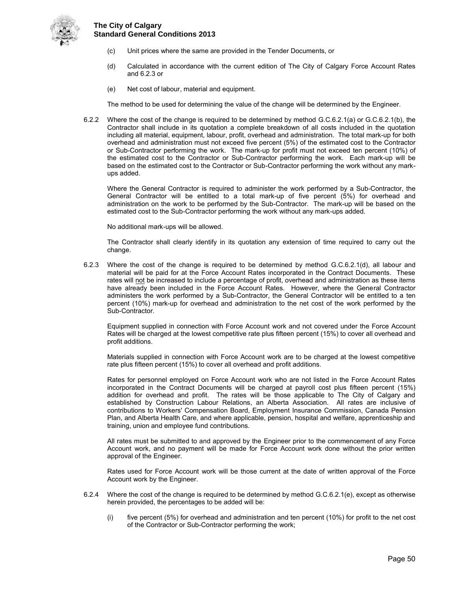

- (c) Unit prices where the same are provided in the Tender Documents, or
- (d) Calculated in accordance with the current edition of The City of Calgary Force Account Rates and 6.2.3 or
- (e) Net cost of labour, material and equipment.

The method to be used for determining the value of the change will be determined by the Engineer.

6.2.2 Where the cost of the change is required to be determined by method G.C.6.2.1(a) or G.C.6.2.1(b), the Contractor shall include in its quotation a complete breakdown of all costs included in the quotation including all material, equipment, labour, profit, overhead and administration. The total mark-up for both overhead and administration must not exceed five percent (5%) of the estimated cost to the Contractor or Sub-Contractor performing the work. The mark-up for profit must not exceed ten percent (10%) of the estimated cost to the Contractor or Sub-Contractor performing the work. Each mark-up will be based on the estimated cost to the Contractor or Sub-Contractor performing the work without any markups added.

Where the General Contractor is required to administer the work performed by a Sub-Contractor, the General Contractor will be entitled to a total mark-up of five percent (5%) for overhead and administration on the work to be performed by the Sub-Contractor. The mark-up will be based on the estimated cost to the Sub-Contractor performing the work without any mark-ups added.

No additional mark-ups will be allowed.

The Contractor shall clearly identify in its quotation any extension of time required to carry out the change.

6.2.3 Where the cost of the change is required to be determined by method G.C.6.2.1(d), all labour and material will be paid for at the Force Account Rates incorporated in the Contract Documents. These rates will not be increased to include a percentage of profit, overhead and administration as these items have already been included in the Force Account Rates. However, where the General Contractor administers the work performed by a Sub-Contractor, the General Contractor will be entitled to a ten percent (10%) mark-up for overhead and administration to the net cost of the work performed by the Sub-Contractor.

 Equipment supplied in connection with Force Account work and not covered under the Force Account Rates will be charged at the lowest competitive rate plus fifteen percent (15%) to cover all overhead and profit additions.

 Materials supplied in connection with Force Account work are to be charged at the lowest competitive rate plus fifteen percent (15%) to cover all overhead and profit additions.

 Rates for personnel employed on Force Account work who are not listed in the Force Account Rates incorporated in the Contract Documents will be charged at payroll cost plus fifteen percent (15%) addition for overhead and profit. The rates will be those applicable to The City of Calgary and established by Construction Labour Relations, an Alberta Association. All rates are inclusive of contributions to Workers' Compensation Board, Employment Insurance Commission, Canada Pension Plan, and Alberta Health Care, and where applicable, pension, hospital and welfare, apprenticeship and training, union and employee fund contributions.

 All rates must be submitted to and approved by the Engineer prior to the commencement of any Force Account work, and no payment will be made for Force Account work done without the prior written approval of the Engineer.

 Rates used for Force Account work will be those current at the date of written approval of the Force Account work by the Engineer.

- 6.2.4 Where the cost of the change is required to be determined by method G.C.6.2.1(e), except as otherwise herein provided, the percentages to be added will be:
	- (i) five percent (5%) for overhead and administration and ten percent (10%) for profit to the net cost of the Contractor or Sub-Contractor performing the work;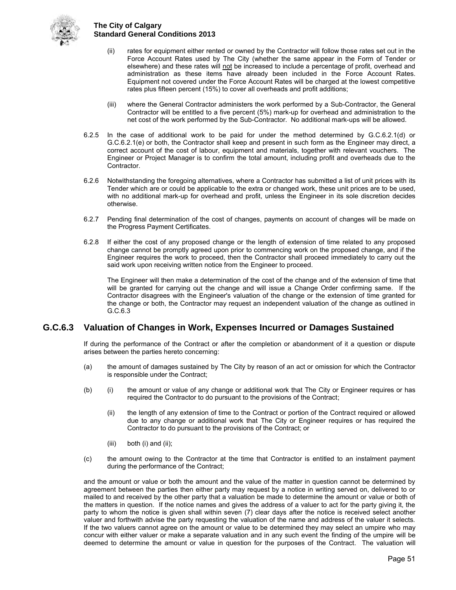

- (ii) rates for equipment either rented or owned by the Contractor will follow those rates set out in the Force Account Rates used by The City (whether the same appear in the Form of Tender or elsewhere) and these rates will not be increased to include a percentage of profit, overhead and administration as these items have already been included in the Force Account Rates. Equipment not covered under the Force Account Rates will be charged at the lowest competitive rates plus fifteen percent (15%) to cover all overheads and profit additions;
- (iii) where the General Contractor administers the work performed by a Sub-Contractor, the General Contractor will be entitled to a five percent (5%) mark-up for overhead and administration to the net cost of the work performed by the Sub-Contractor. No additional mark-ups will be allowed.
- 6.2.5 In the case of additional work to be paid for under the method determined by G.C.6.2.1(d) or G.C.6.2.1(e) or both, the Contractor shall keep and present in such form as the Engineer may direct, a correct account of the cost of labour, equipment and materials, together with relevant vouchers. The Engineer or Project Manager is to confirm the total amount, including profit and overheads due to the Contractor.
- 6.2.6 Notwithstanding the foregoing alternatives, where a Contractor has submitted a list of unit prices with its Tender which are or could be applicable to the extra or changed work, these unit prices are to be used, with no additional mark-up for overhead and profit, unless the Engineer in its sole discretion decides otherwise.
- 6.2.7 Pending final determination of the cost of changes, payments on account of changes will be made on the Progress Payment Certificates.
- 6.2.8 If either the cost of any proposed change or the length of extension of time related to any proposed change cannot be promptly agreed upon prior to commencing work on the proposed change, and if the Engineer requires the work to proceed, then the Contractor shall proceed immediately to carry out the said work upon receiving written notice from the Engineer to proceed.

The Engineer will then make a determination of the cost of the change and of the extension of time that will be granted for carrying out the change and will issue a Change Order confirming same. If the Contractor disagrees with the Engineer's valuation of the change or the extension of time granted for the change or both, the Contractor may request an independent valuation of the change as outlined in G.C.6.3

## <span id="page-56-0"></span>**G.C.6.3 Valuation of Changes in Work, Expenses Incurred or Damages Sustained**

If during the performance of the Contract or after the completion or abandonment of it a question or dispute arises between the parties hereto concerning:

- (a) the amount of damages sustained by The City by reason of an act or omission for which the Contractor is responsible under the Contract;
- (b) (i) the amount or value of any change or additional work that The City or Engineer requires or has required the Contractor to do pursuant to the provisions of the Contract;
	- (ii) the length of any extension of time to the Contract or portion of the Contract required or allowed due to any change or additional work that The City or Engineer requires or has required the Contractor to do pursuant to the provisions of the Contract; or
	- $(iii)$  both  $(i)$  and  $(ii)$ ;
- (c) the amount owing to the Contractor at the time that Contractor is entitled to an instalment payment during the performance of the Contract;

and the amount or value or both the amount and the value of the matter in question cannot be determined by agreement between the parties then either party may request by a notice in writing served on, delivered to or mailed to and received by the other party that a valuation be made to determine the amount or value or both of the matters in question. If the notice names and gives the address of a valuer to act for the party giving it, the party to whom the notice is given shall within seven (7) clear days after the notice is received select another valuer and forthwith advise the party requesting the valuation of the name and address of the valuer it selects. If the two valuers cannot agree on the amount or value to be determined they may select an umpire who may concur with either valuer or make a separate valuation and in any such event the finding of the umpire will be deemed to determine the amount or value in question for the purposes of the Contract. The valuation will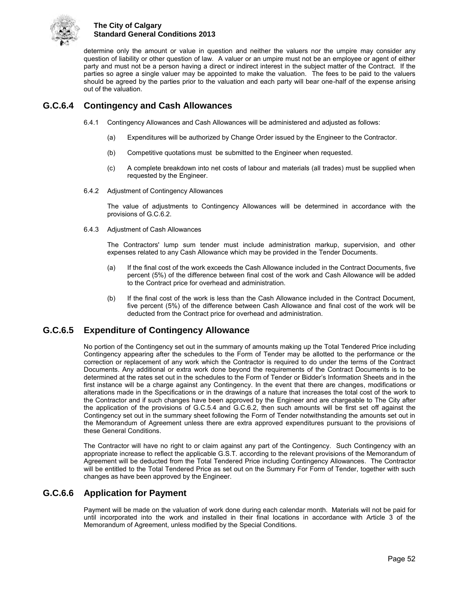

determine only the amount or value in question and neither the valuers nor the umpire may consider any question of liability or other question of law. A valuer or an umpire must not be an employee or agent of either party and must not be a person having a direct or indirect interest in the subject matter of the Contract. If the parties so agree a single valuer may be appointed to make the valuation. The fees to be paid to the valuers should be agreed by the parties prior to the valuation and each party will bear one-half of the expense arising out of the valuation.

## <span id="page-57-0"></span>**G.C.6.4 Contingency and Cash Allowances**

- 6.4.1 Contingency Allowances and Cash Allowances will be administered and adjusted as follows:
	- (a) Expenditures will be authorized by Change Order issued by the Engineer to the Contractor.
	- (b) Competitive quotations must be submitted to the Engineer when requested.
	- (c) A complete breakdown into net costs of labour and materials (all trades) must be supplied when requested by the Engineer.
- 6.4.2 Adjustment of Contingency Allowances

The value of adjustments to Contingency Allowances will be determined in accordance with the provisions of G.C.6.2.

6.4.3 Adjustment of Cash Allowances

The Contractors' lump sum tender must include administration markup, supervision, and other expenses related to any Cash Allowance which may be provided in the Tender Documents.

- (a) If the final cost of the work exceeds the Cash Allowance included in the Contract Documents, five percent (5%) of the difference between final cost of the work and Cash Allowance will be added to the Contract price for overhead and administration.
- (b) If the final cost of the work is less than the Cash Allowance included in the Contract Document, five percent (5%) of the difference between Cash Allowance and final cost of the work will be deducted from the Contract price for overhead and administration.

## <span id="page-57-1"></span>**G.C.6.5 Expenditure of Contingency Allowance**

No portion of the Contingency set out in the summary of amounts making up the Total Tendered Price including Contingency appearing after the schedules to the Form of Tender may be allotted to the performance or the correction or replacement of any work which the Contractor is required to do under the terms of the Contract Documents. Any additional or extra work done beyond the requirements of the Contract Documents is to be determined at the rates set out in the schedules to the Form of Tender or Bidder's Information Sheets and in the first instance will be a charge against any Contingency. In the event that there are changes, modifications or alterations made in the Specifications or in the drawings of a nature that increases the total cost of the work to the Contractor and if such changes have been approved by the Engineer and are chargeable to The City after the application of the provisions of G.C.5.4 and G.C.6.2, then such amounts will be first set off against the Contingency set out in the summary sheet following the Form of Tender notwithstanding the amounts set out in the Memorandum of Agreement unless there are extra approved expenditures pursuant to the provisions of these General Conditions.

The Contractor will have no right to or claim against any part of the Contingency. Such Contingency with an appropriate increase to reflect the applicable G.S.T. according to the relevant provisions of the Memorandum of Agreement will be deducted from the Total Tendered Price including Contingency Allowances. The Contractor will be entitled to the Total Tendered Price as set out on the Summary For Form of Tender, together with such changes as have been approved by the Engineer.

## <span id="page-57-2"></span>**G.C.6.6 Application for Payment**

Payment will be made on the valuation of work done during each calendar month. Materials will not be paid for until incorporated into the work and installed in their final locations in accordance with Article 3 of the Memorandum of Agreement, unless modified by the Special Conditions.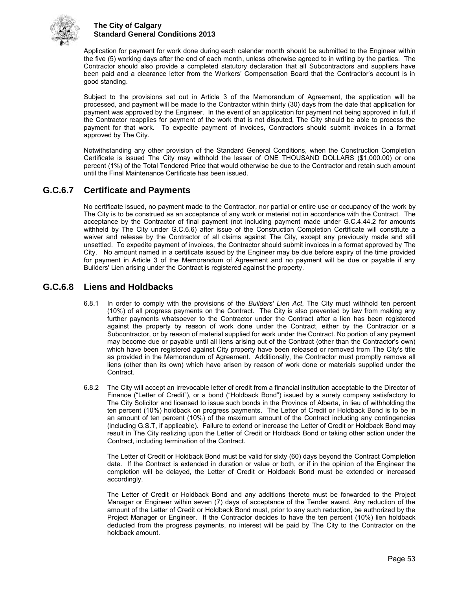

Application for payment for work done during each calendar month should be submitted to the Engineer within the five (5) working days after the end of each month, unless otherwise agreed to in writing by the parties. The Contractor should also provide a completed statutory declaration that all Subcontractors and suppliers have been paid and a clearance letter from the Workers' Compensation Board that the Contractor's account is in good standing.

Subject to the provisions set out in Article 3 of the Memorandum of Agreement, the application will be processed, and payment will be made to the Contractor within thirty (30) days from the date that application for payment was approved by the Engineer. In the event of an application for payment not being approved in full, if the Contractor reapplies for payment of the work that is not disputed, The City should be able to process the payment for that work. To expedite payment of invoices, Contractors should submit invoices in a format approved by The City.

Notwithstanding any other provision of the Standard General Conditions, when the Construction Completion Certificate is issued The City may withhold the lesser of ONE THOUSAND DOLLARS (\$1,000.00) or one percent (1%) of the Total Tendered Price that would otherwise be due to the Contractor and retain such amount until the Final Maintenance Certificate has been issued.

## <span id="page-58-0"></span>**G.C.6.7 Certificate and Payments**

No certificate issued, no payment made to the Contractor, nor partial or entire use or occupancy of the work by The City is to be construed as an acceptance of any work or material not in accordance with the Contract. The acceptance by the Contractor of final payment (not including payment made under G.C.4.44.2 for amounts withheld by The City under G.C.6.6) after issue of the Construction Completion Certificate will constitute a waiver and release by the Contractor of all claims against The City, except any previously made and still unsettled. To expedite payment of invoices, the Contractor should submit invoices in a format approved by The City. No amount named in a certificate issued by the Engineer may be due before expiry of the time provided for payment in Article 3 of the Memorandum of Agreement and no payment will be due or payable if any Builders' Lien arising under the Contract is registered against the property.

## <span id="page-58-1"></span>**G.C.6.8 Liens and Holdbacks**

- 6.8.1 In order to comply with the provisions of the *Builders' Lien Act*, The City must withhold ten percent (10%) of all progress payments on the Contract. The City is also prevented by law from making any further payments whatsoever to the Contractor under the Contract after a lien has been registered against the property by reason of work done under the Contract, either by the Contractor or a Subcontractor, or by reason of material supplied for work under the Contract. No portion of any payment may become due or payable until all liens arising out of the Contract (other than the Contractor's own) which have been registered against City property have been released or removed from The City's title as provided in the Memorandum of Agreement. Additionally, the Contractor must promptly remove all liens (other than its own) which have arisen by reason of work done or materials supplied under the Contract.
- 6.8.2 The City will accept an irrevocable letter of credit from a financial institution acceptable to the Director of Finance ("Letter of Credit"), or a bond ("Holdback Bond") issued by a surety company satisfactory to The City Solicitor and licensed to issue such bonds in the Province of Alberta, in lieu of withholding the ten percent (10%) holdback on progress payments. The Letter of Credit or Holdback Bond is to be in an amount of ten percent (10%) of the maximum amount of the Contract including any contingencies (including G.S.T, if applicable). Failure to extend or increase the Letter of Credit or Holdback Bond may result in The City realizing upon the Letter of Credit or Holdback Bond or taking other action under the Contract, including termination of the Contract.

The Letter of Credit or Holdback Bond must be valid for sixty (60) days beyond the Contract Completion date. If the Contract is extended in duration or value or both, or if in the opinion of the Engineer the completion will be delayed, the Letter of Credit or Holdback Bond must be extended or increased accordingly.

The Letter of Credit or Holdback Bond and any additions thereto must be forwarded to the Project Manager or Engineer within seven (7) days of acceptance of the Tender award. Any reduction of the amount of the Letter of Credit or Holdback Bond must, prior to any such reduction, be authorized by the Project Manager or Engineer. If the Contractor decides to have the ten percent (10%) lien holdback deducted from the progress payments, no interest will be paid by The City to the Contractor on the holdback amount.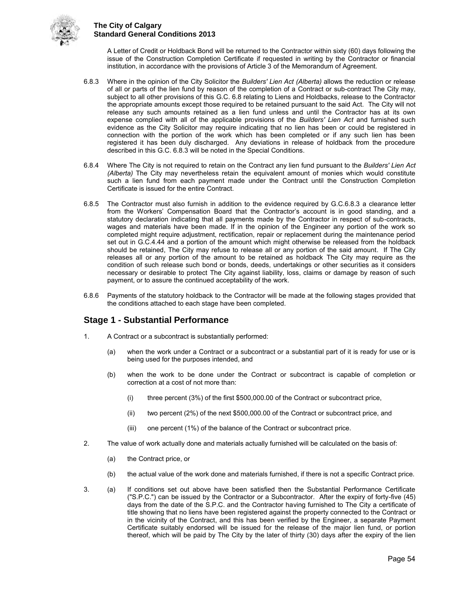

A Letter of Credit or Holdback Bond will be returned to the Contractor within sixty (60) days following the issue of the Construction Completion Certificate if requested in writing by the Contractor or financial institution, in accordance with the provisions of Article 3 of the Memorandum of Agreement.

- 6.8.3 Where in the opinion of the City Solicitor the *Builders' Lien Act (Alberta)* allows the reduction or release of all or parts of the lien fund by reason of the completion of a Contract or sub-contract The City may, subject to all other provisions of this G.C. 6.8 relating to Liens and Holdbacks, release to the Contractor the appropriate amounts except those required to be retained pursuant to the said Act. The City will not release any such amounts retained as a lien fund unless and until the Contractor has at its own expense complied with all of the applicable provisions of the *Builders' Lien Act* and furnished such evidence as the City Solicitor may require indicating that no lien has been or could be registered in connection with the portion of the work which has been completed or if any such lien has been registered it has been duly discharged. Any deviations in release of holdback from the procedure described in this G.C. 6.8.3 will be noted in the Special Conditions.
- 6.8.4 Where The City is not required to retain on the Contract any lien fund pursuant to the *Builders' Lien Act (Alberta)* The City may nevertheless retain the equivalent amount of monies which would constitute such a lien fund from each payment made under the Contract until the Construction Completion Certificate is issued for the entire Contract.
- 6.8.5 The Contractor must also furnish in addition to the evidence required by G.C.6.8.3 a clearance letter from the Workers' Compensation Board that the Contractor's account is in good standing, and a statutory declaration indicating that all payments made by the Contractor in respect of sub-contracts, wages and materials have been made. If in the opinion of the Engineer any portion of the work so completed might require adjustment, rectification, repair or replacement during the maintenance period set out in G.C.4.44 and a portion of the amount which might otherwise be released from the holdback should be retained, The City may refuse to release all or any portion of the said amount. If The City releases all or any portion of the amount to be retained as holdback The City may require as the condition of such release such bond or bonds, deeds, undertakings or other securities as it considers necessary or desirable to protect The City against liability, loss, claims or damage by reason of such payment, or to assure the continued acceptability of the work.
- 6.8.6 Payments of the statutory holdback to the Contractor will be made at the following stages provided that the conditions attached to each stage have been completed.

## **Stage 1 - Substantial Performance**

- 1. A Contract or a subcontract is substantially performed:
	- (a) when the work under a Contract or a subcontract or a substantial part of it is ready for use or is being used for the purposes intended, and
	- (b) when the work to be done under the Contract or subcontract is capable of completion or correction at a cost of not more than:
		- (i) three percent (3%) of the first \$500,000.00 of the Contract or subcontract price,
		- (ii) two percent (2%) of the next \$500,000.00 of the Contract or subcontract price, and
		- (iii) one percent (1%) of the balance of the Contract or subcontract price.
- 2. The value of work actually done and materials actually furnished will be calculated on the basis of:
	- (a) the Contract price, or
	- (b) the actual value of the work done and materials furnished, if there is not a specific Contract price.
- 3. (a) If conditions set out above have been satisfied then the Substantial Performance Certificate ("S.P.C.") can be issued by the Contractor or a Subcontractor. After the expiry of forty-five (45) days from the date of the S.P.C. and the Contractor having furnished to The City a certificate of title showing that no liens have been registered against the property connected to the Contract or in the vicinity of the Contract, and this has been verified by the Engineer, a separate Payment Certificate suitably endorsed will be issued for the release of the major lien fund, or portion thereof, which will be paid by The City by the later of thirty (30) days after the expiry of the lien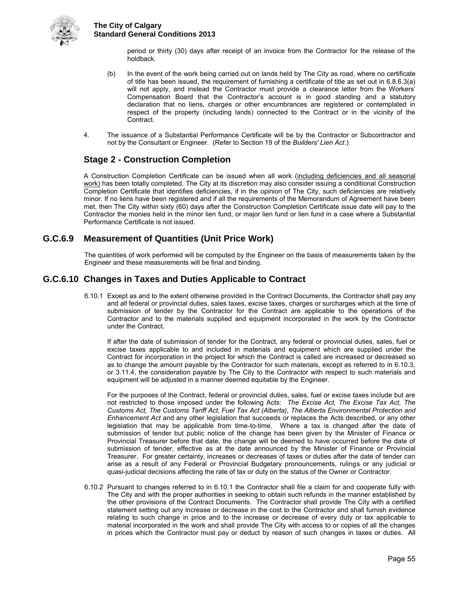

period or thirty (30) days after receipt of an invoice from the Contractor for the release of the holdback.

- (b) In the event of the work being carried out on lands held by The City as road, where no certificate of title has been issued, the requirement of furnishing a certificate of title as set out in 6.8.6.3(a) will not apply, and instead the Contractor must provide a clearance letter from the Workers' Compensation Board that the Contractor's account is in good standing and a statutory declaration that no liens, charges or other encumbrances are registered or contemplated in respect of the property (including lands) connected to the Contract or in the vicinity of the Contract.
- 4. The issuance of a Substantial Performance Certificate will be by the Contractor or Subcontractor and not by the Consultant or Engineer. (Refer to Section 19 of the *Builders' Lien Act*.)

## **Stage 2 - Construction Completion**

A Construction Completion Certificate can be issued when all work (including deficiencies and all seasonal work) has been totally completed. The City at its discretion may also consider issuing a conditional Construction Completion Certificate that identifies deficiencies, if in the opinion of The City, such deficiencies are relatively minor. If no liens have been registered and if all the requirements of the Memorandum of Agreement have been met, then The City within sixty (60) days after the Construction Completion Certificate issue date will pay to the Contractor the monies held in the minor lien fund, or major lien fund or lien fund in a case where a Substantial Performance Certificate is not issued.

## <span id="page-60-0"></span>**G.C.6.9 Measurement of Quantities (Unit Price Work)**

The quantities of work performed will be computed by the Engineer on the basis of measurements taken by the Engineer and these measurements will be final and binding.

## <span id="page-60-1"></span>**G.C.6.10 Changes in Taxes and Duties Applicable to Contract**

6.10.1 Except as and to the extent otherwise provided in the Contract Documents, the Contractor shall pay any and all federal or provincial duties, sales taxes, excise taxes, charges or surcharges which at the time of submission of tender by the Contractor for the Contract are applicable to the operations of the Contractor and to the materials supplied and equipment incorporated in the work by the Contractor under the Contract.

If after the date of submission of tender for the Contract, any federal or provincial duties, sales, fuel or excise taxes applicable to and included in materials and equipment which are supplied under the Contract for incorporation in the project for which the Contract is called are increased or decreased so as to change the amount payable by the Contractor for such materials, except as referred to in 6.10.3, or 3.11.4, the consideration payable by The City to the Contractor with respect to such materials and equipment will be adjusted in a manner deemed equitable by the Engineer.

For the purposes of the Contract, federal or provincial duties, sales, fuel or excise taxes include but are not restricted to those imposed under the following Acts: *The Excise Act, The Excise Tax Act, The Customs Act, The Customs Tariff Act, Fuel Tax Act (Alberta), The Alberta Environmental Protection and Enhancement Act* and any other legislation that succeeds or replaces the Acts described, or any other legislation that may be applicable from time-to-time. Where a tax is changed after the date of submission of tender but public notice of the change has been given by the Minister of Finance or Provincial Treasurer before that date, the change will be deemed to have occurred before the date of submission of tender, effective as at the date announced by the Minister of Finance or Provincial Treasurer. For greater certainty, increases or decreases of taxes or duties after the date of tender can arise as a result of any Federal or Provincial Budgetary pronouncements, rulings or any judicial or quasi-judicial decisions affecting the rate of tax or duty on the status of the Owner or Contractor.

6.10.2 Pursuant to changes referred to in 6.10.1 the Contractor shall file a claim for and cooperate fully with The City and with the proper authorities in seeking to obtain such refunds in the manner established by the other provisions of the Contract Documents. The Contractor shall provide The City with a certified statement setting out any increase or decrease in the cost to the Contractor and shall furnish evidence relating to such change in price and to the increase or decrease of every duty or tax applicable to material incorporated in the work and shall provide The City with access to or copies of all the changes in prices which the Contractor must pay or deduct by reason of such changes in taxes or duties. All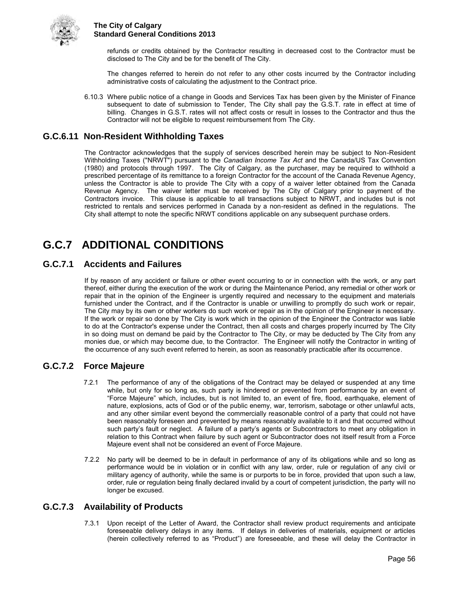

refunds or credits obtained by the Contractor resulting in decreased cost to the Contractor must be disclosed to The City and be for the benefit of The City.

The changes referred to herein do not refer to any other costs incurred by the Contractor including administrative costs of calculating the adjustment to the Contract price.

6.10.3 Where public notice of a change in Goods and Services Tax has been given by the Minister of Finance subsequent to date of submission to Tender, The City shall pay the G.S.T. rate in effect at time of billing. Changes in G.S.T. rates will not affect costs or result in losses to the Contractor and thus the Contractor will not be eligible to request reimbursement from The City.

## <span id="page-61-0"></span>**G.C.6.11 Non-Resident Withholding Taxes**

The Contractor acknowledges that the supply of services described herein may be subject to Non-Resident Withholding Taxes ("NRWT") pursuant to the *Canadian Income Tax Act* and the Canada/US Tax Convention (1980) and protocols through 1997. The City of Calgary, as the purchaser, may be required to withhold a prescribed percentage of its remittance to a foreign Contractor for the account of the Canada Revenue Agency, unless the Contractor is able to provide The City with a copy of a waiver letter obtained from the Canada Revenue Agency. The waiver letter must be received by The City of Calgary prior to payment of the Contractors invoice. This clause is applicable to all transactions subject to NRWT, and includes but is not restricted to rentals and services performed in Canada by a non-resident as defined in the regulations. The City shall attempt to note the specific NRWT conditions applicable on any subsequent purchase orders.

## <span id="page-61-1"></span>**G.C.7 ADDITIONAL CONDITIONS**

## <span id="page-61-2"></span>**G.C.7.1 Accidents and Failures**

If by reason of any accident or failure or other event occurring to or in connection with the work, or any part thereof, either during the execution of the work or during the Maintenance Period, any remedial or other work or repair that in the opinion of the Engineer is urgently required and necessary to the equipment and materials furnished under the Contract, and if the Contractor is unable or unwilling to promptly do such work or repair, The City may by its own or other workers do such work or repair as in the opinion of the Engineer is necessary. If the work or repair so done by The City is work which in the opinion of the Engineer the Contractor was liable to do at the Contractor's expense under the Contract, then all costs and charges properly incurred by The City in so doing must on demand be paid by the Contractor to The City, or may be deducted by The City from any monies due, or which may become due, to the Contractor. The Engineer will notify the Contractor in writing of the occurrence of any such event referred to herein, as soon as reasonably practicable after its occurrence.

## <span id="page-61-3"></span>**G.C.7.2 Force Majeure**

- 7.2.1 The performance of any of the obligations of the Contract may be delayed or suspended at any time while, but only for so long as, such party is hindered or prevented from performance by an event of "Force Majeure" which, includes, but is not limited to, an event of fire, flood, earthquake, element of nature, explosions, acts of God or of the public enemy, war, terrorism, sabotage or other unlawful acts, and any other similar event beyond the commercially reasonable control of a party that could not have been reasonably foreseen and prevented by means reasonably available to it and that occurred without such party's fault or neglect. A failure of a party's agents or Subcontractors to meet any obligation in relation to this Contract when failure by such agent or Subcontractor does not itself result from a Force Majeure event shall not be considered an event of Force Majeure.
- 7.2.2 No party will be deemed to be in default in performance of any of its obligations while and so long as performance would be in violation or in conflict with any law, order, rule or regulation of any civil or military agency of authority, while the same is or purports to be in force, provided that upon such a law, order, rule or regulation being finally declared invalid by a court of competent jurisdiction, the party will no longer be excused.

## <span id="page-61-4"></span>**G.C.7.3 Availability of Products**

7.3.1 Upon receipt of the Letter of Award, the Contractor shall review product requirements and anticipate foreseeable delivery delays in any items. If delays in deliveries of materials, equipment or articles (herein collectively referred to as "Product") are foreseeable, and these will delay the Contractor in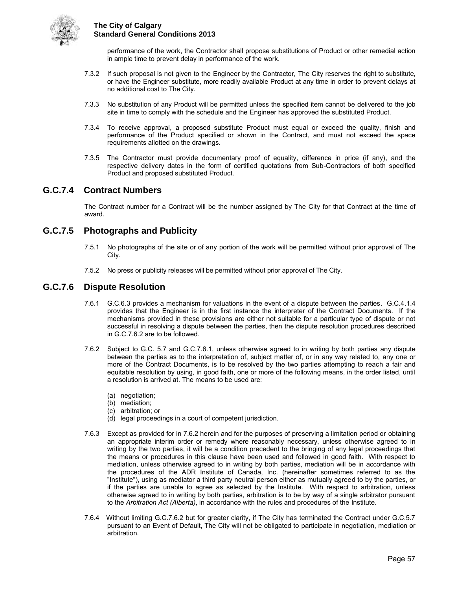

performance of the work, the Contractor shall propose substitutions of Product or other remedial action in ample time to prevent delay in performance of the work.

- 7.3.2 If such proposal is not given to the Engineer by the Contractor, The City reserves the right to substitute, or have the Engineer substitute, more readily available Product at any time in order to prevent delays at no additional cost to The City.
- 7.3.3 No substitution of any Product will be permitted unless the specified item cannot be delivered to the job site in time to comply with the schedule and the Engineer has approved the substituted Product.
- 7.3.4 To receive approval, a proposed substitute Product must equal or exceed the quality, finish and performance of the Product specified or shown in the Contract, and must not exceed the space requirements allotted on the drawings.
- 7.3.5 The Contractor must provide documentary proof of equality, difference in price (if any), and the respective delivery dates in the form of certified quotations from Sub-Contractors of both specified Product and proposed substituted Product.

## <span id="page-62-0"></span>**G.C.7.4 Contract Numbers**

The Contract number for a Contract will be the number assigned by The City for that Contract at the time of award.

## <span id="page-62-1"></span>**G.C.7.5 Photographs and Publicity**

- 7.5.1 No photographs of the site or of any portion of the work will be permitted without prior approval of The City.
- 7.5.2 No press or publicity releases will be permitted without prior approval of The City.

## <span id="page-62-2"></span>**G.C.7.6 Dispute Resolution**

- 7.6.1 G.C.6.3 provides a mechanism for valuations in the event of a dispute between the parties. G.C.4.1.4 provides that the Engineer is in the first instance the interpreter of the Contract Documents. If the mechanisms provided in these provisions are either not suitable for a particular type of dispute or not successful in resolving a dispute between the parties, then the dispute resolution procedures described in G.C.7.6.2 are to be followed.
- 7.6.2 Subject to G.C. 5.7 and G.C.7.6.1, unless otherwise agreed to in writing by both parties any dispute between the parties as to the interpretation of, subject matter of, or in any way related to, any one or more of the Contract Documents, is to be resolved by the two parties attempting to reach a fair and equitable resolution by using, in good faith, one or more of the following means, in the order listed, until a resolution is arrived at. The means to be used are:
	- (a) negotiation;
	- (b) mediation;
	- (c) arbitration; or
	- (d) legal proceedings in a court of competent jurisdiction.
- 7.6.3 Except as provided for in 7.6.2 herein and for the purposes of preserving a limitation period or obtaining an appropriate interim order or remedy where reasonably necessary, unless otherwise agreed to in writing by the two parties, it will be a condition precedent to the bringing of any legal proceedings that the means or procedures in this clause have been used and followed in good faith. With respect to mediation, unless otherwise agreed to in writing by both parties, mediation will be in accordance with the procedures of the ADR Institute of Canada, Inc. (hereinafter sometimes referred to as the "Institute"), using as mediator a third party neutral person either as mutually agreed to by the parties, or if the parties are unable to agree as selected by the Institute. With respect to arbitration, unless otherwise agreed to in writing by both parties, arbitration is to be by way of a single arbitrator pursuant to the *Arbitration Act (Alberta)*, in accordance with the rules and procedures of the Institute.
- 7.6.4 Without limiting G.C.7.6.2 but for greater clarity, if The City has terminated the Contract under G.C.5.7 pursuant to an Event of Default, The City will not be obligated to participate in negotiation, mediation or arbitration.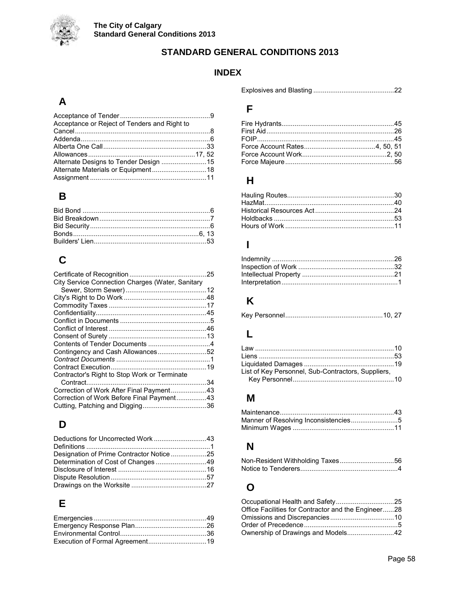

## **STANDARD GENERAL CONDITIONS 2013**

## **INDEX**

## **A**

| Acceptance or Reject of Tenders and Right to |  |
|----------------------------------------------|--|
|                                              |  |
|                                              |  |
|                                              |  |
|                                              |  |
| Alternate Designs to Tender Design 15        |  |
|                                              |  |
|                                              |  |

## **B**

## **C**

| City Service Connection Charges (Water, Sanitary |  |
|--------------------------------------------------|--|
|                                                  |  |
|                                                  |  |
|                                                  |  |
|                                                  |  |
|                                                  |  |
|                                                  |  |
|                                                  |  |
|                                                  |  |
| Contingency and Cash Allowances52                |  |
|                                                  |  |
|                                                  |  |
| Contractor's Right to Stop Work or Terminate     |  |
|                                                  |  |
| Correction of Work After Final Payment43         |  |
| Correction of Work Before Final Payment43        |  |
|                                                  |  |

## **D**

| Deductions for Uncorrected Work43 |  |
|-----------------------------------|--|
|                                   |  |
|                                   |  |
|                                   |  |
|                                   |  |
|                                   |  |
|                                   |  |

## **E**

Explosives and Blasting ...........................................22

## **F**

## **H**

## **I**

## **K**

|--|--|--|

## **L**

| List of Key Personnel, Sub-Contractors, Suppliers, |  |
|----------------------------------------------------|--|
|                                                    |  |

## **M**

| Manner of Resolving Inconsistencies5 |  |
|--------------------------------------|--|
|                                      |  |

## **N**

## **O**

| Office Facilities for Contractor and the Engineer28 |  |
|-----------------------------------------------------|--|
|                                                     |  |
|                                                     |  |
|                                                     |  |